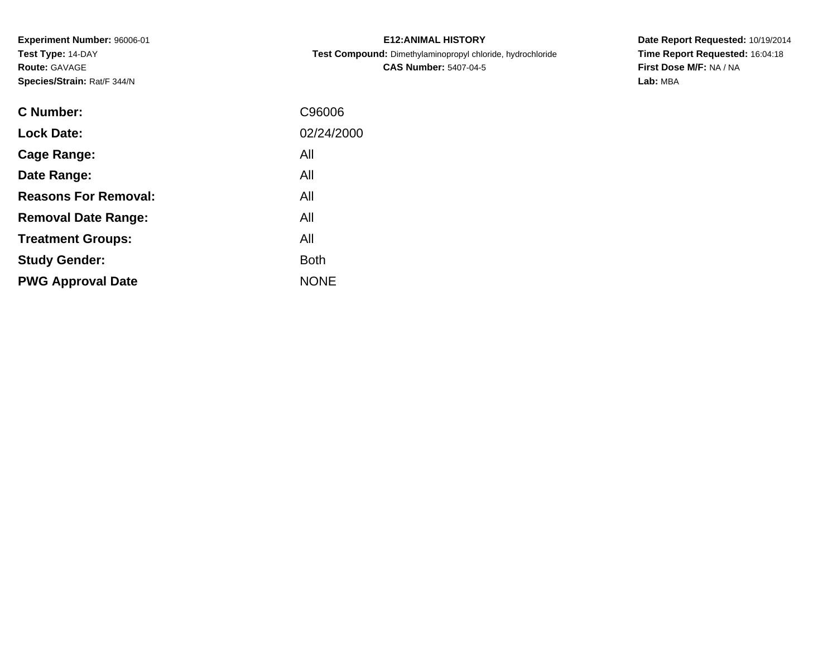**Experiment Number:** 96006-01**Test Type:** 14-DAY**Route:** GAVAGE**Species/Strain:** Rat/F 344/N

| <b>E12: ANIMAL HISTORY</b>                                 |  |  |  |  |  |  |
|------------------------------------------------------------|--|--|--|--|--|--|
| Test Compound: Dimethylaminopropyl chloride, hydrochloride |  |  |  |  |  |  |
| <b>CAS Number: 5407-04-5</b>                               |  |  |  |  |  |  |

| C Number:                   | C96006      |
|-----------------------------|-------------|
| <b>Lock Date:</b>           | 02/24/2000  |
| Cage Range:                 | All         |
| Date Range:                 | All         |
| <b>Reasons For Removal:</b> | All         |
| <b>Removal Date Range:</b>  | All         |
| <b>Treatment Groups:</b>    | All         |
| <b>Study Gender:</b>        | <b>Both</b> |
| <b>PWG Approval Date</b>    | <b>NONE</b> |
|                             |             |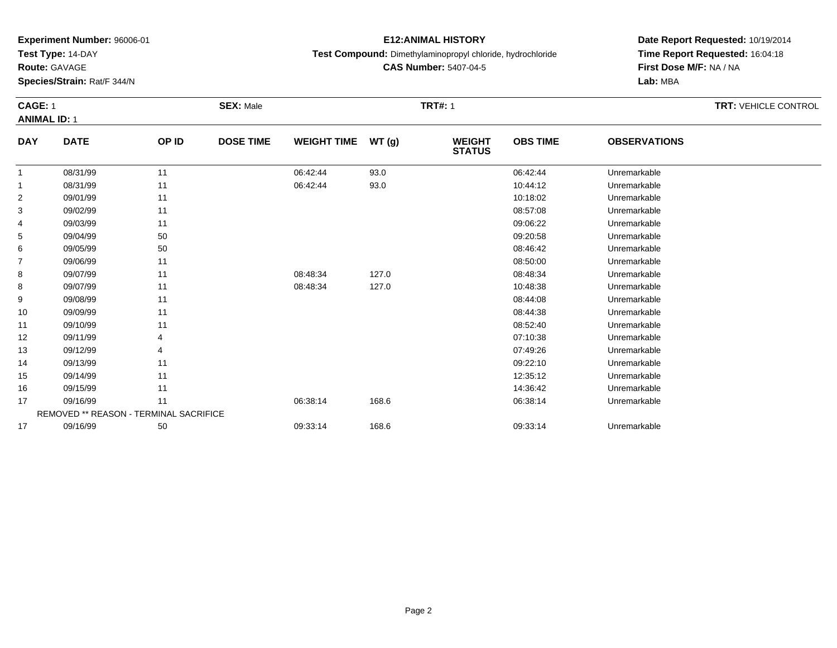**Test Type:** 14-DAY

**Route:** GAVAGE

**Species/Strain:** Rat/F 344/N

## **E12:ANIMAL HISTORY**

**Test Compound:** Dimethylaminopropyl chloride, hydrochloride

**CAS Number:** 5407-04-5

**Date Report Requested:** 10/19/2014**Time Report Requested:** 16:04:18**First Dose M/F:** NA / NA**Lab:** MBA

#### **CAGE:** 1 **SEX:** Male **TRT#:** <sup>1</sup> **TRT:** VEHICLE CONTROL **ANIMAL ID:** 1**DAY DATE OP IDDOSE TIME WEIGHT TIME WT** (g) **STATUSOBS TIMEOBSERVATIONS**

|    | 08/31/99                               | 11 | 06:42:44 | 93.0  | 06:42:44 | Unremarkable |
|----|----------------------------------------|----|----------|-------|----------|--------------|
|    | 08/31/99                               | 11 | 06:42:44 | 93.0  | 10:44:12 | Unremarkable |
|    |                                        |    |          |       |          |              |
| 2  | 09/01/99                               | 11 |          |       | 10:18:02 | Unremarkable |
| 3  | 09/02/99                               | 11 |          |       | 08:57:08 | Unremarkable |
| 4  | 09/03/99                               | 11 |          |       | 09:06:22 | Unremarkable |
| 5  | 09/04/99                               | 50 |          |       | 09:20:58 | Unremarkable |
| 6  | 09/05/99                               | 50 |          |       | 08:46:42 | Unremarkable |
| 7  | 09/06/99                               | 11 |          |       | 08:50:00 | Unremarkable |
| 8  | 09/07/99                               | 11 | 08:48:34 | 127.0 | 08:48:34 | Unremarkable |
| 8  | 09/07/99                               | 11 | 08:48:34 | 127.0 | 10:48:38 | Unremarkable |
| 9  | 09/08/99                               | 11 |          |       | 08:44:08 | Unremarkable |
| 10 | 09/09/99                               | 11 |          |       | 08:44:38 | Unremarkable |
| 11 | 09/10/99                               | 11 |          |       | 08:52:40 | Unremarkable |
| 12 | 09/11/99                               |    |          |       | 07:10:38 | Unremarkable |
| 13 | 09/12/99                               |    |          |       | 07:49:26 | Unremarkable |
| 14 | 09/13/99                               | 11 |          |       | 09:22:10 | Unremarkable |
| 15 | 09/14/99                               | 11 |          |       | 12:35:12 | Unremarkable |
| 16 | 09/15/99                               | 11 |          |       | 14:36:42 | Unremarkable |
| 17 | 09/16/99                               | 11 | 06:38:14 | 168.6 | 06:38:14 | Unremarkable |
|    | REMOVED ** REASON - TERMINAL SACRIFICE |    |          |       |          |              |
| 17 | 09/16/99                               | 50 | 09:33:14 | 168.6 | 09:33:14 | Unremarkable |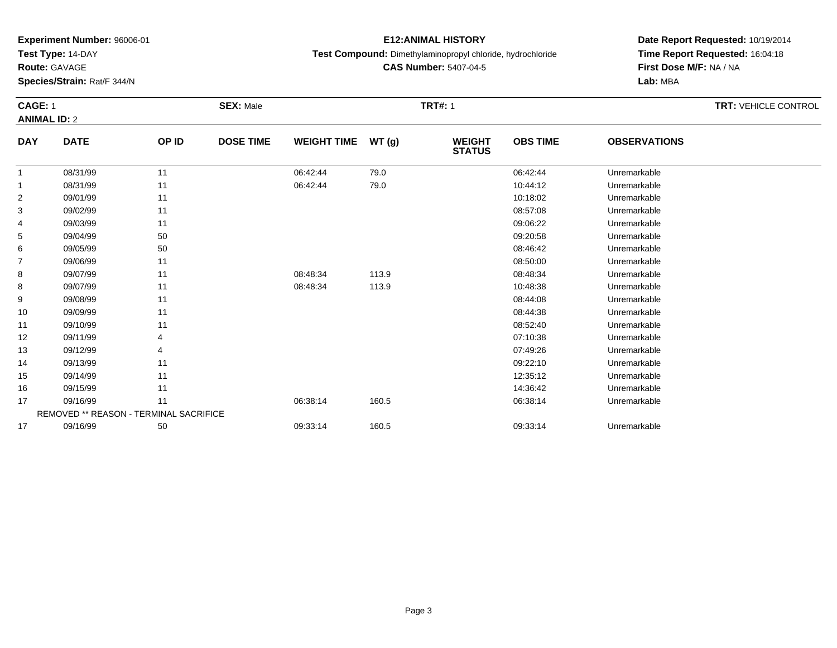**Test Type:** 14-DAY

**Route:** GAVAGE

**Species/Strain:** Rat/F 344/N

## **E12:ANIMAL HISTORY**

**Test Compound:** Dimethylaminopropyl chloride, hydrochloride

**CAS Number:** 5407-04-5

# **Date Report Requested:** 10/19/2014**Time Report Requested:** 16:04:18**First Dose M/F:** NA / NA**Lab:** MBA

#### **CAGE:** 1 **SEX:** Male **TRT#:** <sup>1</sup> **TRT:** VEHICLE CONTROL **ANIMAL ID:** 2**DAY DOSE TIME WEIGHT TIME WT (g) WEIGHT OBS TIMEOBSERVATIONS**

| <b>DAY</b>     | <b>DATE</b>                            | OP ID | <b>DOSE TIME</b> | <b>WEIGHT TIME</b> | WT(g) | <b>WEIGHT</b><br><b>STATUS</b> | <b>OBS TIME</b> | <b>OBSERVATIONS</b> |  |
|----------------|----------------------------------------|-------|------------------|--------------------|-------|--------------------------------|-----------------|---------------------|--|
| -1             | 08/31/99                               | 11    |                  | 06:42:44           | 79.0  |                                | 06:42:44        | Unremarkable        |  |
|                | 08/31/99                               | 11    |                  | 06:42:44           | 79.0  |                                | 10:44:12        | Unremarkable        |  |
| $\overline{2}$ | 09/01/99                               | 11    |                  |                    |       |                                | 10:18:02        | Unremarkable        |  |
| 3              | 09/02/99                               | 11    |                  |                    |       |                                | 08:57:08        | Unremarkable        |  |
| 4              | 09/03/99                               | 11    |                  |                    |       |                                | 09:06:22        | Unremarkable        |  |
| 5              | 09/04/99                               | 50    |                  |                    |       |                                | 09:20:58        | Unremarkable        |  |
| 6              | 09/05/99                               | 50    |                  |                    |       |                                | 08:46:42        | Unremarkable        |  |
| 7              | 09/06/99                               | 11    |                  |                    |       |                                | 08:50:00        | Unremarkable        |  |
| 8              | 09/07/99                               | 11    |                  | 08:48:34           | 113.9 |                                | 08:48:34        | Unremarkable        |  |
| 8              | 09/07/99                               | 11    |                  | 08:48:34           | 113.9 |                                | 10:48:38        | Unremarkable        |  |
| 9              | 09/08/99                               | 11    |                  |                    |       |                                | 08:44:08        | Unremarkable        |  |
| 10             | 09/09/99                               | 11    |                  |                    |       |                                | 08:44:38        | Unremarkable        |  |
| 11             | 09/10/99                               | 11    |                  |                    |       |                                | 08:52:40        | Unremarkable        |  |
| 12             | 09/11/99                               |       |                  |                    |       |                                | 07:10:38        | Unremarkable        |  |
| 13             | 09/12/99                               |       |                  |                    |       |                                | 07:49:26        | Unremarkable        |  |
| 14             | 09/13/99                               | 11    |                  |                    |       |                                | 09:22:10        | Unremarkable        |  |
| 15             | 09/14/99                               | 11    |                  |                    |       |                                | 12:35:12        | Unremarkable        |  |
| 16             | 09/15/99                               | 11    |                  |                    |       |                                | 14:36:42        | Unremarkable        |  |
| 17             | 09/16/99                               | 11    |                  | 06:38:14           | 160.5 |                                | 06:38:14        | Unremarkable        |  |
|                | REMOVED ** REASON - TERMINAL SACRIFICE |       |                  |                    |       |                                |                 |                     |  |
| 17             | 09/16/99                               | 50    |                  | 09:33:14           | 160.5 |                                | 09:33:14        | Unremarkable        |  |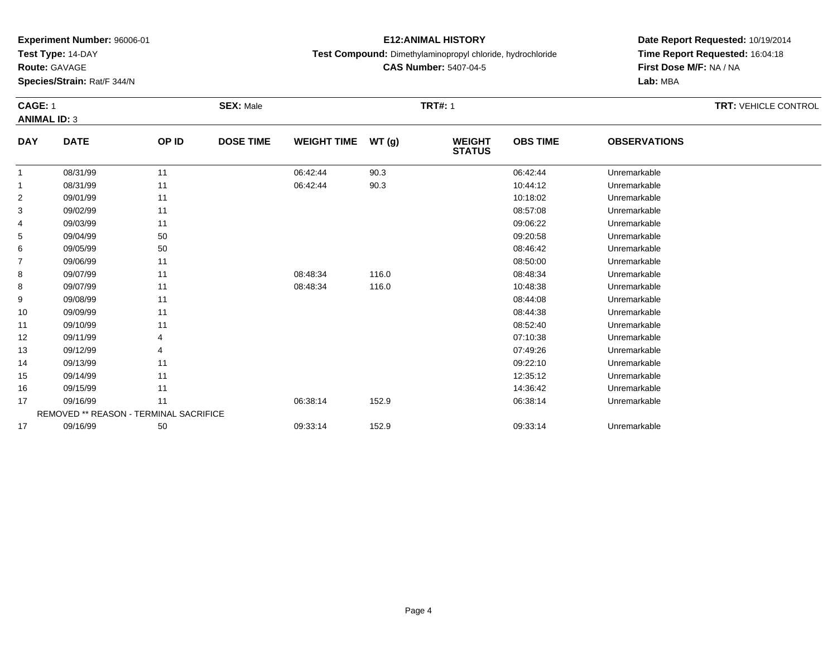**Test Type:** 14-DAY

**Route:** GAVAGE

**Species/Strain:** Rat/F 344/N

## **E12:ANIMAL HISTORY**

**Test Compound:** Dimethylaminopropyl chloride, hydrochloride

**CAS Number:** 5407-04-5

# **Date Report Requested:** 10/19/2014**Time Report Requested:** 16:04:18**First Dose M/F:** NA / NA**Lab:** MBA

#### **CAGE:** 1 **SEX:** Male **TRT#:** <sup>1</sup> **TRT:** VEHICLE CONTROL **ANIMAL ID:** 3**DAY DATE OP ID DOSE TIME WEIGHT TIME WT (g) WEIGHT OBS TIMEOBSERVATIONS**

|    |          |                                        |          |       | <b>STATUS</b> |              |  |
|----|----------|----------------------------------------|----------|-------|---------------|--------------|--|
|    | 08/31/99 | 11                                     | 06:42:44 | 90.3  | 06:42:44      | Unremarkable |  |
|    | 08/31/99 | 11                                     | 06:42:44 | 90.3  | 10:44:12      | Unremarkable |  |
| 2  | 09/01/99 | 11                                     |          |       | 10:18:02      | Unremarkable |  |
| 3  | 09/02/99 | 11                                     |          |       | 08:57:08      | Unremarkable |  |
| 4  | 09/03/99 | 11                                     |          |       | 09:06:22      | Unremarkable |  |
| 5  | 09/04/99 | 50                                     |          |       | 09:20:58      | Unremarkable |  |
| 6  | 09/05/99 | 50                                     |          |       | 08:46:42      | Unremarkable |  |
|    | 09/06/99 | 11                                     |          |       | 08:50:00      | Unremarkable |  |
| 8  | 09/07/99 | 11                                     | 08:48:34 | 116.0 | 08:48:34      | Unremarkable |  |
| 8  | 09/07/99 | 11                                     | 08:48:34 | 116.0 | 10:48:38      | Unremarkable |  |
| 9  | 09/08/99 | 11                                     |          |       | 08:44:08      | Unremarkable |  |
| 10 | 09/09/99 | 11                                     |          |       | 08:44:38      | Unremarkable |  |
| 11 | 09/10/99 | 11                                     |          |       | 08:52:40      | Unremarkable |  |
| 12 | 09/11/99 |                                        |          |       | 07:10:38      | Unremarkable |  |
| 13 | 09/12/99 |                                        |          |       | 07:49:26      | Unremarkable |  |
| 14 | 09/13/99 | 11                                     |          |       | 09:22:10      | Unremarkable |  |
| 15 | 09/14/99 | 11                                     |          |       | 12:35:12      | Unremarkable |  |
| 16 | 09/15/99 | 11                                     |          |       | 14:36:42      | Unremarkable |  |
| 17 | 09/16/99 | 11                                     | 06:38:14 | 152.9 | 06:38:14      | Unremarkable |  |
|    |          | REMOVED ** REASON - TERMINAL SACRIFICE |          |       |               |              |  |
| 17 | 09/16/99 | 50                                     | 09:33:14 | 152.9 | 09:33:14      | Unremarkable |  |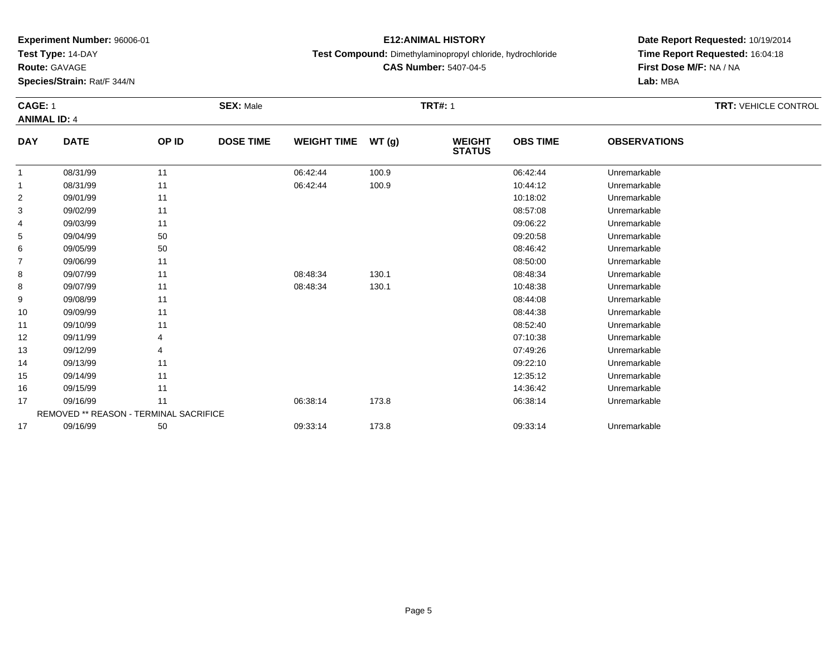**Test Type:** 14-DAY

**Route:** GAVAGE

**Species/Strain:** Rat/F 344/N

## **E12:ANIMAL HISTORY**

**Test Compound:** Dimethylaminopropyl chloride, hydrochloride

**CAS Number:** 5407-04-5

**Date Report Requested:** 10/19/2014 **Time Report Requested:** 16:04:18**First Dose M/F:** NA / NA**Lab:** MBA

#### **CAGE:** 1 **SEX:** Male **TRT#:** <sup>1</sup> **TRT:** VEHICLE CONTROL **ANIMAL ID:** 4**DAY DATE OP IDDOSE TIME WEIGHT TIME WT** (g) **STATUSOBS TIME OBSERVATIONS** 1 08/31/99 <sup>11</sup> 06:42:44 100.9 06:42:44 Unremarkable 11 08/31/99 11 1 06:42:44 100.9 10:44:12 Unremarkable

|                | 08/31/99 | 11                                     | 06:42:44 | 100.9 | 10:44:12 | Unremarkable |  |
|----------------|----------|----------------------------------------|----------|-------|----------|--------------|--|
| $\overline{2}$ | 09/01/99 | 11                                     |          |       | 10:18:02 | Unremarkable |  |
| 3              | 09/02/99 | 11                                     |          |       | 08:57:08 | Unremarkable |  |
| 4              | 09/03/99 | 11                                     |          |       | 09:06:22 | Unremarkable |  |
| 5              | 09/04/99 | 50                                     |          |       | 09:20:58 | Unremarkable |  |
| 6              | 09/05/99 | 50                                     |          |       | 08:46:42 | Unremarkable |  |
| 7              | 09/06/99 | 11                                     |          |       | 08:50:00 | Unremarkable |  |
| 8              | 09/07/99 | 11                                     | 08:48:34 | 130.1 | 08:48:34 | Unremarkable |  |
| 8              | 09/07/99 | 11                                     | 08:48:34 | 130.1 | 10:48:38 | Unremarkable |  |
| 9              | 09/08/99 | 11                                     |          |       | 08:44:08 | Unremarkable |  |
| 10             | 09/09/99 | 11                                     |          |       | 08:44:38 | Unremarkable |  |
| 11             | 09/10/99 | 11                                     |          |       | 08:52:40 | Unremarkable |  |
| 12             | 09/11/99 |                                        |          |       | 07:10:38 | Unremarkable |  |
| 13             | 09/12/99 | 4                                      |          |       | 07:49:26 | Unremarkable |  |
| 14             | 09/13/99 | 11                                     |          |       | 09:22:10 | Unremarkable |  |
| 15             | 09/14/99 | 11                                     |          |       | 12:35:12 | Unremarkable |  |
| 16             | 09/15/99 | 11                                     |          |       | 14:36:42 | Unremarkable |  |
| 17             | 09/16/99 | 11                                     | 06:38:14 | 173.8 | 06:38:14 | Unremarkable |  |
|                |          | REMOVED ** REASON - TERMINAL SACRIFICE |          |       |          |              |  |
| 17             | 09/16/99 | 50                                     | 09:33:14 | 173.8 | 09:33:14 | Unremarkable |  |
|                |          |                                        |          |       |          |              |  |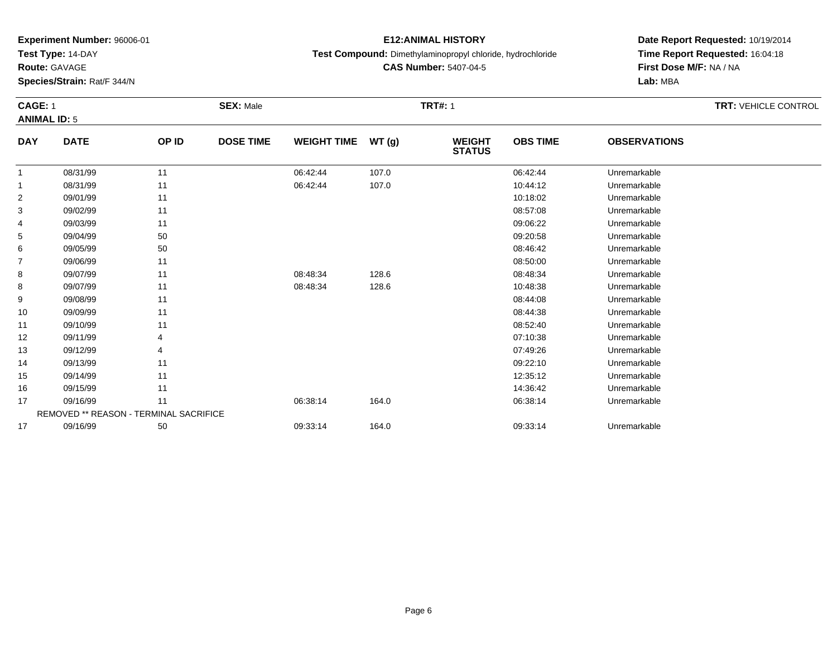**Test Type:** 14-DAY

**Route:** GAVAGE

11

12

13

14

15

16

17

17

REMOVED \*\* REASON - TERMINAL SACRIFICE

**Species/Strain:** Rat/F 344/N

### **E12:ANIMAL HISTORY**

**Test Compound:** Dimethylaminopropyl chloride, hydrochloride

**CAS Number:** 5407-04-5

**Date Report Requested:** 10/19/2014**Time Report Requested:** 16:04:18**First Dose M/F:** NA / NA**Lab:** MBA

#### **CAGE:** 1 **SEX:** Male **TRT#:** <sup>1</sup> **TRT:** VEHICLE CONTROL **ANIMAL ID:** 5**DAY DATE OP ID DOSE TIME WEIGHT TIME WT (g) WEIGHT STATUSOBS TIME OBSERVATIONS** 11 08/31/99 11 1 06:42:44 107.0 06:42:44 06:42:44 06:42:44 06:42:44 06:42:44 11 08/31/99 11 1 06:42:44 107.0 10:44:12 Unremarkable 22 09/01/99 11 12 10:18:02 Dhremarkable 3 09/02/99 <sup>11</sup> 08:57:08 Unremarkable 44 09:06:22 Unremarkable 11 09:06:22 Unremarkable 55 09:20:58 Unremarkable 50 09:20:58 Unremarkable 66 09/05/99 50 50 50 08:46:42 Unremarkable 77 09/06/99 11 12 12 12 13 13 14 15 16 17 18 19 19 19 19 19 19 19 19 19 19 19 19 1 88 09/07/99 11 1 08:48:34 128.6 08:48:34 08:48:34 Unremarkable 88 09/07/99 11 1 08:48:34 128.6 10:48:38 Unremarkable 99 09/08/99 11 12 12 13 13 13 14:08 19844:08 Unremarkable 10

09/09/99 <sup>11</sup> 08:44:38 Unremarkable

09/10/99 <sup>11</sup> 08:52:40 Unremarkable

09/11/99 <sup>4</sup> 07:10:38 Unremarkable

09/12/99 <sup>4</sup> 07:49:26 Unremarkable

09/13/99 <sup>11</sup> 09:22:10 Unremarkable

5 09/14/99 11 12:35:12 Unremarkable

6 09/15/99 11 120 120 120 120 120 120 130 14:36:42 Unremarkable

7 09/16/99 11 1 06:38:14 164.0 06:38 06:38 06:38 14 164.0

7 09/16/99 50 50 09:33:14 164.0 06.00 09:33:14 Dhremarkable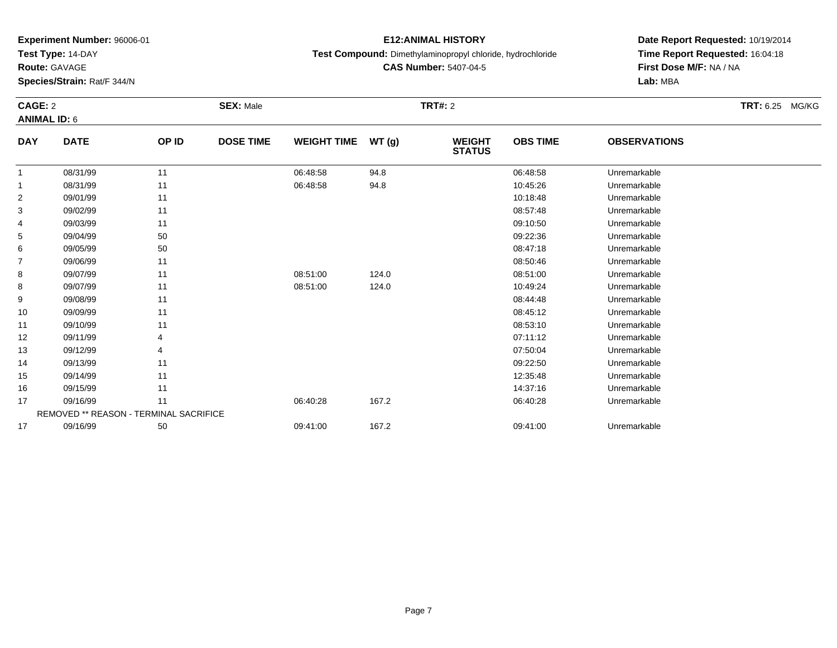**Test Type:** 14-DAY

**Route:** GAVAGE

**Species/Strain:** Rat/F 344/N

## **E12:ANIMAL HISTORY**

**Test Compound:** Dimethylaminopropyl chloride, hydrochloride

**CAS Number:** 5407-04-5

# **Date Report Requested:** 10/19/2014 **Time Report Requested:** 16:04:18**First Dose M/F:** NA / NA**Lab:** MBA

#### **CAGE:** 2 **SEX:** Male **TRT#:** <sup>2</sup> **TRT:** 6.25 MG/KG**ANIMAL ID:** 6**DAY DATE OP IDDOSE TIME WEIGHT TIME WT** (g) **STATUSOBS TIME OBSERVATIONS**  $\overline{1}$ 1 08/31/99 11 1 06:48:58 94.8 06:48:58 06:48:58 Unremarkable

|    | 08/31/99                               | 11 | U6:48:58 | 94.8  | <b>06:48:58</b> | Unremarkable |  |
|----|----------------------------------------|----|----------|-------|-----------------|--------------|--|
| 1  | 08/31/99                               | 11 | 06:48:58 | 94.8  | 10:45:26        | Unremarkable |  |
| 2  | 09/01/99                               | 11 |          |       | 10:18:48        | Unremarkable |  |
| 3  | 09/02/99                               | 11 |          |       | 08:57:48        | Unremarkable |  |
| 4  | 09/03/99                               | 11 |          |       | 09:10:50        | Unremarkable |  |
| 5  | 09/04/99                               | 50 |          |       | 09:22:36        | Unremarkable |  |
| 6  | 09/05/99                               | 50 |          |       | 08:47:18        | Unremarkable |  |
| 7  | 09/06/99                               | 11 |          |       | 08:50:46        | Unremarkable |  |
| 8  | 09/07/99                               | 11 | 08:51:00 | 124.0 | 08:51:00        | Unremarkable |  |
| 8  | 09/07/99                               | 11 | 08:51:00 | 124.0 | 10:49:24        | Unremarkable |  |
| 9  | 09/08/99                               | 11 |          |       | 08:44:48        | Unremarkable |  |
| 10 | 09/09/99                               | 11 |          |       | 08:45:12        | Unremarkable |  |
| 11 | 09/10/99                               | 11 |          |       | 08:53:10        | Unremarkable |  |
| 12 | 09/11/99                               |    |          |       | 07:11:12        | Unremarkable |  |
| 13 | 09/12/99                               |    |          |       | 07:50:04        | Unremarkable |  |
| 14 | 09/13/99                               | 11 |          |       | 09:22:50        | Unremarkable |  |
| 15 | 09/14/99                               | 11 |          |       | 12:35:48        | Unremarkable |  |
| 16 | 09/15/99                               | 11 |          |       | 14:37:16        | Unremarkable |  |
| 17 | 09/16/99                               | 11 | 06:40:28 | 167.2 | 06:40:28        | Unremarkable |  |
|    | REMOVED ** REASON - TERMINAL SACRIFICE |    |          |       |                 |              |  |
| 17 | 09/16/99                               | 50 | 09:41:00 | 167.2 | 09:41:00        | Unremarkable |  |
|    |                                        |    |          |       |                 |              |  |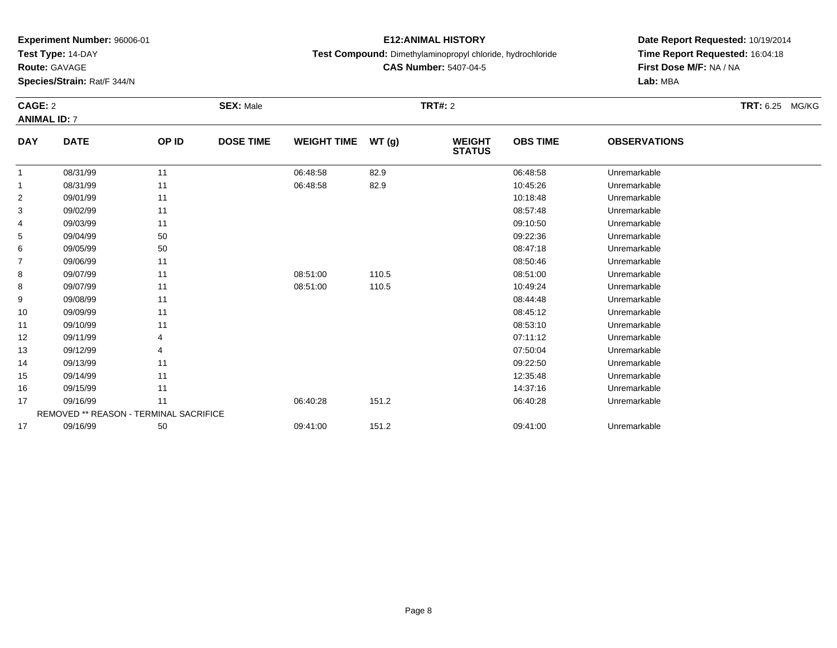**Test Type:** 14-DAY

**Route:** GAVAGE

**Species/Strain:** Rat/F 344/N

### **E12:ANIMAL HISTORY**

**Test Compound:** Dimethylaminopropyl chloride, hydrochloride

**CAS Number:** 5407-04-5

**Date Report Requested:** 10/19/2014**Time Report Requested:** 16:04:18**First Dose M/F:** NA / NA**Lab:** MBA

#### **CAGE:** 2 **SEX:** Male **TRT#:** <sup>2</sup> **TRT:** 6.25 MG/KG**ANIMAL ID:** 7**DAY DATE OP IDDOSE TIME WEIGHT TIME WT** (g) **STATUSOBS TIME OBSERVATIONS** 11 08/31/99 11 1 06:48:58 82.9 06:48:58 06:48:58 Unremarkable 11 08/31/99 11 1 06:48:58 82.9 10:45:26 10:45:26 Unremarkable 22 09/01/99 11 12 10:18:48 Unremarkable

|                | <u> vuiviluv</u> | .                                      | 00. <del>1</del> 0.00 | <b>U4.U</b> | 10. TU. ZU | <b>UITULINAINAUI</b> U |  |
|----------------|------------------|----------------------------------------|-----------------------|-------------|------------|------------------------|--|
| $\overline{2}$ | 09/01/99         | 11                                     |                       |             | 10:18:48   | Unremarkable           |  |
| 3              | 09/02/99         | 11                                     |                       |             | 08:57:48   | Unremarkable           |  |
| 4              | 09/03/99         | 11                                     |                       |             | 09:10:50   | Unremarkable           |  |
| 5              | 09/04/99         | 50                                     |                       |             | 09:22:36   | Unremarkable           |  |
| 6              | 09/05/99         | 50                                     |                       |             | 08:47:18   | Unremarkable           |  |
| 7              | 09/06/99         | 11                                     |                       |             | 08:50:46   | Unremarkable           |  |
| 8              | 09/07/99         | 11                                     | 08:51:00              | 110.5       | 08:51:00   | Unremarkable           |  |
| 8              | 09/07/99         | 11                                     | 08:51:00              | 110.5       | 10:49:24   | Unremarkable           |  |
| 9              | 09/08/99         | 11                                     |                       |             | 08:44:48   | Unremarkable           |  |
| 10             | 09/09/99         | 11                                     |                       |             | 08:45:12   | Unremarkable           |  |
| 11             | 09/10/99         | 11                                     |                       |             | 08:53:10   | Unremarkable           |  |
| 12             | 09/11/99         | 4                                      |                       |             | 07:11:12   | Unremarkable           |  |
| 13             | 09/12/99         | 4                                      |                       |             | 07:50:04   | Unremarkable           |  |
| 14             | 09/13/99         | 11                                     |                       |             | 09:22:50   | Unremarkable           |  |
| 15             | 09/14/99         | 11                                     |                       |             | 12:35:48   | Unremarkable           |  |
| 16             | 09/15/99         | 11                                     |                       |             | 14:37:16   | Unremarkable           |  |
| 17             | 09/16/99         | 11                                     | 06:40:28              | 151.2       | 06:40:28   | Unremarkable           |  |
|                |                  | REMOVED ** REASON - TERMINAL SACRIFICE |                       |             |            |                        |  |
| 17             | 09/16/99         | 50                                     | 09:41:00              | 151.2       | 09:41:00   | Unremarkable           |  |
|                |                  |                                        |                       |             |            |                        |  |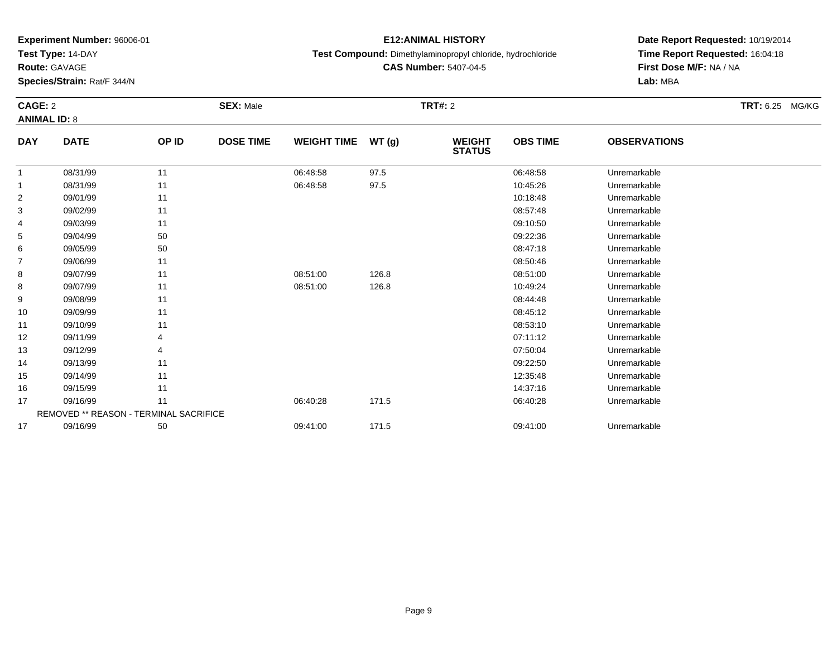**Test Type:** 14-DAY

**Route:** GAVAGE

**Species/Strain:** Rat/F 344/N

## **E12:ANIMAL HISTORY**

**Test Compound:** Dimethylaminopropyl chloride, hydrochloride

**CAS Number:** 5407-04-5

# **Date Report Requested:** 10/19/2014**Time Report Requested:** 16:04:18**First Dose M/F:** NA / NA**Lab:** MBA

#### **CAGE:** 2 **SEX:** Male **TRT#:** <sup>2</sup> **TRT:** 6.25 MG/KG**ANIMAL ID:** 8**DAY DATE OP IDDOSE TIME WEIGHT TIME WT** (g) **STATUSOBS TIME OBSERVATIONS** 108/31/99 <sup>11</sup> 06:48:58 97.5 06:48:58 Unremarkable

| 1              | 08/31/99 | 11                                     | 06:48:58 | 97.5  | 06:48:58 | Unremarkable |  |
|----------------|----------|----------------------------------------|----------|-------|----------|--------------|--|
| 1              | 08/31/99 | 11                                     | 06:48:58 | 97.5  | 10:45:26 | Unremarkable |  |
| $\overline{2}$ | 09/01/99 | 11                                     |          |       | 10:18:48 | Unremarkable |  |
| 3              | 09/02/99 | 11                                     |          |       | 08:57:48 | Unremarkable |  |
| 4              | 09/03/99 | 11                                     |          |       | 09:10:50 | Unremarkable |  |
| 5              | 09/04/99 | 50                                     |          |       | 09:22:36 | Unremarkable |  |
| 6              | 09/05/99 | 50                                     |          |       | 08:47:18 | Unremarkable |  |
| 7              | 09/06/99 | 11                                     |          |       | 08:50:46 | Unremarkable |  |
| 8              | 09/07/99 | 11                                     | 08:51:00 | 126.8 | 08:51:00 | Unremarkable |  |
| 8              | 09/07/99 | 11                                     | 08:51:00 | 126.8 | 10:49:24 | Unremarkable |  |
| 9              | 09/08/99 | 11                                     |          |       | 08:44:48 | Unremarkable |  |
| 10             | 09/09/99 | 11                                     |          |       | 08:45:12 | Unremarkable |  |
| 11             | 09/10/99 | 11                                     |          |       | 08:53:10 | Unremarkable |  |
| 12             | 09/11/99 | 4                                      |          |       | 07:11:12 | Unremarkable |  |
| 13             | 09/12/99 | 4                                      |          |       | 07:50:04 | Unremarkable |  |
| 14             | 09/13/99 | 11                                     |          |       | 09:22:50 | Unremarkable |  |
| 15             | 09/14/99 | 11                                     |          |       | 12:35:48 | Unremarkable |  |
| 16             | 09/15/99 | 11                                     |          |       | 14:37:16 | Unremarkable |  |
| 17             | 09/16/99 | 11                                     | 06:40:28 | 171.5 | 06:40:28 | Unremarkable |  |
|                |          | REMOVED ** REASON - TERMINAL SACRIFICE |          |       |          |              |  |
| 17             | 09/16/99 | 50                                     | 09:41:00 | 171.5 | 09:41:00 | Unremarkable |  |
|                |          |                                        |          |       |          |              |  |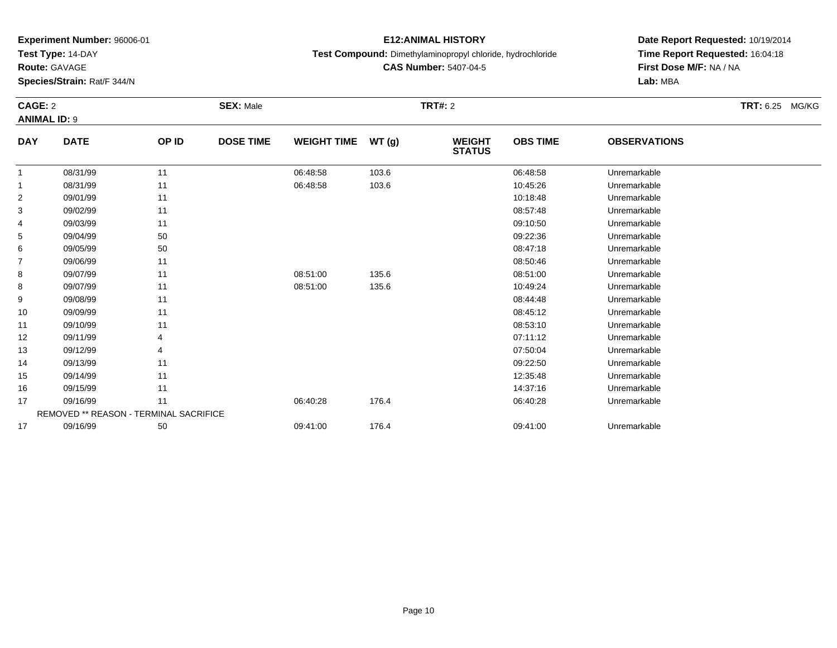**Test Type:** 14-DAY

**Route:** GAVAGE

15

16

17

17

REMOVED \*\* REASON - TERMINAL SACRIFICE

**Species/Strain:** Rat/F 344/N

## **E12:ANIMAL HISTORY**

**Test Compound:** Dimethylaminopropyl chloride, hydrochloride

**CAS Number:** 5407-04-5

**Date Report Requested:** 10/19/2014**Time Report Requested:** 16:04:18**First Dose M/F:** NA / NA**Lab:** MBA

#### **CAGE:** 2 **SEX:** Male **TRT#:** <sup>2</sup> **TRT:** 6.25 MG/KG**ANIMAL ID:** 9**DAY DATE OP ID DOSE TIME WEIGHT TIME WT (g) WEIGHT STATUSOBS TIME OBSERVATIONS** 11 08/31/99 11 1 06:48:58 103.6 103.6 06:48:58 Unremarkable 11 08/31/99 11 1 06:48:58 103.6 103.6 10:45:26 Unremarkable 22 09/01/99 11 12 10:18:48 Unremarkable 3 09/02/99 <sup>11</sup> 08:57:48 Unremarkable 4 09/03/99 <sup>11</sup> 09:10:50 Unremarkable 55 09:22:36 Unremarkable 50 50 09:22:36 Demographic to the state of the state of the state of the state of the state of the state of the state of the state of the state of the state of the state of the state of the state of 66 09/05/99 50 50 50 08:47:18 Dhremarkable 77 09/06/99 11 12 12 13 13 13 14 15 16 17 18 19 19 19 19 19 19 19 19 19 19 19 19 1 88 09/07/99 11 08:51:00 135.6 08:51:00 Unremarkable 88 09/07/99 11 1 08:51:00 135.6 10:49:24 Unremarkable 99 09/08/99 11 12 12 13 13 14:48 Unremarkable 10 09/09/99 <sup>11</sup> 08:45:12 Unremarkable 11 09/10/99 <sup>11</sup> 08:53:10 Unremarkable 12 09/11/99 <sup>4</sup> 07:11:12 Unremarkable 13 09/12/99 <sup>4</sup> 07:50:04 Unremarkable 1409/13/99 <sup>11</sup> 09:22:50 Unremarkable

5 09/14/99 11 12:35:48 Unremarkable

09/15/99 <sup>11</sup> 14:37:16 Unremarkable

7 09/16/99 11 1 06:40:28 176.4 16.4 06:40:28 Dhremarkable

09/16/99 <sup>50</sup> 09:41:00 176.4 09:41:00 Unremarkable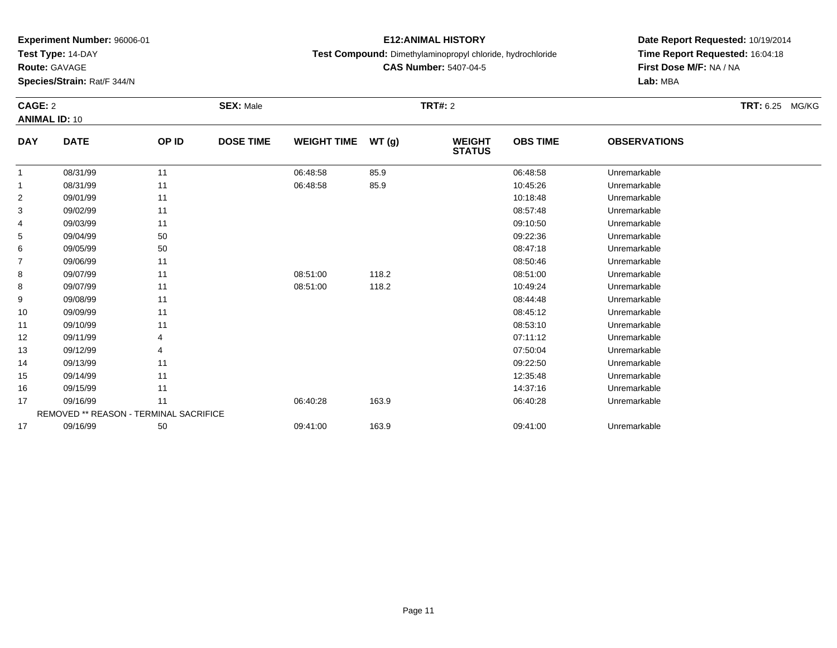**Test Type:** 14-DAY

**Route:** GAVAGE

13

14

15

16

17

17

REMOVED \*\* REASON - TERMINAL SACRIFICE

**Species/Strain:** Rat/F 344/N

### **E12:ANIMAL HISTORY**

**Test Compound:** Dimethylaminopropyl chloride, hydrochloride

**CAS Number:** 5407-04-5

## **Date Report Requested:** 10/19/2014**Time Report Requested:** 16:04:18**First Dose M/F:** NA / NA**Lab:** MBA

#### **CAGE:** 2 **SEX:** Male **TRT#:** <sup>2</sup> **TRT:** 6.25 MG/KG**ANIMAL ID:** 10**DAY DATE OP ID DOSE TIME WEIGHT TIME WT (g) WEIGHT STATUSOBS TIME OBSERVATIONS** 11 08/31/99 11 1 06:48:58 85.9 06:48:58 06:48:58 Unremarkable 11 08/31/99 11 1 06:48:58 85.9 10:45:26 10:45:26 Unremarkable 22 09/01/99 11 12 10:18:48 Unremarkable 3 09/02/99 <sup>11</sup> 08:57:48 Unremarkable 4 09/03/99 <sup>11</sup> 09:10:50 Unremarkable 55 09:22:36 Unremarkable 50 50 09:22:36 Demographic to the state of the state of the state of the state of the state of the state of the state of the state of the state of the state of the state of the state of the state of 66 09/05/99 50 50 50 08:47:18 Dhremarkable 77 09/06/99 11 12 12 13 13 13 14 15 16 17 18 19 19 19 19 19 19 19 19 19 19 19 19 1 88 09/07/99 11 08:51:00 118.2 08:51:00 Unremarkable 88 09/07/99 11 08:51:00 118.2 10:49:24 Unremarkable 9 09/08/99 <sup>11</sup> 08:44:48 Unremarkable 10 09/09/99 <sup>11</sup> 08:45:12 Unremarkable 11 09/10/99 <sup>11</sup> 08:53:10 Unremarkable 1209/11/99 <sup>4</sup> 07:11:12 Unremarkable

09/12/99 <sup>4</sup> 07:50:04 Unremarkable

09/13/99 <sup>11</sup> 09:22:50 Unremarkable

5 09/14/99 11 12:35:48 Unremarkable

09/15/99 <sup>11</sup> 14:37:16 Unremarkable

7 09/16/99 11 1 06:40:28 163.9 163.9 06:40:28 Dhremarkable

09/16/99 <sup>50</sup> 09:41:00 163.9 09:41:00 Unremarkable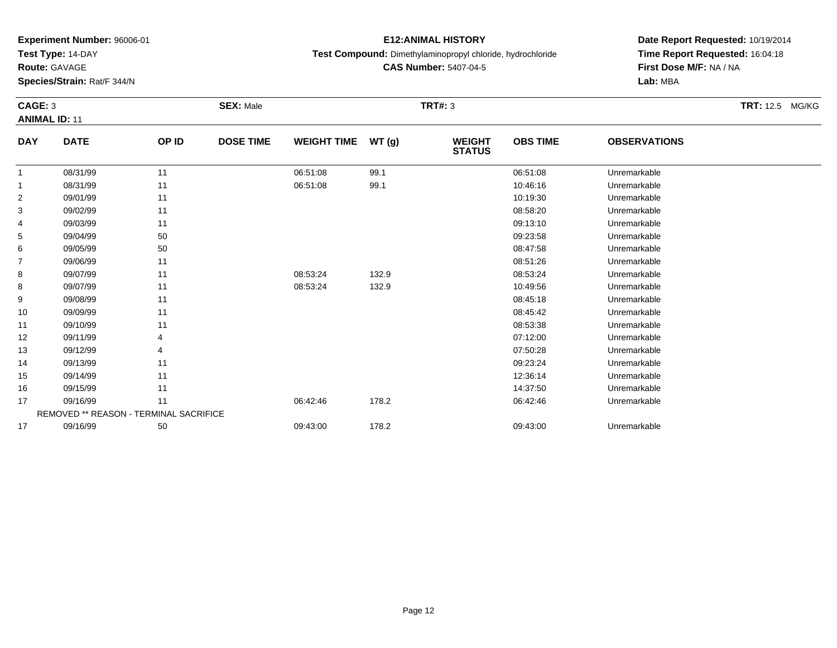**Test Type:** 14-DAY

**Route:** GAVAGE

14

15

16

17

17

**Species/Strain:** Rat/F 344/N

### **E12:ANIMAL HISTORY**

**Test Compound:** Dimethylaminopropyl chloride, hydrochloride

**CAS Number:** 5407-04-5

**Date Report Requested:** 10/19/2014**Time Report Requested:** 16:04:18**First Dose M/F:** NA / NA**Lab:** MBA

#### **CAGE:** 3 **SEX:** Male **TRT#:** <sup>3</sup> **TRT:** 12.5 MG/KG**ANIMAL ID:** 11**DAY DATE OP ID DOSE TIME WEIGHT TIME WT (g) WEIGHT STATUSOBS TIME OBSERVATIONS** 11 08/31/99 11 1 06:51:08 99.1 06:51:08 06:51:08 Dhremarkable 11 08/31/99 11 1 06:51:08 99.1 1 1 08:51:08 99.1 10:46:16 Unremarkable 22 09/01/99 11 12 10:19:30 Unremarkable 33 08:58:20 Unremarkable 11 2011 11 2012 12:00 08:58:20 Unremarkable 11 08:58:20 Unremarkable 4 09/03/99 <sup>11</sup> 09:13:10 Unremarkable 55 09:23:58 Unremarkable 50 09:23:58 Unremarkable 66 09/05/99 50 50 50 08:47:58 Unremarkable 77 09/06/99 11 12 12 12 13 13 14 15 16 17 18 19 19 19 19 19 19 19 19 19 19 19 19 1 88 09/07/99 11 1 08:53:24 132.9 08:53:24 08:53:24 Unremarkable 88 09/07/99 11 1 08:53:24 132.9 10:49:56 Unremarkable 99 09/08/99 11 12 12 13 13 13 14 15 16 17 18 19 19 19 19 19 19 19 19 19 19 19 19 1 10 09/09/99 <sup>11</sup> 08:45:42 Unremarkable 11 09/10/99 <sup>11</sup> 08:53:38 Unremarkable 12 09/11/99 <sup>4</sup> 07:12:00 Unremarkable 1309/12/99 <sup>4</sup> 07:50:28 Unremarkable

09/13/99 <sup>11</sup> 09:23:24 Unremarkable

5 09/14/99 11 12:36:14 Unremarkable

6 09/15/99 11 12:37:50 Unremarkable

09/16/99 <sup>11</sup> 06:42:46 178.2 06:42:46 Unremarkable

09/16/99 <sup>50</sup> 09:43:00 178.2 09:43:00 Unremarkable

REMOVED \*\* REASON - TERMINAL SACRIFICE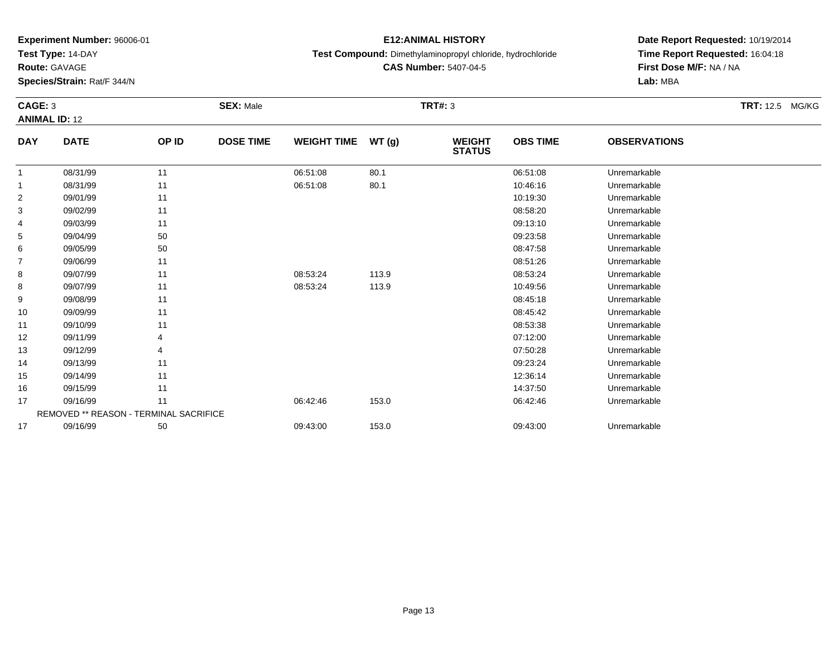**Test Type:** 14-DAY

**Route:** GAVAGE

14

15

16

17

17

REMOVED \*\* REASON - TERMINAL SACRIFICE

**Species/Strain:** Rat/F 344/N

### **E12:ANIMAL HISTORY**

**Test Compound:** Dimethylaminopropyl chloride, hydrochloride

**CAS Number:** 5407-04-5

**Date Report Requested:** 10/19/2014**Time Report Requested:** 16:04:18**First Dose M/F:** NA / NA**Lab:** MBA

#### **CAGE:** 3 **SEX:** Male **TRT#:** <sup>3</sup> **TRT:** 12.5 MG/KG**ANIMAL ID:** 12**DAY DATE OP ID DOSE TIME WEIGHT TIME WT (g) WEIGHT STATUSOBS TIME OBSERVATIONS** 11 08/31/99 11 1 06:51:08 80.1 06:51:08 06:51:08 Dhremarkable 11 08/31/99 11 1 06:51:08 80.1 1 1 08:51:08 10:46:16 Unremarkable 22 09/01/99 11 12 10:19:30 Unremarkable 33 08:58:20 Unremarkable 11 2011 11 2012 12:00 08:58:20 Unremarkable 11 08:58:20 Unremarkable 4 09/03/99 <sup>11</sup> 09:13:10 Unremarkable 55 09:23:58 Unremarkable 50 09:23:58 Unremarkable 66 09/05/99 50 50 50 08:47:58 Unremarkable 77 09/06/99 11 12 12 12 13 13 14 15 16 17 18 19 19 19 19 19 19 19 19 19 19 19 19 1 88 09/07/99 11 1 08:53:24 113.9 08:53:24 08:53:24 Unremarkable 88 09/07/99 11 1 08:53:24 113.9 10:49:56 Unremarkable 99 09/08/99 11 12 12 13 13 13 14 15 16 17 18 19 19 19 19 19 19 19 19 19 19 19 19 1 10 09/09/99 <sup>11</sup> 08:45:42 Unremarkable 11 09/10/99 <sup>11</sup> 08:53:38 Unremarkable 12 09/11/99 <sup>4</sup> 07:12:00 Unremarkable 1309/12/99 <sup>4</sup> 07:50:28 Unremarkable

09/13/99 <sup>11</sup> 09:23:24 Unremarkable

5 09/14/99 11 12:36:14 Unremarkable

6 09/15/99 11 12:37:50 Unremarkable

09/16/99 <sup>11</sup> 06:42:46 153.0 06:42:46 Unremarkable

09/16/99 <sup>50</sup> 09:43:00 153.0 09:43:00 Unremarkable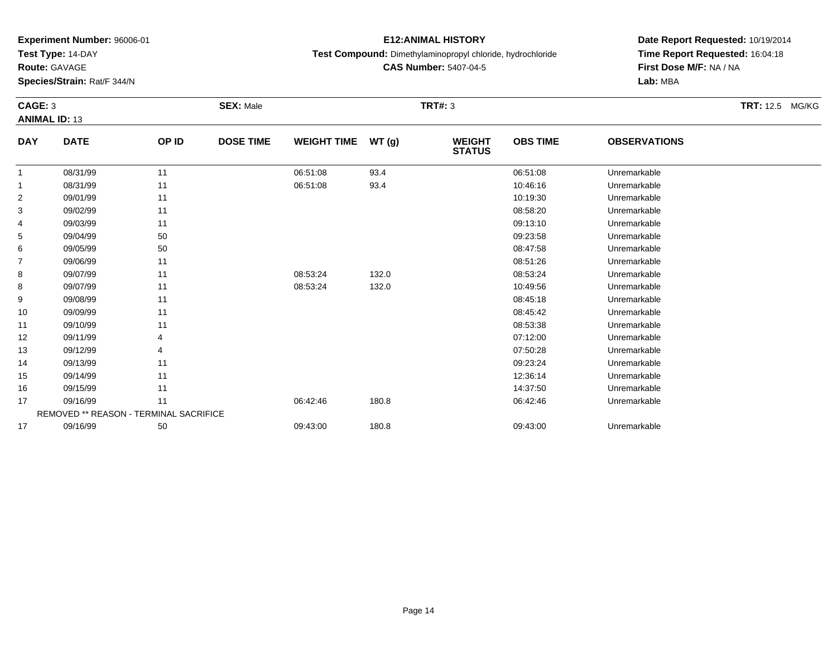**Test Type:** 14-DAY

**Route:** GAVAGE

15

16

17

17

REMOVED \*\* REASON - TERMINAL SACRIFICE

**Species/Strain:** Rat/F 344/N

### **E12:ANIMAL HISTORY**

**Test Compound:** Dimethylaminopropyl chloride, hydrochloride

**Date Report Requested:** 10/19/2014**Time Report Requested:** 16:04:18**First Dose M/F:** NA / NA**Lab:** MBA

#### **CAGE:** 3 **SEX:** Male **TRT#:** <sup>3</sup> **TRT:** 12.5 MG/KG**ANIMAL ID:** 13**DAY DATE OP ID DOSE TIME WEIGHT TIME WT (g) WEIGHT STATUSOBS TIME OBSERVATIONS** 11 08/31/99 11 1 06:51:08 93.4 06:51:08 06:51:08 Dhremarkable 11 08/31/99 11 1 06:51:08 93.4 10:46:16 10:46:16 Unremarkable 22 09/01/99 11 12 10:19:30 Unremarkable 33 08:58:20 Unremarkable 11 2011 11 2012 12:00 08:58:20 Unremarkable 11 08:58:20 Unremarkable 4 09/03/99 <sup>11</sup> 09:13:10 Unremarkable 55 09:23:58 Unremarkable 50 09:23:58 Unremarkable 66 09/05/99 50 50 50 08:47:58 Unremarkable 77 09/06/99 11 12 12 12 13 13 14 15 16 17 18 19 19 19 19 19 19 19 19 19 19 19 19 1 88 09/07/99 11 1 08:53:24 132.0 08:53:24 08:53:24 Unremarkable 88 09/07/99 11 1 08:53:24 132.0 10:49:56 Unremarkable 99 09/08/99 11 12 12 13 13 13 14 15 16 17 18 19 19 19 19 19 19 19 19 19 19 19 19 1 10 09/09/99 <sup>11</sup> 08:45:42 Unremarkable 11 09/10/99 <sup>11</sup> 08:53:38 Unremarkable 12 09/11/99 <sup>4</sup> 07:12:00 Unremarkable 13 09/12/99 <sup>4</sup> 07:50:28 Unremarkable 1409/13/99 <sup>11</sup> 09:23:24 Unremarkable

5 09/14/99 11 12:36:14 Unremarkable

6 09/15/99 11 12:37:50 Unremarkable

09/16/99 <sup>11</sup> 06:42:46 180.8 06:42:46 Unremarkable

09/16/99 <sup>50</sup> 09:43:00 180.8 09:43:00 Unremarkable

**CAS Number:** 5407-04-5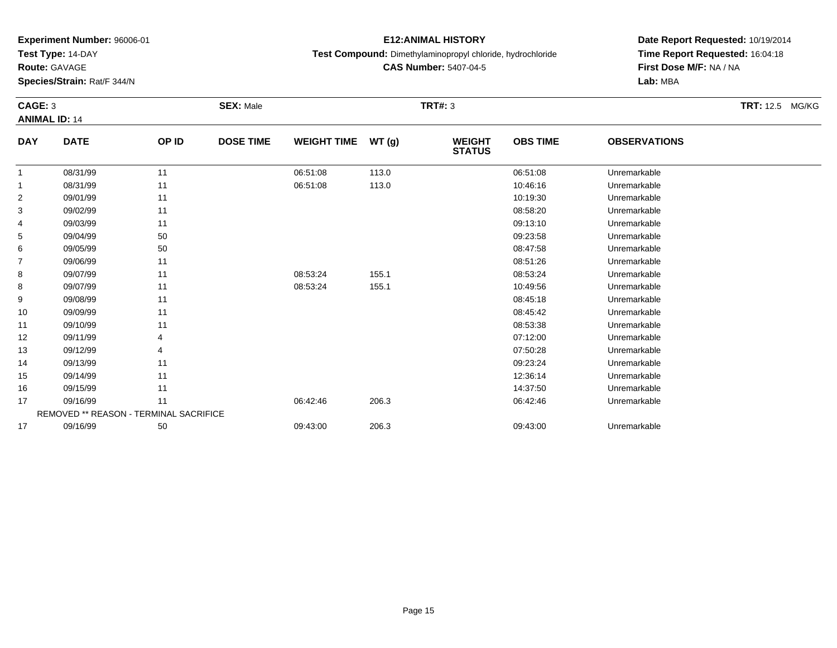**Test Type:** 14-DAY

**Route:** GAVAGE

17

**Species/Strain:** Rat/F 344/N

REMOVED \*\* REASON - TERMINAL SACRIFICE

### **E12:ANIMAL HISTORY**

**Test Compound:** Dimethylaminopropyl chloride, hydrochloride

**CAS Number:** 5407-04-5

**Date Report Requested:** 10/19/2014**Time Report Requested:** 16:04:18**First Dose M/F:** NA / NA**Lab:** MBA

#### **CAGE:** 3 **SEX:** Male **TRT#:** <sup>3</sup> **TRT:** 12.5 MG/KG**ANIMAL ID:** 14**DAY DATE OP ID DOSE TIME WEIGHT TIME WT (g) WEIGHT STATUSOBS TIME OBSERVATIONS** 11 08/31/99 11 1 06:51:08 113.0 06:51:08 06:51:08 Dhremarkable 11 08/31/99 11 1 06:51:08 113.0 10:46:16 Unremarkable 22 09/01/99 11 12 10:19:30 Unremarkable 33 08:58:20 Unremarkable 11 2011 11 2012 12:00 08:58:20 Unremarkable 4 09/03/99 <sup>11</sup> 09:13:10 Unremarkable 55 09:23:58 Unremarkable 50 09:23:58 Unremarkable 66 09/05/99 50 50 50 08:47:58 Unremarkable 77 09/06/99 11 12 12 12 13 13 14 15 16 17 18 19 19 19 19 19 19 19 19 19 19 19 19 1 88 09/07/99 11 1 08:53:24 155.1 08:53:24 09:53:24 Unremarkable 88 09/07/99 11 1 08:53:24 155.1 10:49:56 Unremarkable 99 09/08/99 11 12 12 13 13 13 14 15 16 17 18 19 19 19 19 19 19 19 19 19 19 19 19 1 10 09/09/99 <sup>11</sup> 08:45:42 Unremarkable 11 09/10/99 <sup>11</sup> 08:53:38 Unremarkable 12 09/11/99 <sup>4</sup> 07:12:00 Unremarkable 13 09/12/99 <sup>4</sup> 07:50:28 Unremarkable 14 09/13/99 <sup>11</sup> 09:23:24 Unremarkable 155 09/14/99 11 12:36:14 Unremarkable 166 09/15/99 11 12:37:50 Unremarkable 17

09/16/99 <sup>11</sup> 06:42:46 206.3 06:42:46 Unremarkable

09/16/99 <sup>50</sup> 09:43:00 206.3 09:43:00 Unremarkable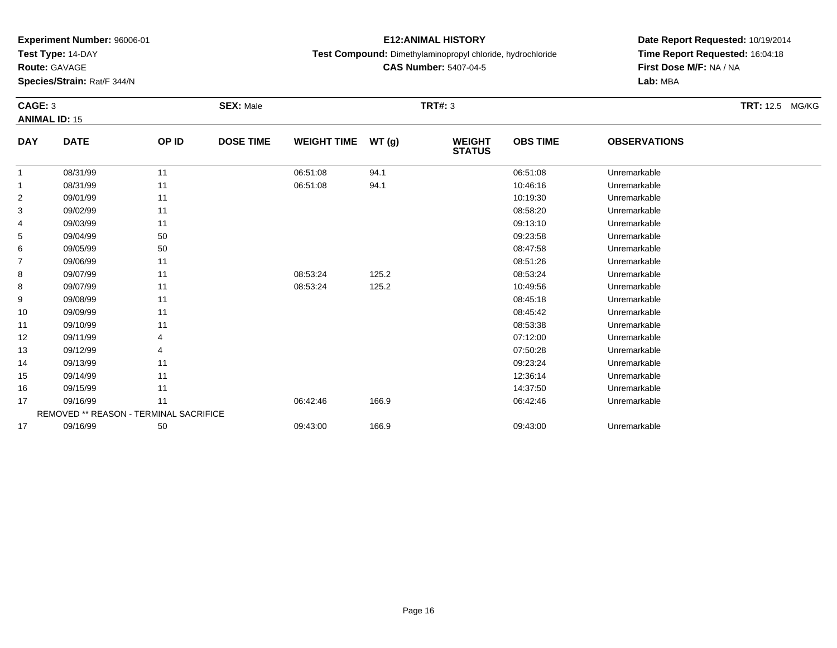**Test Type:** 14-DAY

**Route:** GAVAGE

15

16

17

17

REMOVED \*\* REASON - TERMINAL SACRIFICE

**Species/Strain:** Rat/F 344/N

## **E12:ANIMAL HISTORY**

**Test Compound:** Dimethylaminopropyl chloride, hydrochloride

**CAS Number:** 5407-04-5

**Date Report Requested:** 10/19/2014**Time Report Requested:** 16:04:18**First Dose M/F:** NA / NA**Lab:** MBA

#### **CAGE:** 3 **SEX:** Male **TRT#:** <sup>3</sup> **TRT:** 12.5 MG/KG**ANIMAL ID:** 15**DAY DATE OP ID DOSE TIME WEIGHT TIME WT (g) WEIGHT STATUSOBS TIME OBSERVATIONS** 11 08/31/99 11 1 06:51:08 94.1 06:51:08 06:51:08 Dhremarkable 11 08/31/99 11 1 06:51:08 94.1 1 1 08:51:08 94.1 1 10:46:16 Unremarkable 22 09/01/99 11 12 10:19:30 Unremarkable 33 08:58:20 Unremarkable 11 2011 11 2012 12:00 08:58:20 Unremarkable 11 08:58:20 Unremarkable 4 09/03/99 <sup>11</sup> 09:13:10 Unremarkable 55 09:23:58 Unremarkable 50 09:23:58 Unremarkable 66 09/05/99 50 50 50 08:47:58 Unremarkable 77 09/06/99 11 12 12 12 13 13 14 15 16 17 18 19 19 19 19 19 19 19 19 19 19 19 19 1 88 09/07/99 11 1 08:53:24 125.2 08:53:24 08:53:24 Unremarkable 88 09/07/99 11 1 08:53:24 125.2 10:49:56 Unremarkable 99 09/08/99 11 12 12 13 13 13 14 15 16 17 18 19 19 19 19 19 19 19 19 19 19 19 19 1 10 09/09/99 <sup>11</sup> 08:45:42 Unremarkable 11 09/10/99 <sup>11</sup> 08:53:38 Unremarkable 12 09/11/99 <sup>4</sup> 07:12:00 Unremarkable 13 09/12/99 <sup>4</sup> 07:50:28 Unremarkable 1409/13/99 <sup>11</sup> 09:23:24 Unremarkable

5 09/14/99 11 12:36:14 Unremarkable

6 09/15/99 11 12:37:50 Unremarkable

7 09/16/99 11 1 06:42:46 166.9 06:42:46 06:42:46 09/16/99 Unremarkable

09/16/99 <sup>50</sup> 09:43:00 166.9 09:43:00 Unremarkable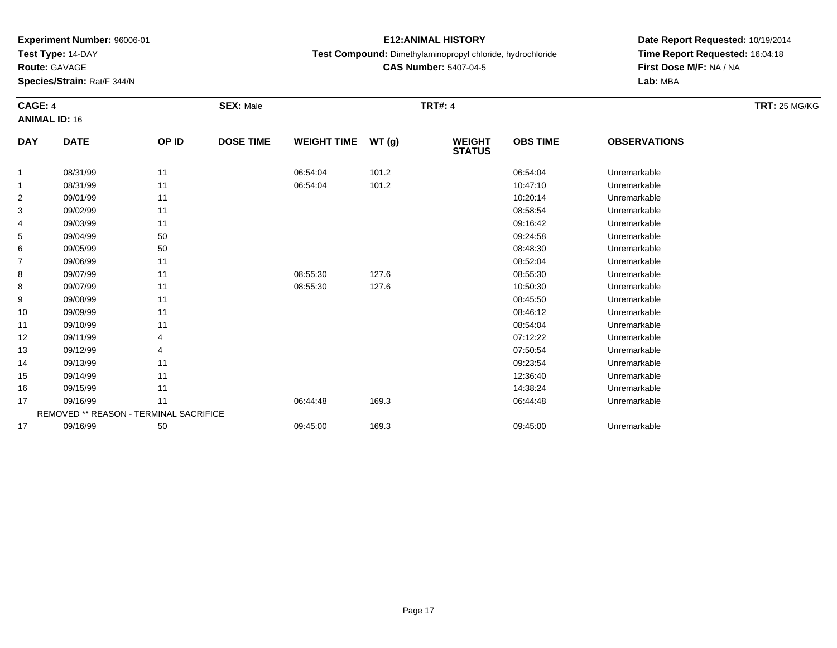**Test Type:** 14-DAY

**Route:** GAVAGE

14

15

16

17

17

REMOVED \*\* REASON - TERMINAL SACRIFICE

**Species/Strain:** Rat/F 344/N

### **E12:ANIMAL HISTORY**

**Test Compound:** Dimethylaminopropyl chloride, hydrochloride

**CAS Number:** 5407-04-5

**Date Report Requested:** 10/19/2014**Time Report Requested:** 16:04:18**First Dose M/F:** NA / NA**Lab:** MBA

#### **CAGE:** 4 **SEX:** Male **TRT#:** <sup>4</sup> **TRT:** 25 MG/KG**ANIMAL ID:** 16**DAY DATE OP ID DOSE TIME WEIGHT TIME WT (g) WEIGHT STATUSOBS TIME OBSERVATIONS** 1 08/31/99 <sup>11</sup> 06:54:04 101.2 06:54:04 Unremarkable 11 08/31/99 11 1 06:54:04 101.2 10:47:10 10:47:10 Unremarkable 22 09/01/99 11 12 10:20:14 Unremarkable 33 08:58:54 Unremarkable 11 2011 11 2012 12:00 12:00 12:00 12:00 12:00 13:00 13:00 14:00 14:00 14:00 14:00 14:0 4 09/03/99 <sup>11</sup> 09:16:42 Unremarkable 55 09:24:58 Unremarkable 50 50 09:24:58 Demand to the set of the set of the set of the set of the set of the set of the set of the set of the set of the set of the set of the set of the set of the set of the set of the set 66 09/05/99 50 50 50 08:48:30 Dhremarkable 77 09/06/99 11 12 12 12 13 13 14 15 16 17 18 19 19 19 19 19 19 19 19 19 19 19 19 1 88 09/07/99 11 1 08:55:30 127.6 08:55:30 08:55:30 Unremarkable 88 09/07/99 11 1 08:55:30 127.6 10:50:30 Unremarkable 99 09/08/99 11 12 12 13 13 13 14 15:00 11 15:00 12:00 13:00 13:00 14:00 15:00 15:00 15:00 15:00 15:00 15:00 15:0 10 09/09/99 <sup>11</sup> 08:46:12 Unremarkable 11 09/10/99 <sup>11</sup> 08:54:04 Unremarkable 12 09/11/99 <sup>4</sup> 07:12:22 Unremarkable 13

09/12/99 <sup>4</sup> 07:50:54 Unremarkable

09/13/99 <sup>11</sup> 09:23:54 Unremarkable

5 09/14/99 11 12:36:40 Unremarkable

6 09/15/99 11 1208:24 Unremarkable

7 09/16/99 11 1 06:44:48 169.3 06:45.48 06:44:48 Dhremarkable

09/16/99 <sup>50</sup> 09:45:00 169.3 09:45:00 Unremarkable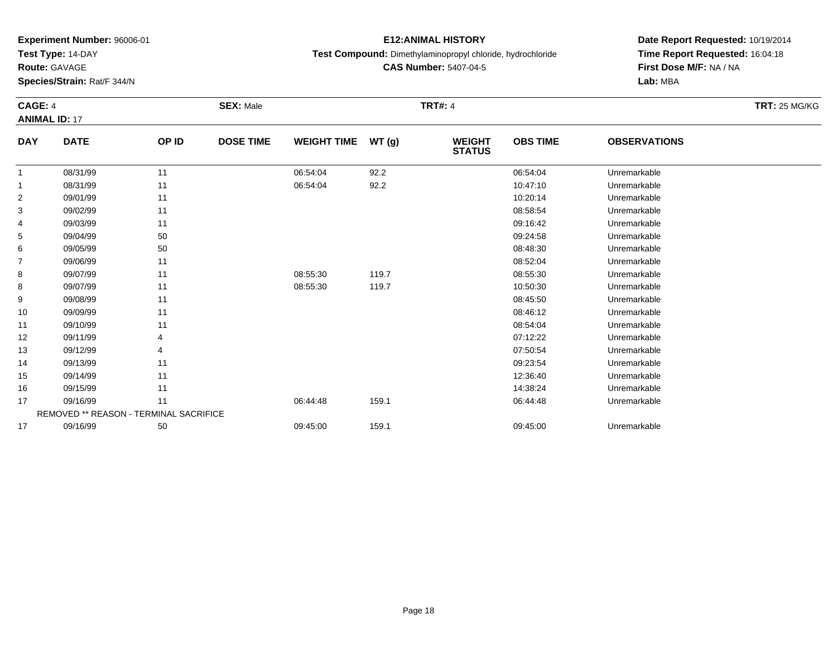**Test Type:** 14-DAY

**Route:** GAVAGE

**Species/Strain:** Rat/F 344/N

## **E12:ANIMAL HISTORY**

**Test Compound:** Dimethylaminopropyl chloride, hydrochloride

**CAS Number:** 5407-04-5

**Date Report Requested:** 10/19/2014 **Time Report Requested:** 16:04:18**First Dose M/F:** NA / NA**Lab:** MBA

#### **CAGE:** 4 **SEX:** Male **TRT#:** <sup>4</sup> **TRT:** 25 MG/KG**ANIMAL ID:** 17**DAY DATE OP IDDOSE TIME WEIGHT TIME WT** (g) **STATUSOBS TIME OBSERVATIONS** 11 08/31/99 11 1 06:54:04 92.2 06:54:04 06:54:04 Dhremarkable 11 08/31/99 11 1 06:54:04 92.2 10:47:10 Unremarkable 22 09/01/99 11 12 10:20:14 Unremarkable

|                | 08/31/99                               | 11 | 06:54:04 | 92.2  | 10:47:10 | Unremarkable |  |
|----------------|----------------------------------------|----|----------|-------|----------|--------------|--|
| $\overline{2}$ | 09/01/99                               | 11 |          |       | 10:20:14 | Unremarkable |  |
| 3              | 09/02/99                               | 11 |          |       | 08:58:54 | Unremarkable |  |
| 4              | 09/03/99                               | 11 |          |       | 09:16:42 | Unremarkable |  |
| 5              | 09/04/99                               | 50 |          |       | 09:24:58 | Unremarkable |  |
| 6              | 09/05/99                               | 50 |          |       | 08:48:30 | Unremarkable |  |
| 7              | 09/06/99                               | 11 |          |       | 08:52:04 | Unremarkable |  |
| 8              | 09/07/99                               | 11 | 08:55:30 | 119.7 | 08:55:30 | Unremarkable |  |
| 8              | 09/07/99                               | 11 | 08:55:30 | 119.7 | 10:50:30 | Unremarkable |  |
| 9              | 09/08/99                               | 11 |          |       | 08:45:50 | Unremarkable |  |
| 10             | 09/09/99                               | 11 |          |       | 08:46:12 | Unremarkable |  |
| 11             | 09/10/99                               | 11 |          |       | 08:54:04 | Unremarkable |  |
| 12             | 09/11/99                               |    |          |       | 07:12:22 | Unremarkable |  |
| 13             | 09/12/99                               |    |          |       | 07:50:54 | Unremarkable |  |
| 14             | 09/13/99                               | 11 |          |       | 09:23:54 | Unremarkable |  |
| 15             | 09/14/99                               | 11 |          |       | 12:36:40 | Unremarkable |  |
| 16             | 09/15/99                               | 11 |          |       | 14:38:24 | Unremarkable |  |
| 17             | 09/16/99                               | 11 | 06:44:48 | 159.1 | 06:44:48 | Unremarkable |  |
|                | REMOVED ** REASON - TERMINAL SACRIFICE |    |          |       |          |              |  |
| 17             | 09/16/99                               | 50 | 09:45:00 | 159.1 | 09:45:00 | Unremarkable |  |
|                |                                        |    |          |       |          |              |  |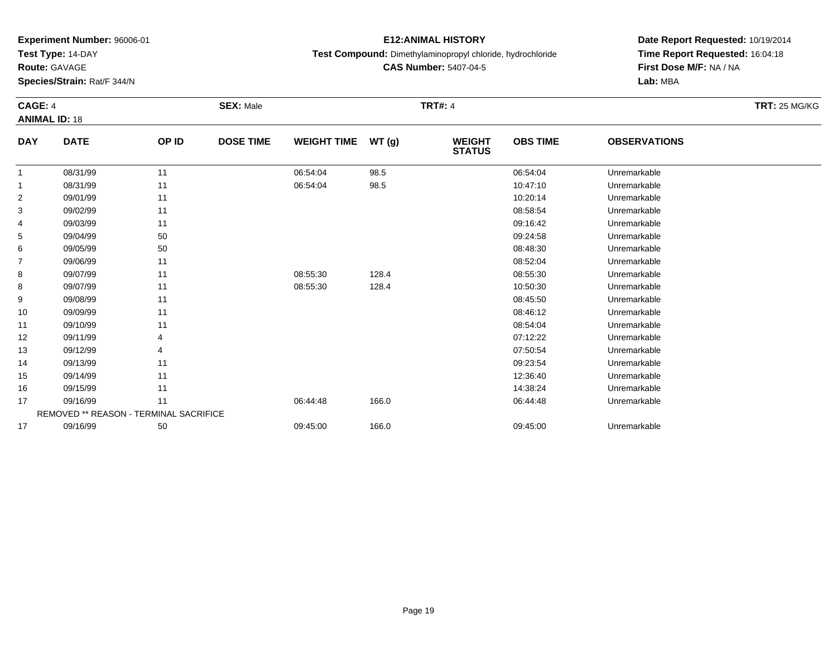**Test Type:** 14-DAY

**Route:** GAVAGE

**Species/Strain:** Rat/F 344/N

## **E12:ANIMAL HISTORY**

**Test Compound:** Dimethylaminopropyl chloride, hydrochloride

**CAS Number:** 5407-04-5

**Date Report Requested:** 10/19/2014**Time Report Requested:** 16:04:18**First Dose M/F:** NA / NA**Lab:** MBA

#### **CAGE:** 4 **SEX:** Male **TRT#:** <sup>4</sup> **TRT:** 25 MG/KG**ANIMAL ID:** 18**DAY DATE OP IDDOSE TIME WEIGHT TIME WT** (g) **STATUSOBS TIME OBSERVATIONS** 11 08/31/99 11 1 06:54:04 98.5 06:54:04 06:54:04 Dhremarkable 11 08/31/99 11 1 06:54:04 98.5 10:47:10 Unremarkable 22 09/01/99 11 12 10:20:14 Unremarkable 33 08:58:54 Unremarkable 11 2011 11 2012 12:00 12:00 12:00 12:00 12:00 13:00 13:00 14:00 14:00 14:00 14:00 14:0 4 09/03/99 <sup>11</sup> 09:16:42 Unremarkable 55 09:24:58 Unremarkable 50 50 09:24:58 Demography of the Unremarkable by the Unremarkable by the Unremarkable by the Unremarkable by the Unremarkable by the Unremarkable by the Unremarkable by the Unremarkable by the Unrem

| 3  | 09/02/99                                      | 11 |          |       | 08:58:54 | Unremarkable |  |
|----|-----------------------------------------------|----|----------|-------|----------|--------------|--|
| 4  | 09/03/99                                      | 11 |          |       | 09:16:42 | Unremarkable |  |
| 5  | 09/04/99                                      | 50 |          |       | 09:24:58 | Unremarkable |  |
| 6  | 09/05/99                                      | 50 |          |       | 08:48:30 | Unremarkable |  |
| 7  | 09/06/99                                      | 11 |          |       | 08:52:04 | Unremarkable |  |
| 8  | 09/07/99                                      | 11 | 08:55:30 | 128.4 | 08:55:30 | Unremarkable |  |
| 8  | 09/07/99                                      | 11 | 08:55:30 | 128.4 | 10:50:30 | Unremarkable |  |
| 9  | 09/08/99                                      | 11 |          |       | 08:45:50 | Unremarkable |  |
| 10 | 09/09/99                                      | 11 |          |       | 08:46:12 | Unremarkable |  |
| 11 | 09/10/99                                      | 11 |          |       | 08:54:04 | Unremarkable |  |
| 12 | 09/11/99                                      | 4  |          |       | 07:12:22 | Unremarkable |  |
| 13 | 09/12/99                                      | 4  |          |       | 07:50:54 | Unremarkable |  |
| 14 | 09/13/99                                      | 11 |          |       | 09:23:54 | Unremarkable |  |
| 15 | 09/14/99                                      | 11 |          |       | 12:36:40 | Unremarkable |  |
| 16 | 09/15/99                                      | 11 |          |       | 14:38:24 | Unremarkable |  |
| 17 | 09/16/99                                      | 11 | 06:44:48 | 166.0 | 06:44:48 | Unremarkable |  |
|    | <b>REMOVED ** REASON - TERMINAL SACRIFICE</b> |    |          |       |          |              |  |
| 17 | 09/16/99                                      | 50 | 09:45:00 | 166.0 | 09:45:00 | Unremarkable |  |
|    |                                               |    |          |       |          |              |  |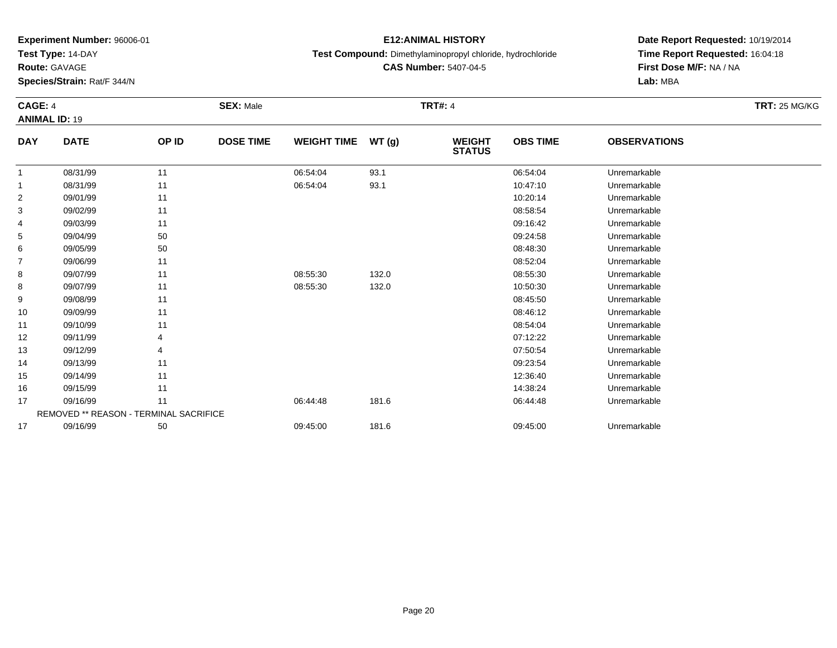**Test Type:** 14-DAY

**Route:** GAVAGE

12

13

14

15

16

17

17

REMOVED \*\* REASON - TERMINAL SACRIFICE

**Species/Strain:** Rat/F 344/N

## **E12:ANIMAL HISTORY**

**Test Compound:** Dimethylaminopropyl chloride, hydrochloride

**Date Report Requested:** 10/19/2014**Time Report Requested:** 16:04:18**First Dose M/F:** NA / NA**Lab:** MBA

#### **CAGE:** 4 **SEX:** Male **TRT#:** <sup>4</sup> **TRT:** 25 MG/KG**ANIMAL ID:** 19**DAY DATE OP ID DOSE TIME WEIGHT TIME WT (g) WEIGHT STATUSOBS TIME OBSERVATIONS** 11 08/31/99 11 1 06:54:04 93.1 93.1 06:54:04 Dhremarkable 11 08/31/99 11 1 06:54:04 93.1 10:47:10 Unremarkable 22 09/01/99 11 12 10:20:14 Unremarkable 33 08:58:54 Unremarkable 11 2011 11 2012 12:00 12:00 12:00 12:00 12:00 13:00 13:00 14:00 14:00 14:00 14:00 14:0 4 09/03/99 <sup>11</sup> 09:16:42 Unremarkable 55 09:24:58 Unremarkable 50 50 09:24:58 Demography of the Unremarkable by the Unremarkable by the Unremarkable by the Unremarkable by the Unremarkable by the Unremarkable by the Unremarkable by the Unremarkable by the Unrem 66 09/05/99 50 50 50 08:48:30 Dhremarkable 77 09/06/99 11 12 12 12 13 13 14 15 16 17 18 19 19 19 19 19 19 19 19 19 19 19 19 1 88 09/07/99 11 1 08:55:30 132.0 08:55:30 08:55:30 Unremarkable 88 09/07/99 11 1 08:55:30 132.0 132.0 10:50:30 Unremarkable 99 09/08/99 11 12 12 13 13 13 14 15:00 11 15:00 12:00 13:00 13:00 14:00 15:00 15:00 15:00 15:00 15:00 15:00 15:0 10 09/09/99 <sup>11</sup> 08:46:12 Unremarkable 1109/10/99 <sup>11</sup> 08:54:04 Unremarkable

09/11/99 <sup>4</sup> 07:12:22 Unremarkable

09/12/99 <sup>4</sup> 07:50:54 Unremarkable

09/13/99 <sup>11</sup> 09:23:54 Unremarkable

5 09/14/99 11 12:36:40 Unremarkable

6 09/15/99 11 1208:24 Unremarkable

7 09/16/99 11 1 06:44:48 181.6 06:44:48 06:44:48 Dhremarkable

09/16/99 <sup>50</sup> 09:45:00 181.6 09:45:00 Unremarkable

**CAS Number:** 5407-04-5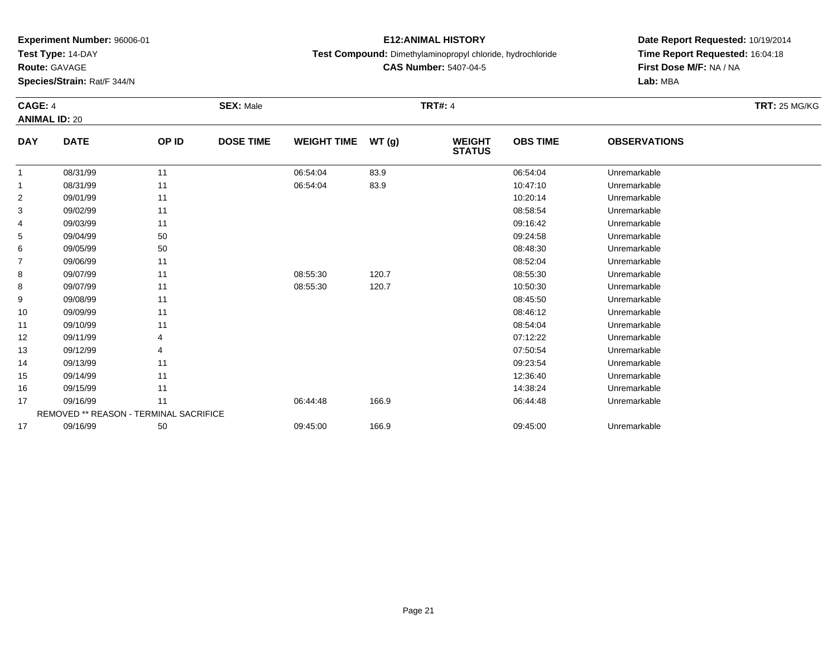**Test Type:** 14-DAY

**Route:** GAVAGE

**Species/Strain:** Rat/F 344/N

## **E12:ANIMAL HISTORY**

**Test Compound:** Dimethylaminopropyl chloride, hydrochloride

**CAS Number:** 5407-04-5

**Date Report Requested:** 10/19/2014**Time Report Requested:** 16:04:18**First Dose M/F:** NA / NA**Lab:** MBA

#### **CAGE:** 4 **SEX:** Male **TRT#:** <sup>4</sup> **TRT:** 25 MG/KG**ANIMAL ID:** 20**DAY DATE OP IDDOSE TIME WEIGHT TIME WT** (g) **STATUSOBS TIME OBSERVATIONS** 11 08/31/99 11 1 06:54:04 83.9 06:54:04 06:54:04 Dhremarkable 11 08/31/99 11 1 06:54:04 83.9 10:47:10 Unremarkable 22 09/01/99 11 12 10:20:14 Unremarkable 33 08:58:54 Unremarkable 11 2011 11 2012 12:00 12:00 12:00 12:00 12:00 13:00 13:00 14:00 14:00 14:00 14:00 14:0 4 09/03/99 <sup>11</sup> 09:16:42 Unremarkable 55 09:24:58 Unremarkable 50 50 09:24:58 Demand to the set of the set of the set of the set of the set of the set of the set of the set of the set of the set of the set of the set of the set of the set of the set of the set

| 3  | 09/02/99 | 11                                            |          |       | 08:58:54 | Unremarkable |  |
|----|----------|-----------------------------------------------|----------|-------|----------|--------------|--|
| 4  | 09/03/99 | 11                                            |          |       | 09:16:42 | Unremarkable |  |
| 5  | 09/04/99 | 50                                            |          |       | 09:24:58 | Unremarkable |  |
| 6  | 09/05/99 | 50                                            |          |       | 08:48:30 | Unremarkable |  |
|    | 09/06/99 | 11                                            |          |       | 08:52:04 | Unremarkable |  |
| 8  | 09/07/99 | 11                                            | 08:55:30 | 120.7 | 08:55:30 | Unremarkable |  |
| 8  | 09/07/99 | 11                                            | 08:55:30 | 120.7 | 10:50:30 | Unremarkable |  |
| 9  | 09/08/99 | 11                                            |          |       | 08:45:50 | Unremarkable |  |
| 10 | 09/09/99 | 11                                            |          |       | 08:46:12 | Unremarkable |  |
| 11 | 09/10/99 | 11                                            |          |       | 08:54:04 | Unremarkable |  |
| 12 | 09/11/99 | 4                                             |          |       | 07:12:22 | Unremarkable |  |
| 13 | 09/12/99 | 4                                             |          |       | 07:50:54 | Unremarkable |  |
| 14 | 09/13/99 | 11                                            |          |       | 09:23:54 | Unremarkable |  |
| 15 | 09/14/99 | 11                                            |          |       | 12:36:40 | Unremarkable |  |
| 16 | 09/15/99 | 11                                            |          |       | 14:38:24 | Unremarkable |  |
| 17 | 09/16/99 | 11                                            | 06:44:48 | 166.9 | 06:44:48 | Unremarkable |  |
|    |          | <b>REMOVED ** REASON - TERMINAL SACRIFICE</b> |          |       |          |              |  |
| 17 | 09/16/99 | 50                                            | 09:45:00 | 166.9 | 09:45:00 | Unremarkable |  |
|    |          |                                               |          |       |          |              |  |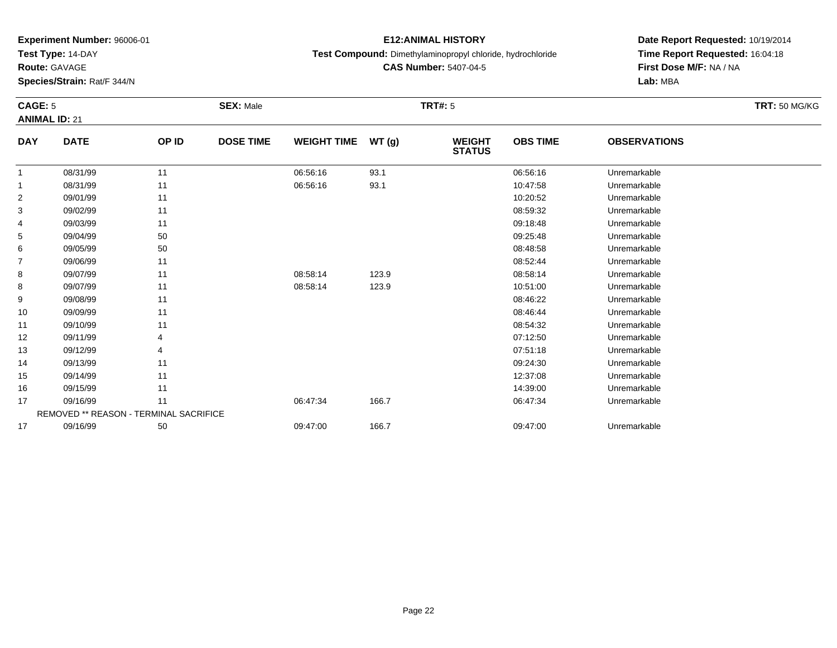**Test Type:** 14-DAY

**Route:** GAVAGE

10

11

12

13

14

15

16

17

17

REMOVED \*\* REASON - TERMINAL SACRIFICE

**Species/Strain:** Rat/F 344/N

### **E12:ANIMAL HISTORY**

**Test Compound:** Dimethylaminopropyl chloride, hydrochloride

**CAS Number:** 5407-04-5

**Date Report Requested:** 10/19/2014**Time Report Requested:** 16:04:18**First Dose M/F:** NA / NA**Lab:** MBA

#### **CAGE:** 5 **SEX:** Male **TRT#:** <sup>5</sup> **TRT:** 50 MG/KG**ANIMAL ID:** 21**DAY DATE OP ID DOSE TIME WEIGHT TIME WT (g) WEIGHT STATUSOBS TIME OBSERVATIONS** 11 08/31/99 11 1 06:56:16 93.1 06:56:16 08:56:16 Dhremarkable 11 08/31/99 11 1 06:56:16 93.1 1 0.47:58 Unremarkable 22 09/01/99 11 12 10:20:52 Unremarkable 33 08:59:32 Unremarkable 11 2011 11 2012 12:00 12:00 12:00 12:00 12:00 13:00 13:00 14:00 14:00 14:00 14:00 14:0 4 09/03/99 <sup>11</sup> 09:18:48 Unremarkable 55 09:25:48 Unremarkable 50 50 09:25:48 Unremarkable 5 09:25:48 Unremarkable 66 09/05/99 50 50 50 08:48:58 Unremarkable 77 09/06/99 11 12 12 12 13 13 14 15 16 17 18 19 19 19 19 19 19 19 19 19 19 19 19 1 88 09/07/99 11 1 08:58:14 123.9 08:58:14 08:58:14 Dhremarkable 88 09/07/99 11 1 08:58:14 123.9 10:51:00 Unremarkable 9

09/08/99 <sup>11</sup> 08:46:22 Unremarkable

09/09/99 <sup>11</sup> 08:46:44 Unremarkable

09/10/99 <sup>11</sup> 08:54:32 Unremarkable

09/11/99 <sup>4</sup> 07:12:50 Unremarkable

09/12/99 <sup>4</sup> 07:51:18 Unremarkable

09/13/99 <sup>11</sup> 09:24:30 Unremarkable

5 09/14/99 11 12:37:08 Unremarkable

6 09/15/99 11 12:39:00 Unremarkable

09/16/99 <sup>11</sup> 06:47:34 166.7 06:47:34 Unremarkable

09/16/99 <sup>50</sup> 09:47:00 166.7 09:47:00 Unremarkable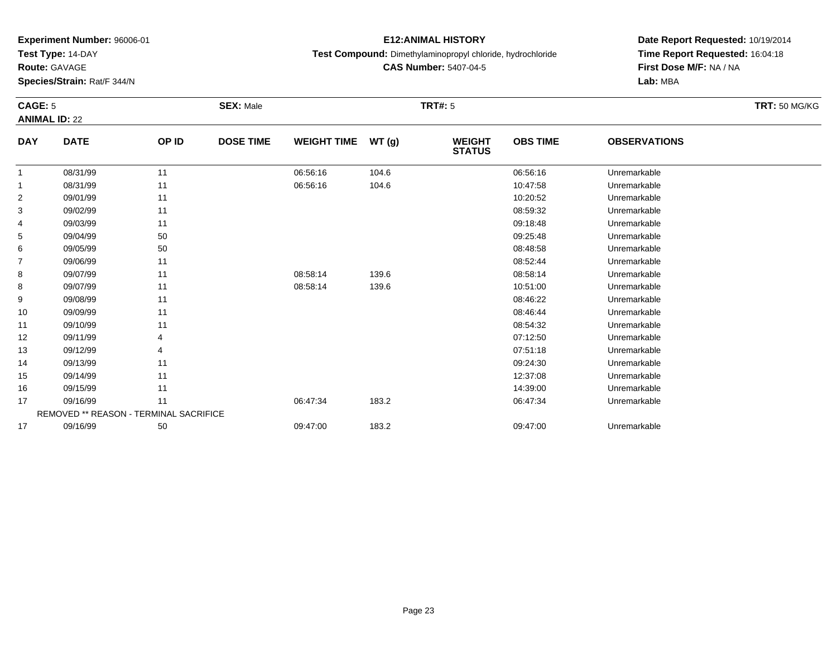**Test Type:** 14-DAY

**Route:** GAVAGE

15

16

17

17

REMOVED \*\* REASON - TERMINAL SACRIFICE

**Species/Strain:** Rat/F 344/N

### **E12:ANIMAL HISTORY**

### **Test Compound:** Dimethylaminopropyl chloride, hydrochloride

**CAS Number:** 5407-04-5

**Date Report Requested:** 10/19/2014**Time Report Requested:** 16:04:18**First Dose M/F:** NA / NA**Lab:** MBA

#### **CAGE:** 5 **SEX:** Male **TRT#:** <sup>5</sup> **TRT:** 50 MG/KG**ANIMAL ID:** 22**DAY DATE OP ID DOSE TIME WEIGHT TIME WT (g) WEIGHT STATUSOBS TIME OBSERVATIONS** 11 08/31/99 11 1 06:56:16 104.6 06:56:16 06:56:16 104.6 11 08/31/99 11 1 06:56:16 104.6 104.6 1047:58 Unremarkable 22 09/01/99 11 12 10:20:52 Unremarkable 33 08:59:32 Unremarkable 11 2011 11 2012 12:00 12:00 12:00 12:00 12:00 13:00 13:00 14:00 14:00 14:00 14:00 14:0 4 09/03/99 <sup>11</sup> 09:18:48 Unremarkable 55 09:25:48 Unremarkable 50 50 09:25:48 Unremarkable 5 09:25:48 Unremarkable 66 09/05/99 50 50 50 08:48:58 Unremarkable 77 09/06/99 11 12 12 12 13 13 14 15 16 17 18 19 19 19 19 19 19 19 19 19 19 19 19 1 88 09/07/99 11 1 08:58:14 139.6 08:58:14 08:58:14 Unremarkable 88 09/07/99 11 08:58:14 139.6 10:51:00 Unremarkable 9 09/08/99 <sup>11</sup> 08:46:22 Unremarkable 10 09/09/99 <sup>11</sup> 08:46:44 Unremarkable 11 09/10/99 <sup>11</sup> 08:54:32 Unremarkable 12 09/11/99 <sup>4</sup> 07:12:50 Unremarkable 13 09/12/99 <sup>4</sup> 07:51:18 Unremarkable 1409/13/99 <sup>11</sup> 09:24:30 Unremarkable

5 09/14/99 11 12:37:08 Unremarkable

6 09/15/99 11 12:39:00 Unremarkable

09/16/99 <sup>11</sup> 06:47:34 183.2 06:47:34 Unremarkable

09/16/99 <sup>50</sup> 09:47:00 183.2 09:47:00 Unremarkable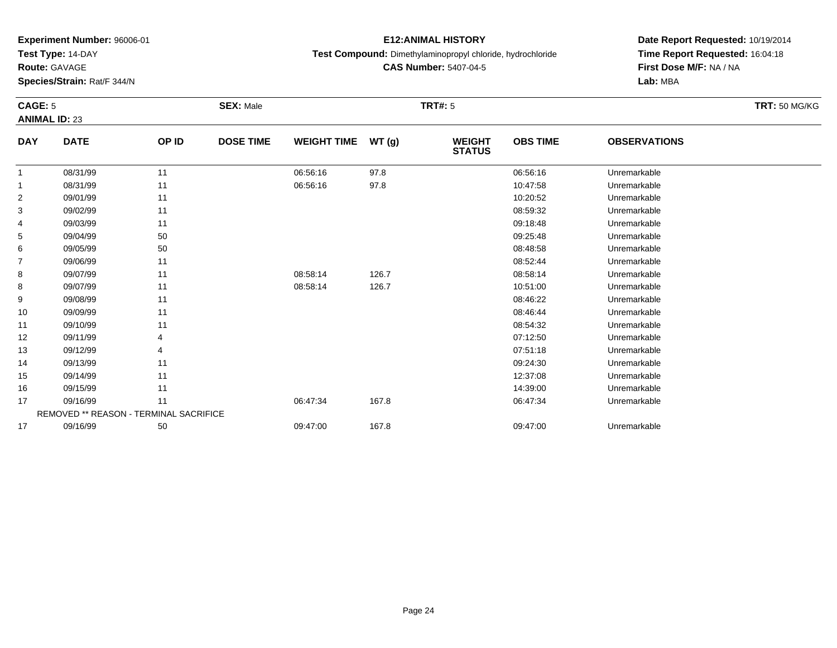**Test Type:** 14-DAY

**Route:** GAVAGE

17

17

REMOVED \*\* REASON - TERMINAL SACRIFICE

**Species/Strain:** Rat/F 344/N

### **E12:ANIMAL HISTORY**

**Test Compound:** Dimethylaminopropyl chloride, hydrochloride

**CAS Number:** 5407-04-5

**Date Report Requested:** 10/19/2014**Time Report Requested:** 16:04:18**First Dose M/F:** NA / NA**Lab:** MBA

#### **CAGE:** 5 **SEX:** Male **TRT#:** <sup>5</sup> **TRT:** 50 MG/KG**ANIMAL ID:** 23**DAY DATE OP ID DOSE TIME WEIGHT TIME WT (g) WEIGHT STATUSOBS TIME OBSERVATIONS** 11 08/31/99 11 1 06:56:16 97.8 06:56:16 06:56:16 Dhremarkable 11 08/31/99 11 1 06:56:16 97.8 10:47:58 Unremarkable 22 09/01/99 11 12 10:20:52 Unremarkable 33 08:59:32 Unremarkable 11 2011 11 2012 12:00 12:00 12:00 12:00 12:00 13:00 13:00 14:00 14:00 14:00 14:00 14:0 4 09/03/99 <sup>11</sup> 09:18:48 Unremarkable 55 09:25:48 Unremarkable 50 50 09:25:48 Unremarkable 5 09:25:48 Unremarkable 66 09/05/99 50 50 50 08:48:58 Unremarkable 77 09/06/99 11 12 12 12 13 13 14 15 16 17 18 19 19 19 19 19 19 19 19 19 19 19 19 1 88 09/07/99 11 1 08:58:14 126.7 126.7 08:58:14 08:58:14 Dhremarkable 88 09/07/99 11 08:58:14 126.7 10:51:00 Unremarkable 9 09/08/99 <sup>11</sup> 08:46:22 Unremarkable 10 09/09/99 <sup>11</sup> 08:46:44 Unremarkable 11 09/10/99 <sup>11</sup> 08:54:32 Unremarkable 12 09/11/99 <sup>4</sup> 07:12:50 Unremarkable 13 09/12/99 <sup>4</sup> 07:51:18 Unremarkable 14 09/13/99 <sup>11</sup> 09:24:30 Unremarkable 155 09/14/99 11 12:37:08 Unremarkable 166 09/15/99 11 12:39:00 Unremarkable

09/16/99 <sup>11</sup> 06:47:34 167.8 06:47:34 Unremarkable

09/16/99 <sup>50</sup> 09:47:00 167.8 09:47:00 Unremarkable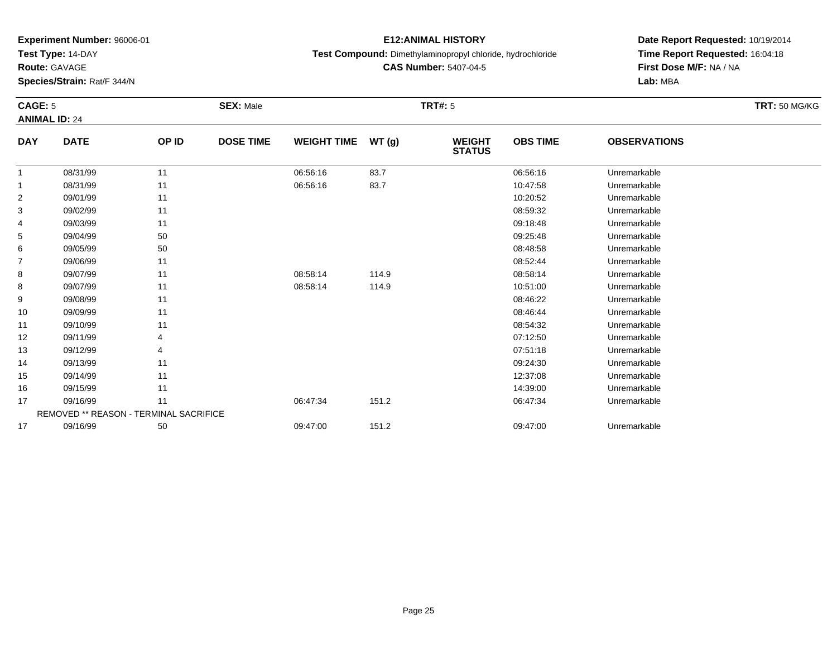**Test Type:** 14-DAY

**Route:** GAVAGE

11

12

13

14

15

16

17

17

**Species/Strain:** Rat/F 344/N

## **E12:ANIMAL HISTORY**

**Test Compound:** Dimethylaminopropyl chloride, hydrochloride

**CAS Number:** 5407-04-5

**Date Report Requested:** 10/19/2014**Time Report Requested:** 16:04:18**First Dose M/F:** NA / NA**Lab:** MBA

#### **CAGE:** 5 **SEX:** Male **TRT#:** <sup>5</sup> **TRT:** 50 MG/KG**ANIMAL ID:** 24**DAY DATE OP ID DOSE TIME WEIGHT TIME WT (g) WEIGHT STATUSOBS TIME OBSERVATIONS** 11 08/31/99 11 1 06:56:16 83.7 06:56:16 08:56:16 1 06:56:16 08:31/99 11 08/31/99 11 1 06:56:16 83.7 10:47:58 Unremarkable 22 09/01/99 11 12 10:20:52 Unremarkable 33 08:59:32 Unremarkable 11 2011 11 2012 12:00 12:00 12:00 12:00 12:00 13:00 13:00 14:00 14:00 14:00 14:00 14:0 4 09/03/99 <sup>11</sup> 09:18:48 Unremarkable 55 09:25:48 Unremarkable 50 50 09:25:48 Unremarkable 5 09:25:48 Unremarkable 66 09/05/99 50 50 50 08:48:58 Unremarkable 77 09/06/99 11 12 12 12 13 13 14 15 16 17 18 19 19 19 19 19 19 19 19 19 19 19 19 1 88 09/07/99 11 1 08:58:14 114.9 08:58 08:58:14 Unremarkable 88 09/07/99 11 1 08:58:14 114.9 10:51:00 Unremarkable 9 09/08/99 <sup>11</sup> 08:46:22 Unremarkable 10

09/09/99 <sup>11</sup> 08:46:44 Unremarkable

09/10/99 <sup>11</sup> 08:54:32 Unremarkable

09/11/99 <sup>4</sup> 07:12:50 Unremarkable

09/12/99 <sup>4</sup> 07:51:18 Unremarkable

09/13/99 <sup>11</sup> 09:24:30 Unremarkable

5 09/14/99 11 12:37:08 Unremarkable

6 09/15/99 11 12:39:00 Unremarkable

09/16/99 <sup>11</sup> 06:47:34 151.2 06:47:34 Unremarkable

09/16/99 <sup>50</sup> 09:47:00 151.2 09:47:00 Unremarkable

REMOVED \*\* REASON - TERMINAL SACRIFICE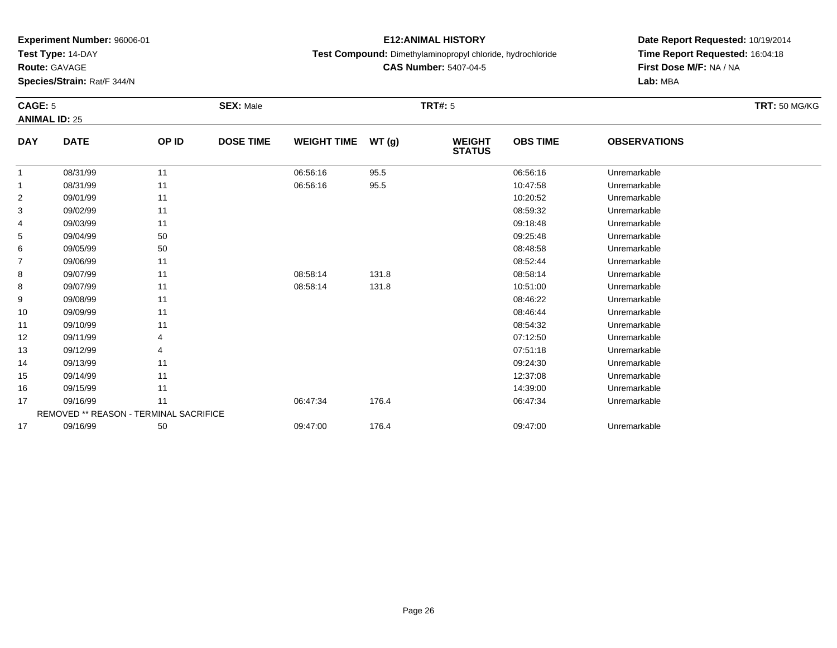**Test Type:** 14-DAY

**Route:** GAVAGE

16

17

17

REMOVED \*\* REASON - TERMINAL SACRIFICE

**Species/Strain:** Rat/F 344/N

## **E12:ANIMAL HISTORY**

**Test Compound:** Dimethylaminopropyl chloride, hydrochloride

**CAS Number:** 5407-04-5

**Date Report Requested:** 10/19/2014**Time Report Requested:** 16:04:18**First Dose M/F:** NA / NA**Lab:** MBA

#### **CAGE:** 5 **SEX:** Male **TRT#:** <sup>5</sup> **TRT:** 50 MG/KG**ANIMAL ID:** 25**DAY DATE OP ID DOSE TIME WEIGHT TIME WT (g) WEIGHT STATUSOBS TIME OBSERVATIONS** 11 08/31/99 11 1 06:56:16 95.5 06:56:16 06:56:16 Dhremarkable 11 08/31/99 11 1 06:56:16 95.5 16 10:47:58 Unremarkable 22 09/01/99 11 12 10:20:52 Unremarkable 33 08:59:32 Unremarkable 11 2011 11 2012 12:00 12:00 12:00 12:00 12:00 13:00 13:00 14:00 14:00 14:00 14:00 14:0 4 09/03/99 <sup>11</sup> 09:18:48 Unremarkable 55 09:25:48 Unremarkable 50 50 09:25:48 Unremarkable 5 09:25:48 Unremarkable 66 09/05/99 50 50 50 08:48:58 Unremarkable 77 09/06/99 11 12 12 12 13 13 14 15 16 17 18 19 19 19 19 19 19 19 19 19 19 19 19 1 88 09/07/99 11 1 08:58:14 131.8 08:58:14 08:58:14 Unremarkable 88 09/07/99 11 08:58:14 131.8 10:51:00 Unremarkable 9 09/08/99 <sup>11</sup> 08:46:22 Unremarkable 10 09/09/99 <sup>11</sup> 08:46:44 Unremarkable 11 09/10/99 <sup>11</sup> 08:54:32 Unremarkable 12 09/11/99 <sup>4</sup> 07:12:50 Unremarkable 13 09/12/99 <sup>4</sup> 07:51:18 Unremarkable 14 09/13/99 <sup>11</sup> 09:24:30 Unremarkable 155 09/14/99 11 12:37:08 Unremarkable

6 09/15/99 11 12:39:00 Unremarkable

09/16/99 <sup>11</sup> 06:47:34 176.4 06:47:34 Unremarkable

09/16/99 <sup>50</sup> 09:47:00 176.4 09:47:00 Unremarkable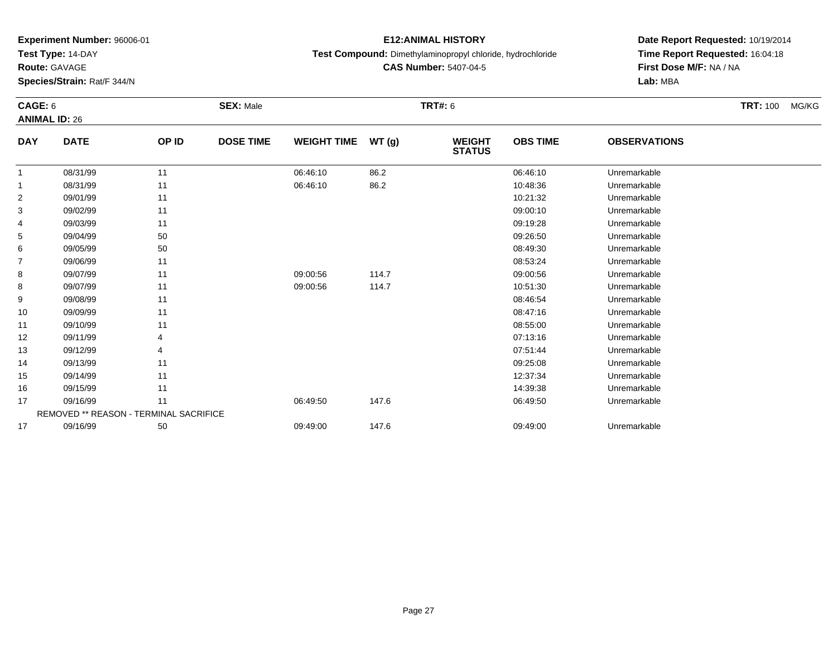**Test Type:** 14-DAY

**Route:** GAVAGE

17

**Species/Strain:** Rat/F 344/N

## **E12:ANIMAL HISTORY**

**Test Compound:** Dimethylaminopropyl chloride, hydrochloride

**CAS Number:** 5407-04-5

**Date Report Requested:** 10/19/2014**Time Report Requested:** 16:04:18**First Dose M/F:** NA / NA**Lab:** MBA

#### **CAGE:** 6 **SEX:** Male **TRT#:** <sup>6</sup> **TRT:** 100 MG/KG**ANIMAL ID:** 26**DAY DATE OP ID DOSE TIME WEIGHT TIME WT (g) WEIGHT STATUSOBS TIME OBSERVATIONS** 11 08/31/99 11 1 06:46:10 86.2 06:46:10 08:46:10 06:46:10 11 08/31/99 11 1 06:46:10 86.2 10:48:36 Unremarkable 22 09/01/99 11 12 10:21:32 Unremarkable 33 09:00:10 Unremarkable 11 11 11 12 12 13 13 14 15 16 17 18 19 19 10 11 11 12 13 14 15 16 17 17 18 19 10 11 11 4 09/03/99 <sup>11</sup> 09:19:28 Unremarkable 55 09:26:50 Unremarkable 50 50 09:26:50 09:26:50 Unremarkable 66 09/05/99 50 50 08:49:30 Unremarkable 77 09/06/99 11 12 12 13 13 13 14 15 16 17 18 19 19 19 19 19 19 19 19 19 19 19 19 1 88 09/07/99 11 09:00:56 114.7 09:00:56 Unremarkable 88 09/07/99 11 09:00:56 114.7 10:51:30 Unremarkable 99 09/08/99 11 12 12 13 13 13 14 15 16 17 18 19 19 19 19 19 19 19 19 19 19 19 19 1 10 09/09/99 <sup>11</sup> 08:47:16 Unremarkable 11 09/10/99 <sup>11</sup> 08:55:00 Unremarkable 122 09/11/99 4 9 07:13:16 Unremarkable 13 09/12/99 <sup>4</sup> 07:51:44 Unremarkable 14 09/13/99 <sup>11</sup> 09:25:08 Unremarkable 155 09/14/99 11 12:37:34 Unremarkable 16 09/15/99 <sup>11</sup> 14:39:38 Unremarkable 177 09/16/99 11 1 06:49:50 147.6 06:49.50 06:49.50 06:49:50 Diremarkable REMOVED \*\* REASON - TERMINAL SACRIFICE

09/16/99 <sup>50</sup> 09:49:00 147.6 09:49:00 Unremarkable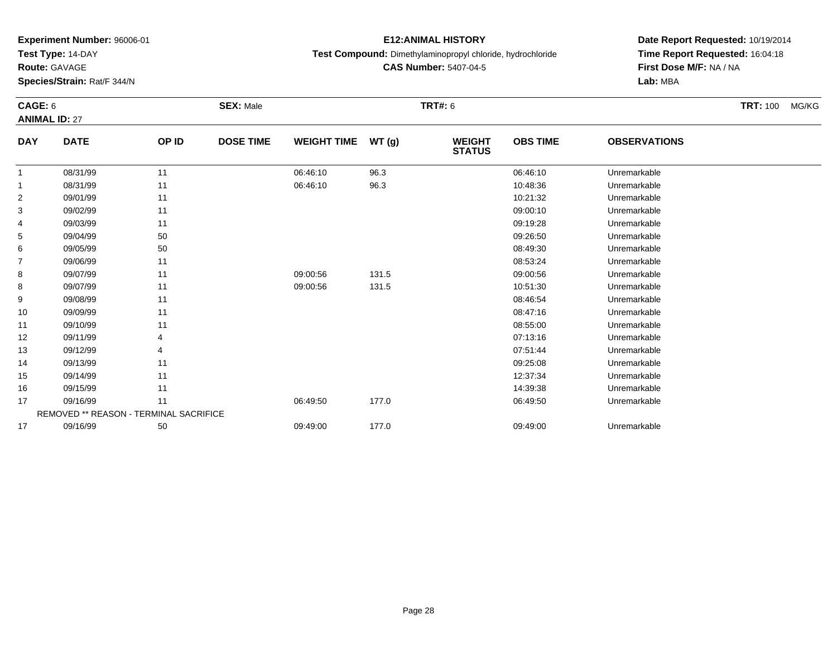**Test Type:** 14-DAY

**Route:** GAVAGE

16

17

17

REMOVED \*\* REASON - TERMINAL SACRIFICE

**Species/Strain:** Rat/F 344/N

### **E12:ANIMAL HISTORY**

**Test Compound:** Dimethylaminopropyl chloride, hydrochloride

**CAS Number:** 5407-04-5

**Date Report Requested:** 10/19/2014**Time Report Requested:** 16:04:18**First Dose M/F:** NA / NA**Lab:** MBA

#### **CAGE:** 6 **SEX:** Male **TRT#:** <sup>6</sup> **TRT:** 100 MG/KG**ANIMAL ID:** 27**DAY DATE OP ID DOSE TIME WEIGHT TIME WT (g) WEIGHT STATUSOBS TIME OBSERVATIONS** 11 08/31/99 11 1 06:46:10 96.3 06:46:10 08:46:10 06:46:10 11 08/31/99 11 1 06:46:10 96.3 10:48:36 Unremarkable 22 09/01/99 11 12 10:21:32 Unremarkable 33 09:00:10 Unremarkable 11 11 11 12 12 13 13 14 15 16 17 18 19 19 10 11 11 12 13 14 15 16 17 17 18 19 10 11 11 4 09/03/99 <sup>11</sup> 09:19:28 Unremarkable 55 09:26:50 Unremarkable 50 50 09:26:50 09:26:50 Unremarkable 66 09/05/99 50 50 08:49:30 Unremarkable 77 09/06/99 11 12 12 13 13 13 14 15 16 17 18 19 19 19 19 19 19 19 19 19 19 19 19 1 88 09/07/99 11 1 09:00:56 131.5 09:00:56 09:00:56 Unremarkable 88 09/07/99 11 09:00:56 131.5 10:51:30 Unremarkable 99 09/08/99 11 12 12 13 13 13 14 15 16 17 18 19 19 19 19 19 19 19 19 19 19 19 19 1 10 09/09/99 <sup>11</sup> 08:47:16 Unremarkable 11 09/10/99 <sup>11</sup> 08:55:00 Unremarkable 122 09/11/99 4 9 07:13:16 Unremarkable 13 09/12/99 <sup>4</sup> 07:51:44 Unremarkable 14 09/13/99 <sup>11</sup> 09:25:08 Unremarkable 155 09/14/99 11 12:37:34 Unremarkable

09/15/99 <sup>11</sup> 14:39:38 Unremarkable

09/16/99 <sup>11</sup> 06:49:50 177.0 06:49:50 Unremarkable

09/16/99 <sup>50</sup> 09:49:00 177.0 09:49:00 Unremarkable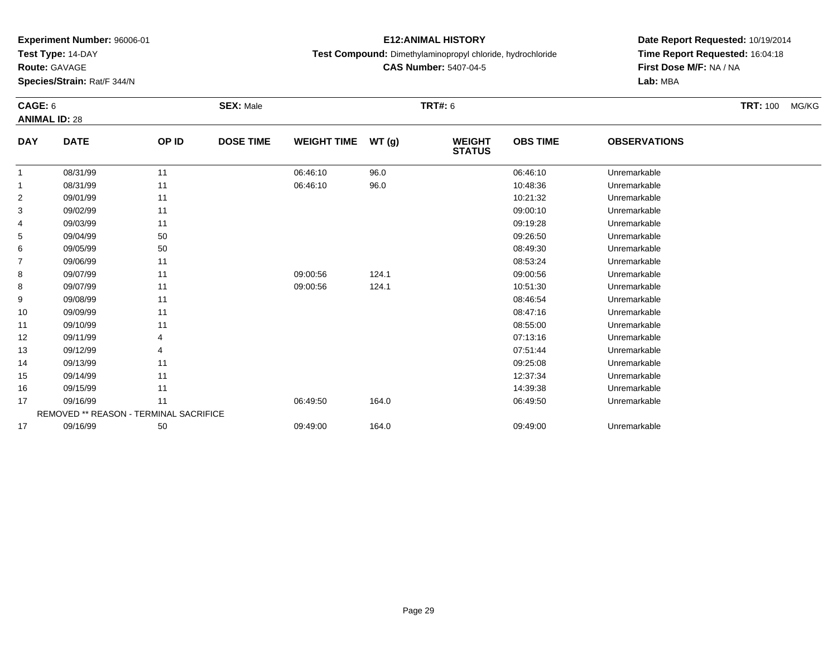**Test Type:** 14-DAY

**Route:** GAVAGE

**Species/Strain:** Rat/F 344/N

### **E12:ANIMAL HISTORY**

**Test Compound:** Dimethylaminopropyl chloride, hydrochloride

**CAS Number:** 5407-04-5

**Date Report Requested:** 10/19/2014**Time Report Requested:** 16:04:18**First Dose M/F:** NA / NA**Lab:** MBA

#### **CAGE:** 6 **SEX:** Male **TRT#:** <sup>6</sup> **TRT:** 100 MG/KG**ANIMAL ID:** 28**DAY DATE OP ID DOSE TIME WEIGHT TIME WT (g) WEIGHT STATUSOBS TIME OBSERVATIONS** 11 08/31/99 11 1 06:46:10 96.0 06:46:10 06:46:10 06:46:10 06:46:10 06:46:10 11 08/31/99 11 1 06:46:10 96.0 10:48:36 Unremarkable 22 09/01/99 11 12 10:21:32 Unremarkable 33 09:00:10 Unremarkable 11 11 11 12 12 13 13 14 15 16 17 18 19 19 10 11 11 12 13 14 15 16 17 17 18 19 10 11 11 4 09/03/99 <sup>11</sup> 09:19:28 Unremarkable 55 09:26:50 Unremarkable 50 50 09:26:50 09:26:50 Unremarkable 66 09/05/99 50 50 08:49:30 Unremarkable 77 09/06/99 11 12 12 13 13 13 14 15 16 17 18 19 19 19 19 19 19 19 19 19 19 19 19 1 88 09/07/99 11 1 09:00:56 124.1 09:00:56 09:00:56 Dhremarkable 88 09/07/99 11 1 09:00:56 124.1 1 10:51:30 Unremarkable 99 09/08/99 11 12 12 13 13 13 14 15 16 17 18 19 19 19 19 19 19 19 19 19 19 19 19 1 10 09/09/99 <sup>11</sup> 08:47:16 Unremarkable 11 09/10/99 <sup>11</sup> 08:55:00 Unremarkable 122 09/11/99 4 9 07:13:16 Unremarkable 13 09/12/99 <sup>4</sup> 07:51:44 Unremarkable 14 09/13/99 <sup>11</sup> 09:25:08 Unremarkable 155 09/14/99 11 12:37:34 Unremarkable 16 09/15/99 <sup>11</sup> 14:39:38 Unremarkable 177 09/16/99 11 1 06:49:50 164.0 06:49.50 06:49:50 164.0 06:49:50 Diremarkable REMOVED \*\* REASON - TERMINAL SACRIFICE1709/16/99 <sup>50</sup> 09:49:00 164.0 09:49:00 Unremarkable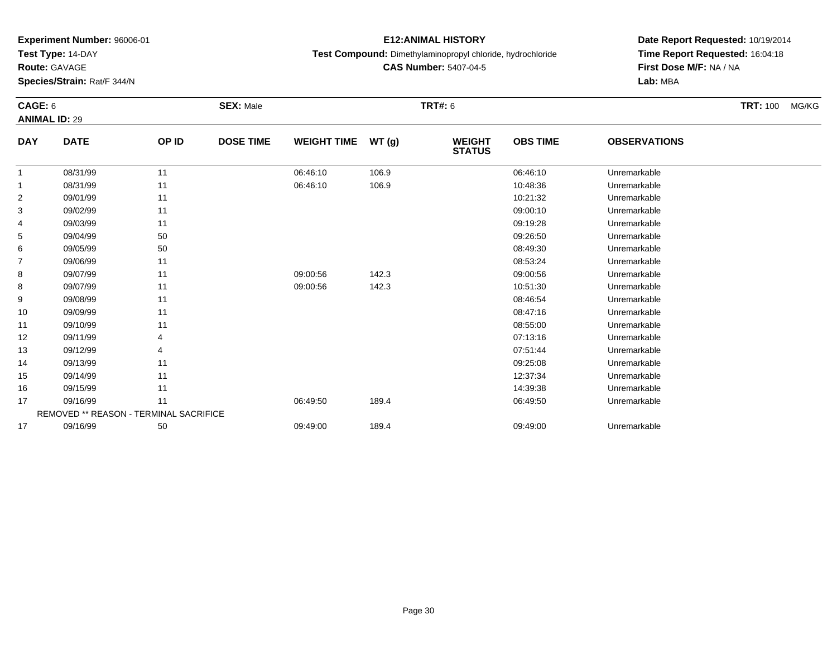**Test Type:** 14-DAY

**Route:** GAVAGE

**Species/Strain:** Rat/F 344/N

### **E12:ANIMAL HISTORY**

**Test Compound:** Dimethylaminopropyl chloride, hydrochloride

**CAS Number:** 5407-04-5

**Date Report Requested:** 10/19/2014**Time Report Requested:** 16:04:18**First Dose M/F:** NA / NA**Lab:** MBA

#### **CAGE:** 6 **SEX:** Male **TRT#:** <sup>6</sup> **TRT:** 100 MG/KG**ANIMAL ID:** 29**DAY DATE OP ID DOSE TIME WEIGHT TIME WT (g) WEIGHT STATUSOBS TIME OBSERVATIONS** 11 08/31/99 11 1 06:46:10 106.9 106.9 06:46:10 06:46:10 106.9 11 08/31/99 11 1 06:46:10 106.9 106.9 10:48:36 Unremarkable 22 09/01/99 11 12 10:21:32 Unremarkable 33 09:00:10 Unremarkable 11 11 11 12 12 13 13 14 15 16 17 18 19 19 10 11 11 12 13 14 15 16 17 17 18 19 10 11 11 4 09/03/99 <sup>11</sup> 09:19:28 Unremarkable 55 09:26:50 Unremarkable 50 50 09:26:50 09:26:50 Unremarkable 66 09/05/99 50 50 08:49:30 Unremarkable 77 09/06/99 11 12 12 13 13 13 14 15 16 17 18 19 19 19 19 19 19 19 19 19 19 19 19 1 88 09/07/99 11 1 09:00:56 142.3 09:00:56 09:00:56 Unremarkable 88 09/07/99 11 1 09:00:56 142.3 10:51:30 Unremarkable 99 09/08/99 11 12 12 13 13 13 14 15 16 17 18 19 19 19 19 19 19 19 19 19 19 19 19 1 10 09/09/99 <sup>11</sup> 08:47:16 Unremarkable 11 09/10/99 <sup>11</sup> 08:55:00 Unremarkable 122 09/11/99 4 9 07:13:16 Unremarkable 13 09/12/99 <sup>4</sup> 07:51:44 Unremarkable 14 09/13/99 <sup>11</sup> 09:25:08 Unremarkable 155 09/14/99 11 12:37:34 Unremarkable 16 09/15/99 <sup>11</sup> 14:39:38 Unremarkable 177 09/16/99 11 1 06:49:50 189.4 06:49:50 06:49:50 06:49:50 06:49:50 Diremarkable REMOVED \*\* REASON - TERMINAL SACRIFICE1709/16/99 <sup>50</sup> 09:49:00 189.4 09:49:00 Unremarkable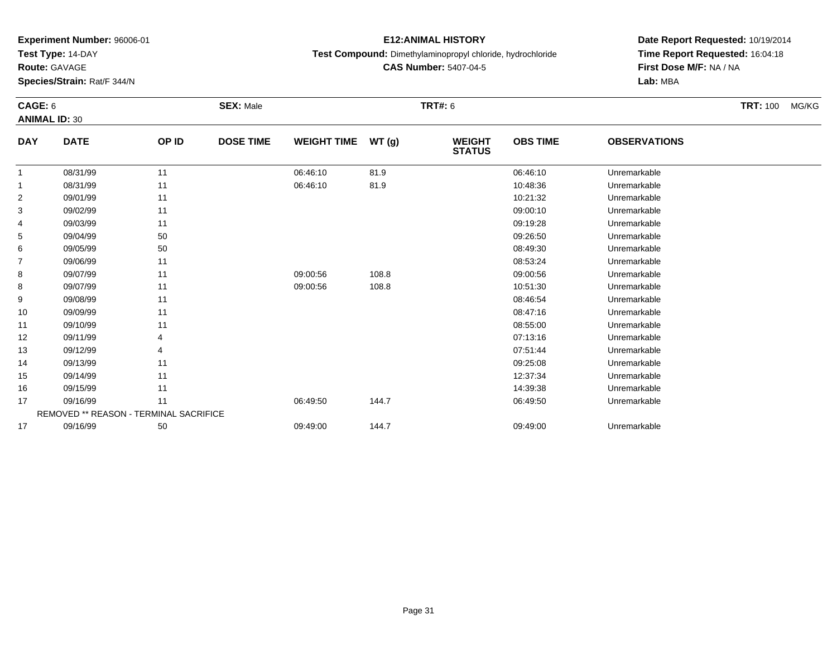**Test Type:** 14-DAY

**Route:** GAVAGE

**Species/Strain:** Rat/F 344/N

## **E12:ANIMAL HISTORY**

**Test Compound:** Dimethylaminopropyl chloride, hydrochloride

**CAS Number:** 5407-04-5

**Date Report Requested:** 10/19/2014**Time Report Requested:** 16:04:18**First Dose M/F:** NA / NA**Lab:** MBA

#### **CAGE:** 6 **SEX:** Male **TRT#:** <sup>6</sup> **TRT:** 100 MG/KG**ANIMAL ID:** 30**DAY DATE OP ID DOSE TIME WEIGHT TIME WT (g) WEIGHT STATUSOBS TIME OBSERVATIONS** 1 08/31/99 <sup>11</sup> 06:46:10 81.9 06:46:10 Unremarkable 11 08/31/99 11 1 06:46:10 81.9 10:48:36 Unremarkable 22 09/01/99 11 12 10:21:32 Unremarkable 33 09:00:10 Unremarkable 11 11 11 12 12 13 13 14 15 16 17 18 19 19 10 11 11 12 13 14 15 16 17 17 18 19 10 11 11 4 09/03/99 <sup>11</sup> 09:19:28 Unremarkable 55 09:26:50 Unremarkable 50 50 09:26:50 09:26:50 Unremarkable 66 09/05/99 50 50 08:49:30 Unremarkable 77 09/06/99 11 12 12 13 13 13 14 15 16 17 18 19 19 19 19 19 19 19 19 19 19 19 19 1 88 09/07/99 11 09:00:56 108.8 09:00:56 Unremarkable 88 09/07/99 11 09:00:56 108.8 10:51:30 Unremarkable 99 09/08/99 11 12 12 13 13 13 14 15 16 17 18 19 19 19 19 19 19 19 19 19 19 19 19 1 10 09/09/99 <sup>11</sup> 08:47:16 Unremarkable 11 09/10/99 <sup>11</sup> 08:55:00 Unremarkable 122 09/11/99 4 9 07:13:16 Unremarkable 13 09/12/99 <sup>4</sup> 07:51:44 Unremarkable 14 09/13/99 <sup>11</sup> 09:25:08 Unremarkable 155 09/14/99 11 12:37:34 Unremarkable 16 09/15/99 <sup>11</sup> 14:39:38 Unremarkable 177 09/16/99 11 1 06:49:50 144.7 06:49.50 06:49:50 15 06:49:50 Unremarkable REMOVED \*\* REASON - TERMINAL SACRIFICE177 09/16/99 50 50 09:49:00 144.7 09:49 09:49:00 09:49:00 09:49:00 Dhremarkable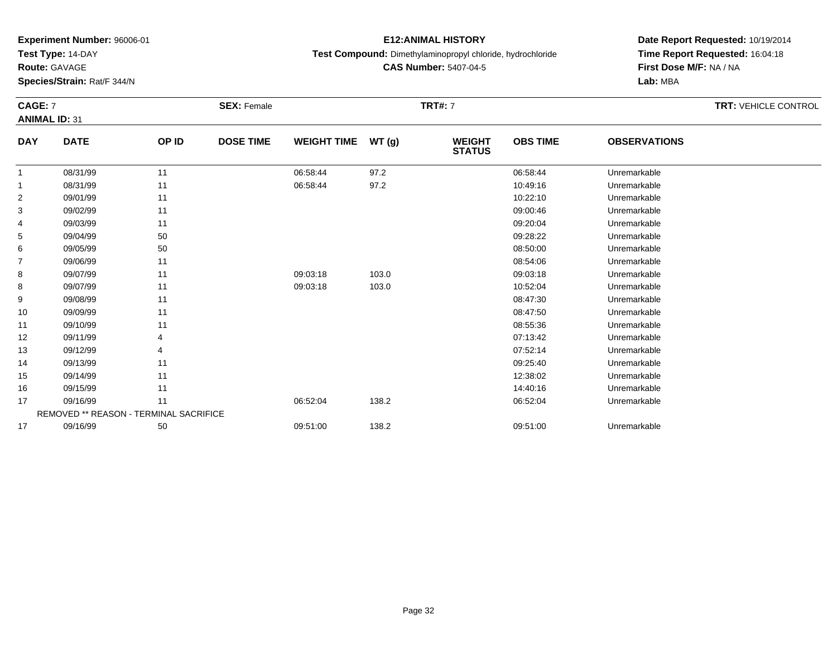**Test Type:** 14-DAY

**Route:** GAVAGE

11

12

13

14

15

16

17

17

REMOVED \*\* REASON - TERMINAL SACRIFICE

**Species/Strain:** Rat/F 344/N

### **E12:ANIMAL HISTORY**

**Test Compound:** Dimethylaminopropyl chloride, hydrochloride

**CAS Number:** 5407-04-5

**Date Report Requested:** 10/19/2014**Time Report Requested:** 16:04:18**Lab:** MBA

#### **CAGE:** 7 **SEX:** Female **TRT#:** <sup>7</sup> **TRT:** VEHICLE CONTROL **ANIMAL ID:** 31**DAY DATE OP ID DOSE TIME WEIGHT TIME WT (g) WEIGHT STATUSOBS TIME OBSERVATIONS** 1 08/31/99 <sup>11</sup> 06:58:44 97.2 06:58:44 Unremarkable 11 08/31/99 11 1 06:58:44 97.2 10:49:16 Unremarkable 22 09/01/99 11 12 10:22:10 Unremarkable 33 09:00:46 Unremarkable 11 2010 11 2010 12:00:46 09:00:46 Unremarkable 4 09/03/99 <sup>11</sup> 09:20:04 Unremarkable 55 09:28:22 Unremarkable 50 50 09:28:22 Unremarkable 5 09:28:22 Unremarkable 66 09/05/99 50 50 08:50:00 Unremarkable 77 09/06/99 11 12 12 12 13 13 14 15 16 17 18 19 19 19 19 19 19 19 19 19 19 19 19 1 88 09/07/99 11 1 09:03:18 103.0 09:03:18 09:03:18 Dhremarkable 88 09/07/99 11 1 09:03:18 103.0 103.0 10:52:04 Unremarkable 99 09/08/99 11 12 12 13 13 13 14 15 16 17 18 19 19 19 19 19 19 19 19 19 19 19 19 1 1009/09/99 <sup>11</sup> 08:47:50 Unremarkable

09/10/99 <sup>11</sup> 08:55:36 Unremarkable

09/11/99 <sup>4</sup> 07:13:42 Unremarkable

09/12/99 <sup>4</sup> 07:52:14 Unremarkable

09/13/99 <sup>11</sup> 09:25:40 Unremarkable

5 09/14/99 11 12:38:02 Unremarkable

09/15/99 <sup>11</sup> 14:40:16 Unremarkable

09/16/99 <sup>11</sup> 06:52:04 138.2 06:52:04 Unremarkable

09/16/99 <sup>50</sup> 09:51:00 138.2 09:51:00 Unremarkable

**First Dose M/F:** NA / NA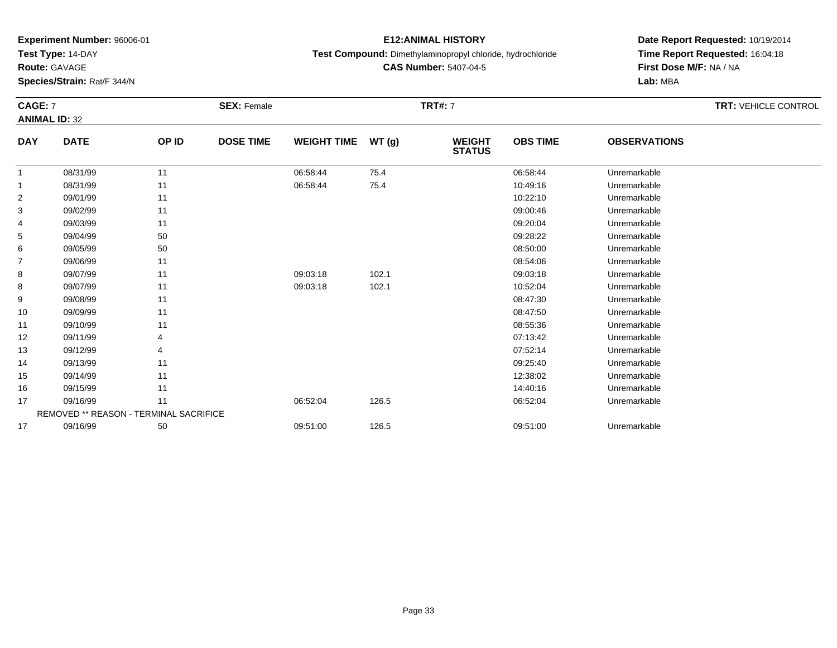**Test Type:** 14-DAY

**Route:** GAVAGE

**Species/Strain:** Rat/F 344/N

## **E12:ANIMAL HISTORY**

**Test Compound:** Dimethylaminopropyl chloride, hydrochloride

**CAS Number:** 5407-04-5

# **Date Report Requested:** 10/19/2014 **Time Report Requested:** 16:04:18**First Dose M/F:** NA / NA**Lab:** MBA

#### **CAGE:** 7 **SEX:** Female **TRT#:** <sup>7</sup> **TRT:** VEHICLE CONTROL **ANIMAL ID:** 32**DAY DATE OP IDDOSE TIME WEIGHT TIME WT** (g) **STATUSOBS TIME OBSERVATIONS** 11 08/31/99 11 1 06:58:44 75.4 75.4 06:58:44 Unremarkable 1

|    | 08/31/99 | 11                                            | 06:58:44 | 75.4  | 10:49:16 | Unremarkable |  |
|----|----------|-----------------------------------------------|----------|-------|----------|--------------|--|
| 2  | 09/01/99 | 11                                            |          |       | 10:22:10 | Unremarkable |  |
| 3  | 09/02/99 | 11                                            |          |       | 09:00:46 | Unremarkable |  |
| 4  | 09/03/99 | 11                                            |          |       | 09:20:04 | Unremarkable |  |
| 5  | 09/04/99 | 50                                            |          |       | 09:28:22 | Unremarkable |  |
| 6  | 09/05/99 | 50                                            |          |       | 08:50:00 | Unremarkable |  |
|    | 09/06/99 | 11                                            |          |       | 08:54:06 | Unremarkable |  |
| 8  | 09/07/99 | 11                                            | 09:03:18 | 102.1 | 09:03:18 | Unremarkable |  |
| 8  | 09/07/99 | 11                                            | 09:03:18 | 102.1 | 10:52:04 | Unremarkable |  |
| 9  | 09/08/99 | 11                                            |          |       | 08:47:30 | Unremarkable |  |
| 10 | 09/09/99 | 11                                            |          |       | 08:47:50 | Unremarkable |  |
| 11 | 09/10/99 | 11                                            |          |       | 08:55:36 | Unremarkable |  |
| 12 | 09/11/99 | 4                                             |          |       | 07:13:42 | Unremarkable |  |
| 13 | 09/12/99 | 4                                             |          |       | 07:52:14 | Unremarkable |  |
| 14 | 09/13/99 | 11                                            |          |       | 09:25:40 | Unremarkable |  |
| 15 | 09/14/99 | 11                                            |          |       | 12:38:02 | Unremarkable |  |
| 16 | 09/15/99 | 11                                            |          |       | 14:40:16 | Unremarkable |  |
| 17 | 09/16/99 | 11                                            | 06:52:04 | 126.5 | 06:52:04 | Unremarkable |  |
|    |          | <b>REMOVED ** REASON - TERMINAL SACRIFICE</b> |          |       |          |              |  |
| 17 | 09/16/99 | 50                                            | 09:51:00 | 126.5 | 09:51:00 | Unremarkable |  |
|    |          |                                               |          |       |          |              |  |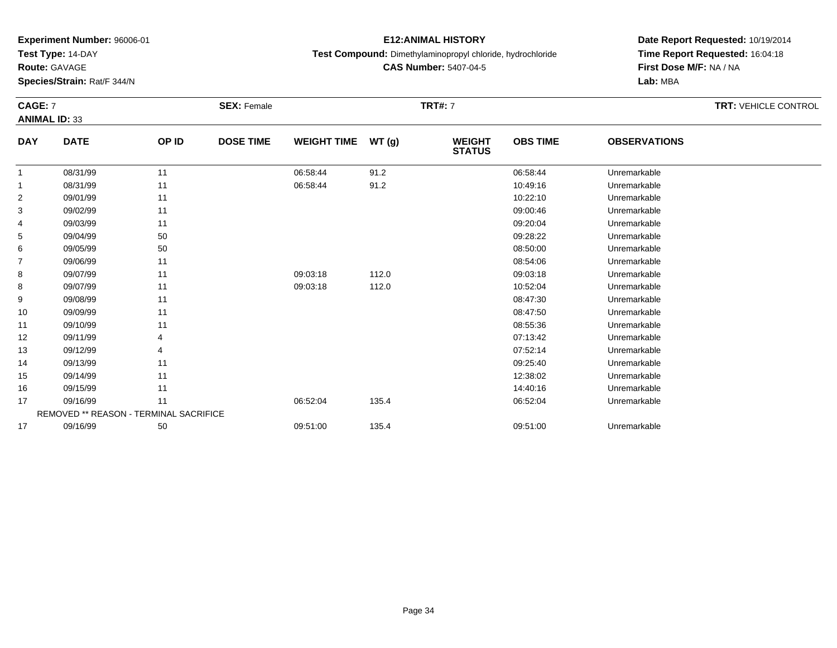**Test Type:** 14-DAY

**Route:** GAVAGE

15

16

17

17

REMOVED \*\* REASON - TERMINAL SACRIFICE

**Species/Strain:** Rat/F 344/N

### **E12:ANIMAL HISTORY**

**Test Compound:** Dimethylaminopropyl chloride, hydrochloride

**CAS Number:** 5407-04-5

**Date Report Requested:** 10/19/2014**Time Report Requested:** 16:04:18**First Dose M/F:** NA / NA**Lab:** MBA

#### **CAGE:** 7 **SEX:** Female **TRT#:** <sup>7</sup> **TRT:** VEHICLE CONTROL **ANIMAL ID:** 33**DAY DATE OP ID DOSE TIME WEIGHT TIME WT (g) WEIGHT STATUSOBS TIME OBSERVATIONS** 11 08/31/99 11 1 06:58:44 91.2 06:58:44 06:58:44 Unremarkable 11 08/31/99 11 1 06:58:44 91.2 10:49:16 Unremarkable 22 09/01/99 11 12 10:22:10 Unremarkable 33 09:00:46 Unremarkable 11 2010 11 2010 12:00:46 09:00:46 Unremarkable 4 09/03/99 <sup>11</sup> 09:20:04 Unremarkable 55 09:28:22 Unremarkable 50 50 09:28:22 Unremarkable 5 09:28:22 Unremarkable 66 09/05/99 50 50 08:50:00 Unremarkable 77 09/06/99 11 12 12 12 13 13 14 15 16 17 18 19 19 19 19 19 19 19 19 19 19 19 19 1 88 09/07/99 11 1 09:03:18 112.0 09:03:18 09:03:18 Unremarkable 88 09/07/99 11 1 09:03:18 112.0 10:52:04 Unremarkable 99 09/08/99 11 12 12 13 13 13 14 15 16 17 18 19 19 19 19 19 19 19 19 19 19 19 19 1 10 09/09/99 <sup>11</sup> 08:47:50 Unremarkable 11 09/10/99 <sup>11</sup> 08:55:36 Unremarkable 12 09/11/99 <sup>4</sup> 07:13:42 Unremarkable 13 09/12/99 <sup>4</sup> 07:52:14 Unremarkable 1409/13/99 <sup>11</sup> 09:25:40 Unremarkable

5 09/14/99 11 12:38:02 Unremarkable

09/15/99 <sup>11</sup> 14:40:16 Unremarkable

09/16/99 <sup>11</sup> 06:52:04 135.4 06:52:04 Unremarkable

09/16/99 <sup>50</sup> 09:51:00 135.4 09:51:00 Unremarkable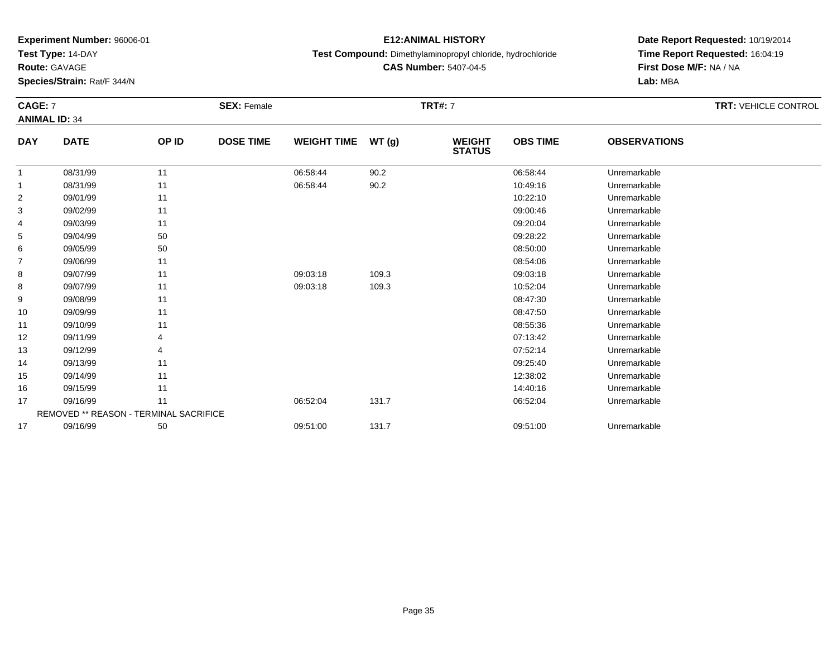**Test Type:** 14-DAY

**Route:** GAVAGE

16

17

17

**Species/Strain:** Rat/F 344/N

### **E12:ANIMAL HISTORY**

**Test Compound:** Dimethylaminopropyl chloride, hydrochloride

**CAS Number:** 5407-04-5

**Date Report Requested:** 10/19/2014**Time Report Requested:** 16:04:19**First Dose M/F:** NA / NA**Lab:** MBA

#### **CAGE:** 7 **SEX:** Female **TRT#:** <sup>7</sup> **TRT:** VEHICLE CONTROL **ANIMAL ID:** 34**DAY DATE OP ID DOSE TIME WEIGHT TIME WT (g) WEIGHT STATUSOBS TIME OBSERVATIONS** 11 08/31/99 11 1 06:58:44 90.2 06:58:44 06:58:44 Dhremarkable 11 08/31/99 11 1 06:58:44 90.2 10:49:16 Unremarkable 22 09/01/99 11 12 10:22:10 Unremarkable 33 09:00:46 Unremarkable 11 2010 11 2010 12:00:46 09:00:46 Unremarkable 4 09/03/99 <sup>11</sup> 09:20:04 Unremarkable 55 09:28:22 Unremarkable 50 50 09:28:22 Unremarkable 5 09:28:22 Unremarkable 66 09/05/99 50 50 08:50:00 Unremarkable 77 09/06/99 11 12 12 12 13 13 14 15 16 17 18 19 19 19 19 19 19 19 19 19 19 19 19 1 88 09/07/99 11 1 09:03:18 109.3 09:03:18 09:03:18 Dhremarkable 88 09/07/99 11 1 09:03:18 109.3 109.3 109.3 109.3 1052:04 Dhremarkable 99 09/08/99 11 12 12 13 13 13 14 15 16 17 18 19 19 19 19 19 19 19 19 19 19 19 19 1 10 09/09/99 <sup>11</sup> 08:47:50 Unremarkable 11 09/10/99 <sup>11</sup> 08:55:36 Unremarkable 12 09/11/99 <sup>4</sup> 07:13:42 Unremarkable 13 09/12/99 <sup>4</sup> 07:52:14 Unremarkable 14 09/13/99 <sup>11</sup> 09:25:40 Unremarkable 155 09/14/99 11 12:38:02 Unremarkable

09/15/99 <sup>11</sup> 14:40:16 Unremarkable

09/16/99 <sup>11</sup> 06:52:04 131.7 06:52:04 Unremarkable

09/16/99 <sup>50</sup> 09:51:00 131.7 09:51:00 Unremarkable

REMOVED \*\* REASON - TERMINAL SACRIFICE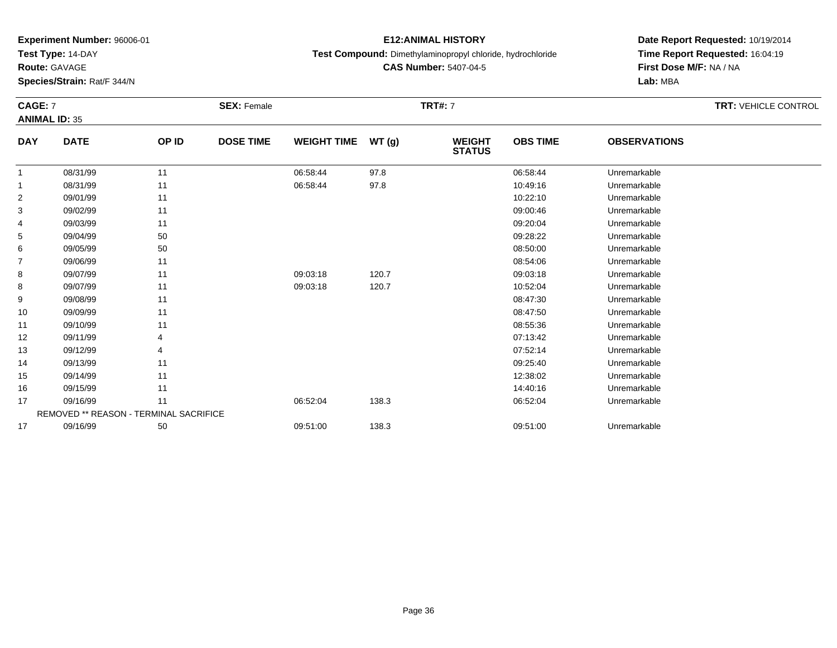**Test Type:** 14-DAY

**Route:** GAVAGE

17

**Species/Strain:** Rat/F 344/N

REMOVED \*\* REASON - TERMINAL SACRIFICE

### **E12:ANIMAL HISTORY**

**Test Compound:** Dimethylaminopropyl chloride, hydrochloride

**CAS Number:** 5407-04-5

**Date Report Requested:** 10/19/2014**Time Report Requested:** 16:04:19**First Dose M/F:** NA / NA**Lab:** MBA

#### **CAGE:** 7 **SEX:** Female **TRT#:** <sup>7</sup> **TRT:** VEHICLE CONTROL **ANIMAL ID:** 35**DAY DATE OP ID DOSE TIME WEIGHT TIME WT (g) WEIGHT STATUSOBS TIME OBSERVATIONS** 11 08/31/99 11 1 06:58:44 97.8 06:58:44 06:58:44 Dhremarkable 11 08/31/99 11 1 06:58:44 97.8 10:49:16 Unremarkable 22 09/01/99 11 12 10:22:10 Unremarkable 33 09:00:46 Unremarkable 11 2010 11 2010 12:00:46 09:00:46 Unremarkable 4 09/03/99 <sup>11</sup> 09:20:04 Unremarkable 55 09:28:22 Unremarkable 50 50 09:28:22 Unremarkable 5 09:28:22 Unremarkable 66 09/05/99 50 50 08:50:00 Unremarkable 77 09/06/99 11 12 12 12 13 13 14 15 16 17 18 19 19 19 19 19 19 19 19 19 19 19 19 1 88 09/07/99 11 1 09:03:18 120.7 120.7 09:03:18 09:03:18 Unremarkable 88 09/07/99 11 1 09:03:18 120.7 120.7 10:52:04 Unremarkable 99 09/08/99 11 12 12 13 13 13 14 15 16 17 18 19 19 19 19 19 19 19 19 19 19 19 19 1 10 09/09/99 <sup>11</sup> 08:47:50 Unremarkable 11 09/10/99 <sup>11</sup> 08:55:36 Unremarkable 12 09/11/99 <sup>4</sup> 07:13:42 Unremarkable 13 09/12/99 <sup>4</sup> 07:52:14 Unremarkable 14 09/13/99 <sup>11</sup> 09:25:40 Unremarkable 155 09/14/99 11 12:38:02 Unremarkable 16 09/15/99 <sup>11</sup> 14:40:16 Unremarkable 1709/16/99 <sup>11</sup> 06:52:04 138.3 06:52:04 Unremarkable

09/16/99 <sup>50</sup> 09:51:00 138.3 09:51:00 Unremarkable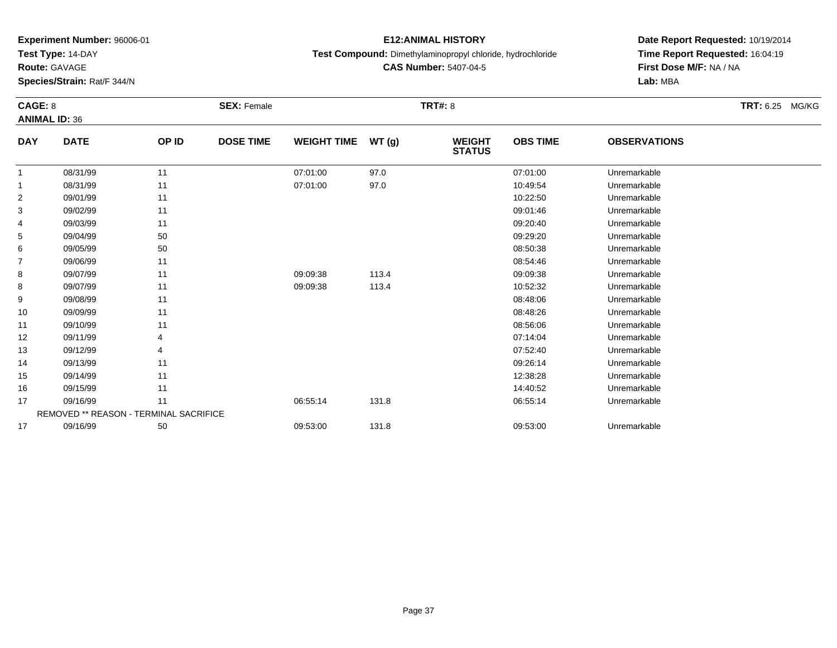**Test Type:** 14-DAY

**Route:** GAVAGE

**Species/Strain:** Rat/F 344/N

## **E12:ANIMAL HISTORY**

**Test Compound:** Dimethylaminopropyl chloride, hydrochloride

**CAS Number:** 5407-04-5

| CAGE: 8    |                                               |       | <b>SEX: Female</b> |                    |       | <b>TRT#: 8</b>                 |                 |                     | TRT: 6.25 MG/KG |
|------------|-----------------------------------------------|-------|--------------------|--------------------|-------|--------------------------------|-----------------|---------------------|-----------------|
|            | <b>ANIMAL ID: 36</b>                          |       |                    |                    |       |                                |                 |                     |                 |
| <b>DAY</b> | <b>DATE</b>                                   | OP ID | <b>DOSE TIME</b>   | <b>WEIGHT TIME</b> | WT(g) | <b>WEIGHT</b><br><b>STATUS</b> | <b>OBS TIME</b> | <b>OBSERVATIONS</b> |                 |
| 1          | 08/31/99                                      | 11    |                    | 07:01:00           | 97.0  |                                | 07:01:00        | Unremarkable        |                 |
| 1          | 08/31/99                                      | 11    |                    | 07:01:00           | 97.0  |                                | 10:49:54        | Unremarkable        |                 |
| 2          | 09/01/99                                      | 11    |                    |                    |       |                                | 10:22:50        | Unremarkable        |                 |
| 3          | 09/02/99                                      | 11    |                    |                    |       |                                | 09:01:46        | Unremarkable        |                 |
| 4          | 09/03/99                                      | 11    |                    |                    |       |                                | 09:20:40        | Unremarkable        |                 |
| 5          | 09/04/99                                      | 50    |                    |                    |       |                                | 09:29:20        | Unremarkable        |                 |
| 6          | 09/05/99                                      | 50    |                    |                    |       |                                | 08:50:38        | Unremarkable        |                 |
| 7          | 09/06/99                                      | 11    |                    |                    |       |                                | 08:54:46        | Unremarkable        |                 |
| 8          | 09/07/99                                      | 11    |                    | 09:09:38           | 113.4 |                                | 09:09:38        | Unremarkable        |                 |
| 8          | 09/07/99                                      | 11    |                    | 09:09:38           | 113.4 |                                | 10:52:32        | Unremarkable        |                 |
| 9          | 09/08/99                                      | 11    |                    |                    |       |                                | 08:48:06        | Unremarkable        |                 |
| 10         | 09/09/99                                      | 11    |                    |                    |       |                                | 08:48:26        | Unremarkable        |                 |
| 11         | 09/10/99                                      | 11    |                    |                    |       |                                | 08:56:06        | Unremarkable        |                 |
| 12         | 09/11/99                                      | 4     |                    |                    |       |                                | 07:14:04        | Unremarkable        |                 |
| 13         | 09/12/99                                      | 4     |                    |                    |       |                                | 07:52:40        | Unremarkable        |                 |
| 14         | 09/13/99                                      | 11    |                    |                    |       |                                | 09:26:14        | Unremarkable        |                 |
| 15         | 09/14/99                                      | 11    |                    |                    |       |                                | 12:38:28        | Unremarkable        |                 |
| 16         | 09/15/99                                      | 11    |                    |                    |       |                                | 14:40:52        | Unremarkable        |                 |
| 17         | 09/16/99                                      | 11    |                    | 06:55:14           | 131.8 |                                | 06:55:14        | Unremarkable        |                 |
|            | <b>REMOVED ** REASON - TERMINAL SACRIFICE</b> |       |                    |                    |       |                                |                 |                     |                 |
| 17         | 09/16/99                                      | 50    |                    | 09:53:00           | 131.8 |                                | 09:53:00        | Unremarkable        |                 |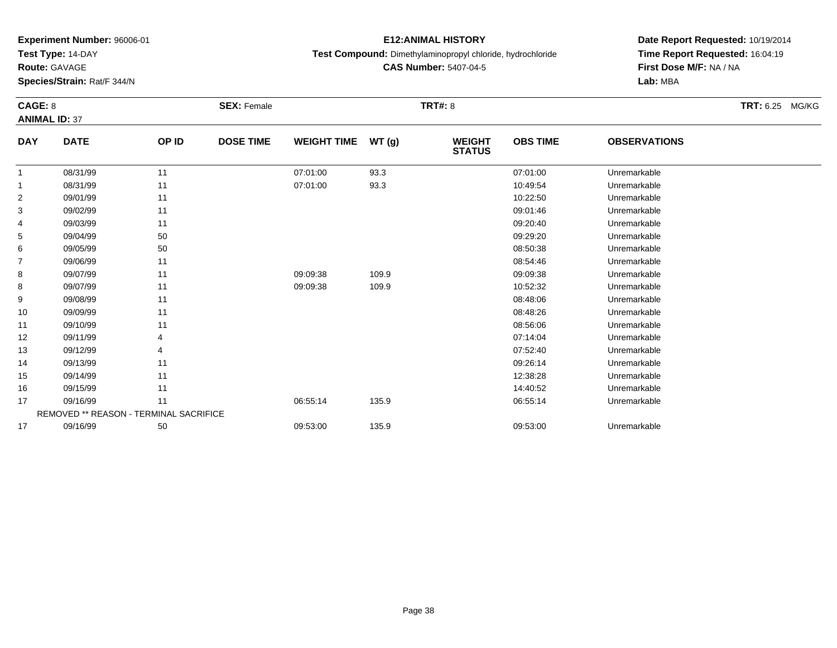**Test Type:** 14-DAY

**Route:** GAVAGE

**Species/Strain:** Rat/F 344/N

## **E12:ANIMAL HISTORY**

**Test Compound:** Dimethylaminopropyl chloride, hydrochloride

**CAS Number:** 5407-04-5

| CAGE: 8        |                                        |       | <b>SEX: Female</b> |                    |       | <b>TRT#: 8</b>                 |                 |                     | <b>TRT: 6.25 MG/KG</b> |
|----------------|----------------------------------------|-------|--------------------|--------------------|-------|--------------------------------|-----------------|---------------------|------------------------|
|                | <b>ANIMAL ID: 37</b>                   |       |                    |                    |       |                                |                 |                     |                        |
| <b>DAY</b>     | <b>DATE</b>                            | OP ID | <b>DOSE TIME</b>   | <b>WEIGHT TIME</b> | WT(g) | <b>WEIGHT</b><br><b>STATUS</b> | <b>OBS TIME</b> | <b>OBSERVATIONS</b> |                        |
| 1              | 08/31/99                               | 11    |                    | 07:01:00           | 93.3  |                                | 07:01:00        | Unremarkable        |                        |
|                | 08/31/99                               | 11    |                    | 07:01:00           | 93.3  |                                | 10:49:54        | Unremarkable        |                        |
| $\overline{2}$ | 09/01/99                               | 11    |                    |                    |       |                                | 10:22:50        | Unremarkable        |                        |
| 3              | 09/02/99                               | 11    |                    |                    |       |                                | 09:01:46        | Unremarkable        |                        |
| 4              | 09/03/99                               | 11    |                    |                    |       |                                | 09:20:40        | Unremarkable        |                        |
| 5              | 09/04/99                               | 50    |                    |                    |       |                                | 09:29:20        | Unremarkable        |                        |
| 6              | 09/05/99                               | 50    |                    |                    |       |                                | 08:50:38        | Unremarkable        |                        |
| $\overline{7}$ | 09/06/99                               | 11    |                    |                    |       |                                | 08:54:46        | Unremarkable        |                        |
| 8              | 09/07/99                               | 11    |                    | 09:09:38           | 109.9 |                                | 09:09:38        | Unremarkable        |                        |
| 8              | 09/07/99                               | 11    |                    | 09:09:38           | 109.9 |                                | 10:52:32        | Unremarkable        |                        |
| 9              | 09/08/99                               | 11    |                    |                    |       |                                | 08:48:06        | Unremarkable        |                        |
| 10             | 09/09/99                               | 11    |                    |                    |       |                                | 08:48:26        | Unremarkable        |                        |
| 11             | 09/10/99                               | 11    |                    |                    |       |                                | 08:56:06        | Unremarkable        |                        |
| 12             | 09/11/99                               | 4     |                    |                    |       |                                | 07:14:04        | Unremarkable        |                        |
| 13             | 09/12/99                               | 4     |                    |                    |       |                                | 07:52:40        | Unremarkable        |                        |
| 14             | 09/13/99                               | 11    |                    |                    |       |                                | 09:26:14        | Unremarkable        |                        |
| 15             | 09/14/99                               | 11    |                    |                    |       |                                | 12:38:28        | Unremarkable        |                        |
| 16             | 09/15/99                               | 11    |                    |                    |       |                                | 14:40:52        | Unremarkable        |                        |
| 17             | 09/16/99                               | 11    |                    | 06:55:14           | 135.9 |                                | 06:55:14        | Unremarkable        |                        |
|                | REMOVED ** REASON - TERMINAL SACRIFICE |       |                    |                    |       |                                |                 |                     |                        |
| 17             | 09/16/99                               | 50    |                    | 09:53:00           | 135.9 |                                | 09:53:00        | Unremarkable        |                        |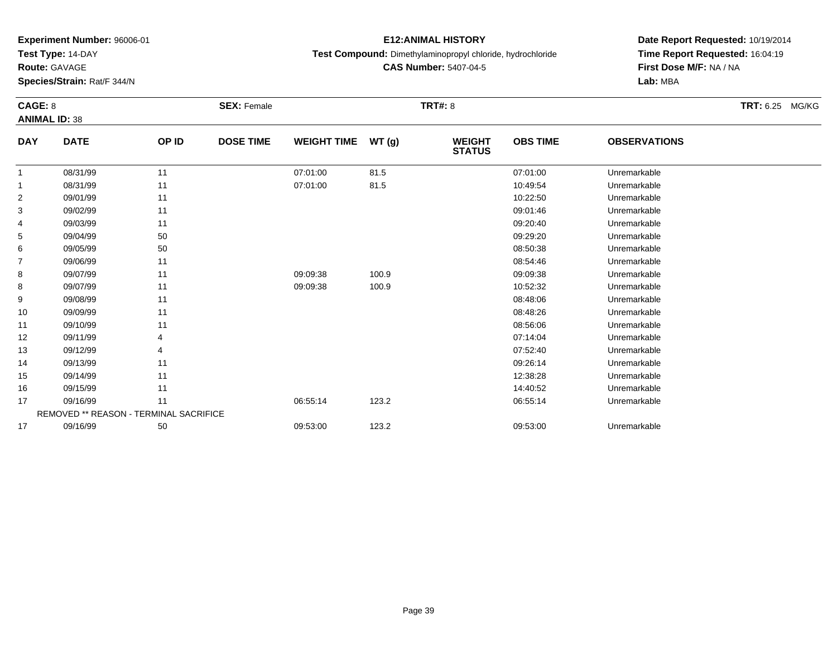**Test Type:** 14-DAY

**Route:** GAVAGE

**Species/Strain:** Rat/F 344/N

## **E12:ANIMAL HISTORY**

**Test Compound:** Dimethylaminopropyl chloride, hydrochloride

**CAS Number:** 5407-04-5

| CAGE: 8        |                                        |       | <b>SEX: Female</b> |                    |       | <b>TRT#: 8</b>                 |                 |                     | TRT: 6.25 MG/KG |
|----------------|----------------------------------------|-------|--------------------|--------------------|-------|--------------------------------|-----------------|---------------------|-----------------|
|                | <b>ANIMAL ID: 38</b>                   |       |                    |                    |       |                                |                 |                     |                 |
| <b>DAY</b>     | <b>DATE</b>                            | OP ID | <b>DOSE TIME</b>   | <b>WEIGHT TIME</b> | WT(g) | <b>WEIGHT</b><br><b>STATUS</b> | <b>OBS TIME</b> | <b>OBSERVATIONS</b> |                 |
| 1              | 08/31/99                               | 11    |                    | 07:01:00           | 81.5  |                                | 07:01:00        | Unremarkable        |                 |
| 1              | 08/31/99                               | 11    |                    | 07:01:00           | 81.5  |                                | 10:49:54        | Unremarkable        |                 |
| $\overline{c}$ | 09/01/99                               | 11    |                    |                    |       |                                | 10:22:50        | Unremarkable        |                 |
| 3              | 09/02/99                               | 11    |                    |                    |       |                                | 09:01:46        | Unremarkable        |                 |
| 4              | 09/03/99                               | 11    |                    |                    |       |                                | 09:20:40        | Unremarkable        |                 |
| 5              | 09/04/99                               | 50    |                    |                    |       |                                | 09:29:20        | Unremarkable        |                 |
| 6              | 09/05/99                               | 50    |                    |                    |       |                                | 08:50:38        | Unremarkable        |                 |
| 7              | 09/06/99                               | 11    |                    |                    |       |                                | 08:54:46        | Unremarkable        |                 |
| 8              | 09/07/99                               | 11    |                    | 09:09:38           | 100.9 |                                | 09:09:38        | Unremarkable        |                 |
| 8              | 09/07/99                               | 11    |                    | 09:09:38           | 100.9 |                                | 10:52:32        | Unremarkable        |                 |
| 9              | 09/08/99                               | 11    |                    |                    |       |                                | 08:48:06        | Unremarkable        |                 |
| 10             | 09/09/99                               | 11    |                    |                    |       |                                | 08:48:26        | Unremarkable        |                 |
| 11             | 09/10/99                               | 11    |                    |                    |       |                                | 08:56:06        | Unremarkable        |                 |
| 12             | 09/11/99                               | 4     |                    |                    |       |                                | 07:14:04        | Unremarkable        |                 |
| 13             | 09/12/99                               | 4     |                    |                    |       |                                | 07:52:40        | Unremarkable        |                 |
| 14             | 09/13/99                               | 11    |                    |                    |       |                                | 09:26:14        | Unremarkable        |                 |
| 15             | 09/14/99                               | 11    |                    |                    |       |                                | 12:38:28        | Unremarkable        |                 |
| 16             | 09/15/99                               | 11    |                    |                    |       |                                | 14:40:52        | Unremarkable        |                 |
| 17             | 09/16/99                               | 11    |                    | 06:55:14           | 123.2 |                                | 06:55:14        | Unremarkable        |                 |
|                | REMOVED ** REASON - TERMINAL SACRIFICE |       |                    |                    |       |                                |                 |                     |                 |
| 17             | 09/16/99                               | 50    |                    | 09:53:00           | 123.2 |                                | 09:53:00        | Unremarkable        |                 |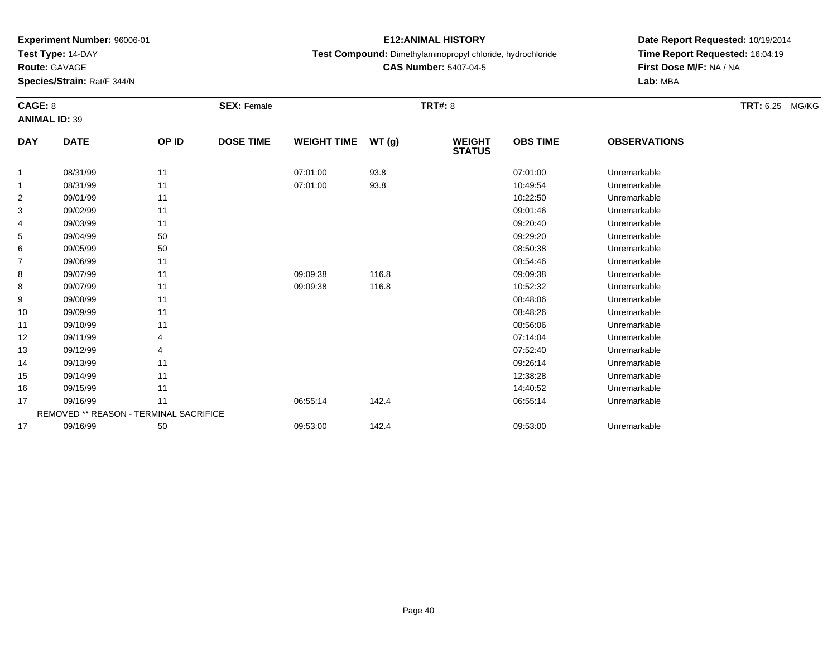**Test Type:** 14-DAY

**Route:** GAVAGE

**Species/Strain:** Rat/F 344/N

## **E12:ANIMAL HISTORY**

**Test Compound:** Dimethylaminopropyl chloride, hydrochloride

**CAS Number:** 5407-04-5

| CAGE: 8    |                                               |       | <b>SEX: Female</b> |                    |       | <b>TRT#: 8</b>                 |                 |                     | TRT: 6.25 MG/KG |
|------------|-----------------------------------------------|-------|--------------------|--------------------|-------|--------------------------------|-----------------|---------------------|-----------------|
|            | <b>ANIMAL ID: 39</b>                          |       |                    |                    |       |                                |                 |                     |                 |
| <b>DAY</b> | <b>DATE</b>                                   | OP ID | <b>DOSE TIME</b>   | <b>WEIGHT TIME</b> | WT(g) | <b>WEIGHT</b><br><b>STATUS</b> | <b>OBS TIME</b> | <b>OBSERVATIONS</b> |                 |
| 1          | 08/31/99                                      | 11    |                    | 07:01:00           | 93.8  |                                | 07:01:00        | Unremarkable        |                 |
| 1          | 08/31/99                                      | 11    |                    | 07:01:00           | 93.8  |                                | 10:49:54        | Unremarkable        |                 |
| 2          | 09/01/99                                      | 11    |                    |                    |       |                                | 10:22:50        | Unremarkable        |                 |
| 3          | 09/02/99                                      | 11    |                    |                    |       |                                | 09:01:46        | Unremarkable        |                 |
| 4          | 09/03/99                                      | 11    |                    |                    |       |                                | 09:20:40        | Unremarkable        |                 |
| 5          | 09/04/99                                      | 50    |                    |                    |       |                                | 09:29:20        | Unremarkable        |                 |
| 6          | 09/05/99                                      | 50    |                    |                    |       |                                | 08:50:38        | Unremarkable        |                 |
| 7          | 09/06/99                                      | 11    |                    |                    |       |                                | 08:54:46        | Unremarkable        |                 |
| 8          | 09/07/99                                      | 11    |                    | 09:09:38           | 116.8 |                                | 09:09:38        | Unremarkable        |                 |
| 8          | 09/07/99                                      | 11    |                    | 09:09:38           | 116.8 |                                | 10:52:32        | Unremarkable        |                 |
| 9          | 09/08/99                                      | 11    |                    |                    |       |                                | 08:48:06        | Unremarkable        |                 |
| 10         | 09/09/99                                      | 11    |                    |                    |       |                                | 08:48:26        | Unremarkable        |                 |
| 11         | 09/10/99                                      | 11    |                    |                    |       |                                | 08:56:06        | Unremarkable        |                 |
| 12         | 09/11/99                                      | 4     |                    |                    |       |                                | 07:14:04        | Unremarkable        |                 |
| 13         | 09/12/99                                      | 4     |                    |                    |       |                                | 07:52:40        | Unremarkable        |                 |
| 14         | 09/13/99                                      | 11    |                    |                    |       |                                | 09:26:14        | Unremarkable        |                 |
| 15         | 09/14/99                                      | 11    |                    |                    |       |                                | 12:38:28        | Unremarkable        |                 |
| 16         | 09/15/99                                      | 11    |                    |                    |       |                                | 14:40:52        | Unremarkable        |                 |
| 17         | 09/16/99                                      | 11    |                    | 06:55:14           | 142.4 |                                | 06:55:14        | Unremarkable        |                 |
|            | <b>REMOVED ** REASON - TERMINAL SACRIFICE</b> |       |                    |                    |       |                                |                 |                     |                 |
| 17         | 09/16/99                                      | 50    |                    | 09:53:00           | 142.4 |                                | 09:53:00        | Unremarkable        |                 |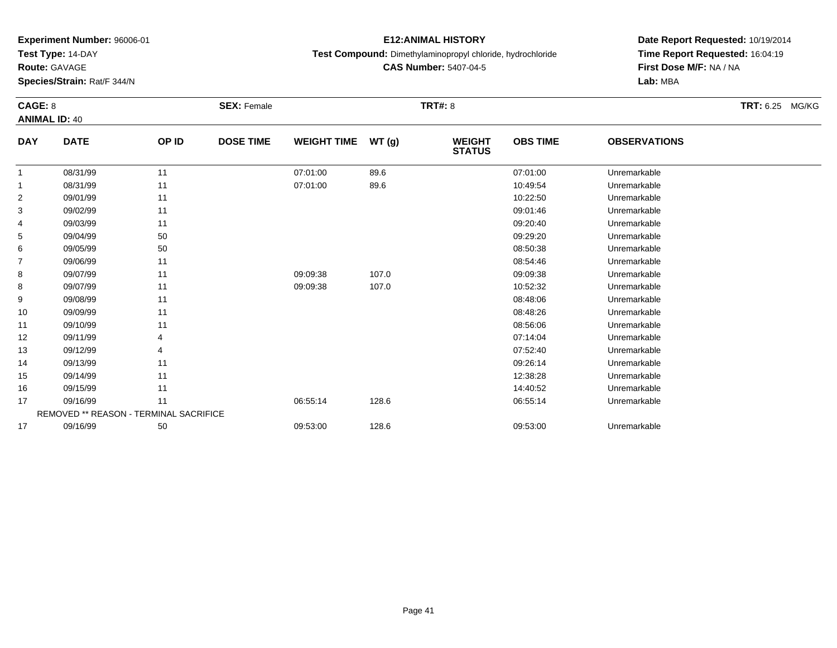**Test Type:** 14-DAY

**Route:** GAVAGE

**Species/Strain:** Rat/F 344/N

## **E12:ANIMAL HISTORY**

**Test Compound:** Dimethylaminopropyl chloride, hydrochloride

**CAS Number:** 5407-04-5

| CAGE: 8        | <b>ANIMAL ID: 40</b>                          |       | <b>SEX: Female</b> |                    |       | <b>TRT#: 8</b>                 |                 |                     | TRT: 6.25 MG/KG |
|----------------|-----------------------------------------------|-------|--------------------|--------------------|-------|--------------------------------|-----------------|---------------------|-----------------|
| <b>DAY</b>     | <b>DATE</b>                                   | OP ID | <b>DOSE TIME</b>   | <b>WEIGHT TIME</b> | WT(g) | <b>WEIGHT</b><br><b>STATUS</b> | <b>OBS TIME</b> | <b>OBSERVATIONS</b> |                 |
| 1              | 08/31/99                                      | 11    |                    | 07:01:00           | 89.6  |                                | 07:01:00        | Unremarkable        |                 |
| 1              | 08/31/99                                      | 11    |                    | 07:01:00           | 89.6  |                                | 10:49:54        | Unremarkable        |                 |
| $\overline{c}$ | 09/01/99                                      | 11    |                    |                    |       |                                | 10:22:50        | Unremarkable        |                 |
| 3              | 09/02/99                                      | 11    |                    |                    |       |                                | 09:01:46        | Unremarkable        |                 |
| 4              | 09/03/99                                      | 11    |                    |                    |       |                                | 09:20:40        | Unremarkable        |                 |
| 5              | 09/04/99                                      | 50    |                    |                    |       |                                | 09:29:20        | Unremarkable        |                 |
| 6              | 09/05/99                                      | 50    |                    |                    |       |                                | 08:50:38        | Unremarkable        |                 |
| 7              | 09/06/99                                      | 11    |                    |                    |       |                                | 08:54:46        | Unremarkable        |                 |
| 8              | 09/07/99                                      | 11    |                    | 09:09:38           | 107.0 |                                | 09:09:38        | Unremarkable        |                 |
| 8              | 09/07/99                                      | 11    |                    | 09:09:38           | 107.0 |                                | 10:52:32        | Unremarkable        |                 |
| 9              | 09/08/99                                      | 11    |                    |                    |       |                                | 08:48:06        | Unremarkable        |                 |
| 10             | 09/09/99                                      | 11    |                    |                    |       |                                | 08:48:26        | Unremarkable        |                 |
| 11             | 09/10/99                                      | 11    |                    |                    |       |                                | 08:56:06        | Unremarkable        |                 |
| 12             | 09/11/99                                      | 4     |                    |                    |       |                                | 07:14:04        | Unremarkable        |                 |
| 13             | 09/12/99                                      | 4     |                    |                    |       |                                | 07:52:40        | Unremarkable        |                 |
| 14             | 09/13/99                                      | 11    |                    |                    |       |                                | 09:26:14        | Unremarkable        |                 |
| 15             | 09/14/99                                      | 11    |                    |                    |       |                                | 12:38:28        | Unremarkable        |                 |
| 16             | 09/15/99                                      | 11    |                    |                    |       |                                | 14:40:52        | Unremarkable        |                 |
| 17             | 09/16/99                                      | 11    |                    | 06:55:14           | 128.6 |                                | 06:55:14        | Unremarkable        |                 |
|                | <b>REMOVED ** REASON - TERMINAL SACRIFICE</b> |       |                    |                    |       |                                |                 |                     |                 |
| 17             | 09/16/99                                      | 50    |                    | 09:53:00           | 128.6 |                                | 09:53:00        | Unremarkable        |                 |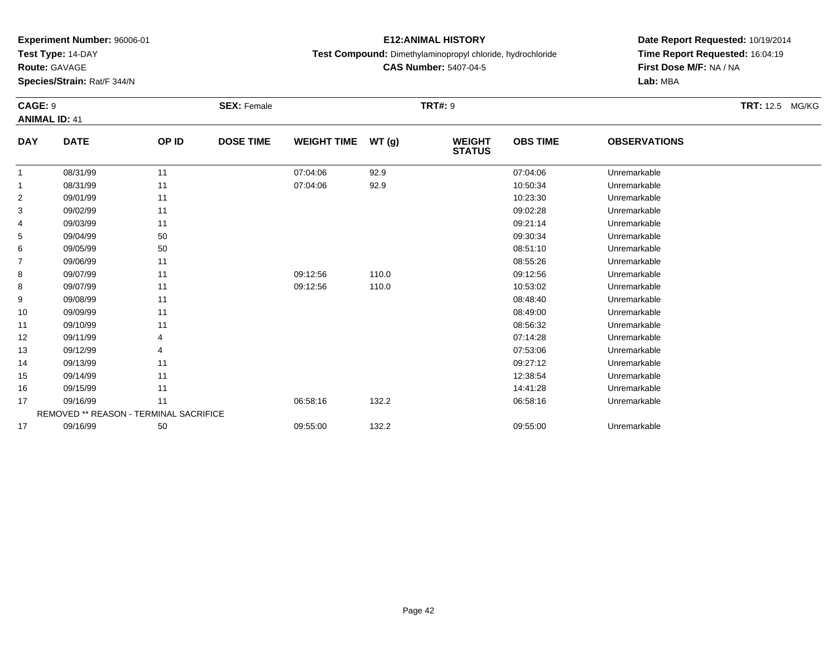**Test Type:** 14-DAY

**Route:** GAVAGE

**Species/Strain:** Rat/F 344/N

## **E12:ANIMAL HISTORY**

**Test Compound:** Dimethylaminopropyl chloride, hydrochloride

**CAS Number:** 5407-04-5

| <b>CAGE: 9</b> | <b>ANIMAL ID: 41</b>                          |       | <b>SEX: Female</b> |                    |       | <b>TRT#: 9</b>                 |                 |                     | TRT: 12.5 MG/KG |
|----------------|-----------------------------------------------|-------|--------------------|--------------------|-------|--------------------------------|-----------------|---------------------|-----------------|
| <b>DAY</b>     | <b>DATE</b>                                   | OP ID | <b>DOSE TIME</b>   | <b>WEIGHT TIME</b> | WT(g) | <b>WEIGHT</b><br><b>STATUS</b> | <b>OBS TIME</b> | <b>OBSERVATIONS</b> |                 |
| $\mathbf{1}$   | 08/31/99                                      | 11    |                    | 07:04:06           | 92.9  |                                | 07:04:06        | Unremarkable        |                 |
| 1              | 08/31/99                                      | 11    |                    | 07:04:06           | 92.9  |                                | 10:50:34        | Unremarkable        |                 |
| 2              | 09/01/99                                      | 11    |                    |                    |       |                                | 10:23:30        | Unremarkable        |                 |
| 3              | 09/02/99                                      | 11    |                    |                    |       |                                | 09:02:28        | Unremarkable        |                 |
| 4              | 09/03/99                                      | 11    |                    |                    |       |                                | 09:21:14        | Unremarkable        |                 |
| 5              | 09/04/99                                      | 50    |                    |                    |       |                                | 09:30:34        | Unremarkable        |                 |
| 6              | 09/05/99                                      | 50    |                    |                    |       |                                | 08:51:10        | Unremarkable        |                 |
| $\overline{7}$ | 09/06/99                                      | 11    |                    |                    |       |                                | 08:55:26        | Unremarkable        |                 |
| 8              | 09/07/99                                      | 11    |                    | 09:12:56           | 110.0 |                                | 09:12:56        | Unremarkable        |                 |
| 8              | 09/07/99                                      | 11    |                    | 09:12:56           | 110.0 |                                | 10:53:02        | Unremarkable        |                 |
| 9              | 09/08/99                                      | 11    |                    |                    |       |                                | 08:48:40        | Unremarkable        |                 |
| 10             | 09/09/99                                      | 11    |                    |                    |       |                                | 08:49:00        | Unremarkable        |                 |
| 11             | 09/10/99                                      | 11    |                    |                    |       |                                | 08:56:32        | Unremarkable        |                 |
| 12             | 09/11/99                                      |       |                    |                    |       |                                | 07:14:28        | Unremarkable        |                 |
| 13             | 09/12/99                                      |       |                    |                    |       |                                | 07:53:06        | Unremarkable        |                 |
| 14             | 09/13/99                                      | 11    |                    |                    |       |                                | 09:27:12        | Unremarkable        |                 |
| 15             | 09/14/99                                      | 11    |                    |                    |       |                                | 12:38:54        | Unremarkable        |                 |
| 16             | 09/15/99                                      | 11    |                    |                    |       |                                | 14:41:28        | Unremarkable        |                 |
| 17             | 09/16/99                                      | 11    |                    | 06:58:16           | 132.2 |                                | 06:58:16        | Unremarkable        |                 |
|                | <b>REMOVED ** REASON - TERMINAL SACRIFICE</b> |       |                    |                    |       |                                |                 |                     |                 |
| 17             | 09/16/99                                      | 50    |                    | 09:55:00           | 132.2 |                                | 09:55:00        | Unremarkable        |                 |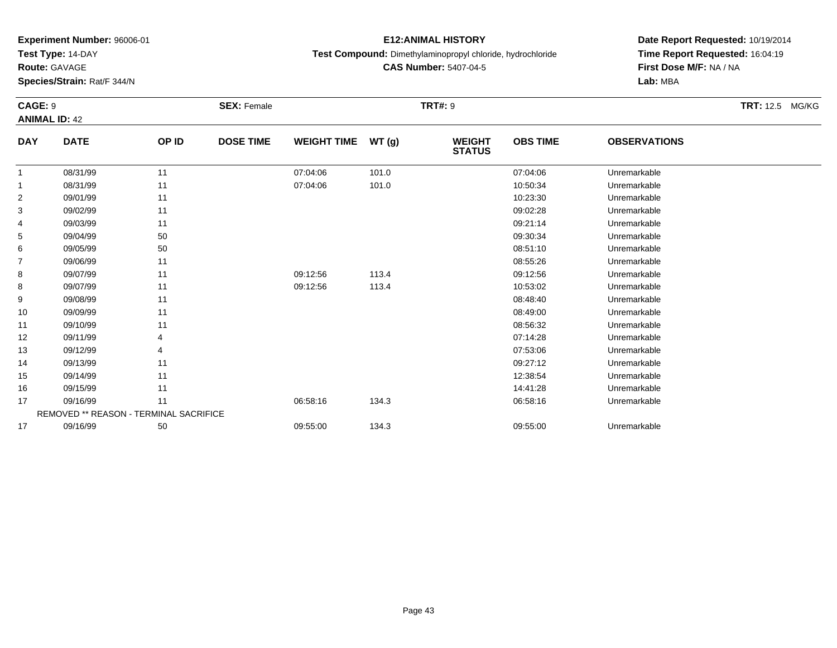**Test Type:** 14-DAY

**Route:** GAVAGE

**Species/Strain:** Rat/F 344/N

## **E12:ANIMAL HISTORY**

**Test Compound:** Dimethylaminopropyl chloride, hydrochloride

**CAS Number:** 5407-04-5

| CAGE: 9        |                                               |                | <b>SEX: Female</b> |                    |       | <b>TRT#: 9</b>                 |                 |                     | TRT: 12.5 MG/KG |
|----------------|-----------------------------------------------|----------------|--------------------|--------------------|-------|--------------------------------|-----------------|---------------------|-----------------|
|                | <b>ANIMAL ID: 42</b>                          |                |                    |                    |       |                                |                 |                     |                 |
| <b>DAY</b>     | <b>DATE</b>                                   | OP ID          | <b>DOSE TIME</b>   | <b>WEIGHT TIME</b> | WT(g) | <b>WEIGHT</b><br><b>STATUS</b> | <b>OBS TIME</b> | <b>OBSERVATIONS</b> |                 |
| 1              | 08/31/99                                      | 11             |                    | 07:04:06           | 101.0 |                                | 07:04:06        | Unremarkable        |                 |
| 1              | 08/31/99                                      | 11             |                    | 07:04:06           | 101.0 |                                | 10:50:34        | Unremarkable        |                 |
| $\overline{c}$ | 09/01/99                                      | 11             |                    |                    |       |                                | 10:23:30        | Unremarkable        |                 |
| 3              | 09/02/99                                      | 11             |                    |                    |       |                                | 09:02:28        | Unremarkable        |                 |
| 4              | 09/03/99                                      | 11             |                    |                    |       |                                | 09:21:14        | Unremarkable        |                 |
| 5              | 09/04/99                                      | 50             |                    |                    |       |                                | 09:30:34        | Unremarkable        |                 |
| 6              | 09/05/99                                      | 50             |                    |                    |       |                                | 08:51:10        | Unremarkable        |                 |
| $\overline{7}$ | 09/06/99                                      | 11             |                    |                    |       |                                | 08:55:26        | Unremarkable        |                 |
| 8              | 09/07/99                                      | 11             |                    | 09:12:56           | 113.4 |                                | 09:12:56        | Unremarkable        |                 |
| 8              | 09/07/99                                      | 11             |                    | 09:12:56           | 113.4 |                                | 10:53:02        | Unremarkable        |                 |
| 9              | 09/08/99                                      | 11             |                    |                    |       |                                | 08:48:40        | Unremarkable        |                 |
| 10             | 09/09/99                                      | 11             |                    |                    |       |                                | 08:49:00        | Unremarkable        |                 |
| 11             | 09/10/99                                      | 11             |                    |                    |       |                                | 08:56:32        | Unremarkable        |                 |
| 12             | 09/11/99                                      | 4              |                    |                    |       |                                | 07:14:28        | Unremarkable        |                 |
| 13             | 09/12/99                                      | $\overline{4}$ |                    |                    |       |                                | 07:53:06        | Unremarkable        |                 |
| 14             | 09/13/99                                      | 11             |                    |                    |       |                                | 09:27:12        | Unremarkable        |                 |
| 15             | 09/14/99                                      | 11             |                    |                    |       |                                | 12:38:54        | Unremarkable        |                 |
| 16             | 09/15/99                                      | 11             |                    |                    |       |                                | 14:41:28        | Unremarkable        |                 |
| 17             | 09/16/99                                      | 11             |                    | 06:58:16           | 134.3 |                                | 06:58:16        | Unremarkable        |                 |
|                | <b>REMOVED ** REASON - TERMINAL SACRIFICE</b> |                |                    |                    |       |                                |                 |                     |                 |
| 17             | 09/16/99                                      | 50             |                    | 09:55:00           | 134.3 |                                | 09:55:00        | Unremarkable        |                 |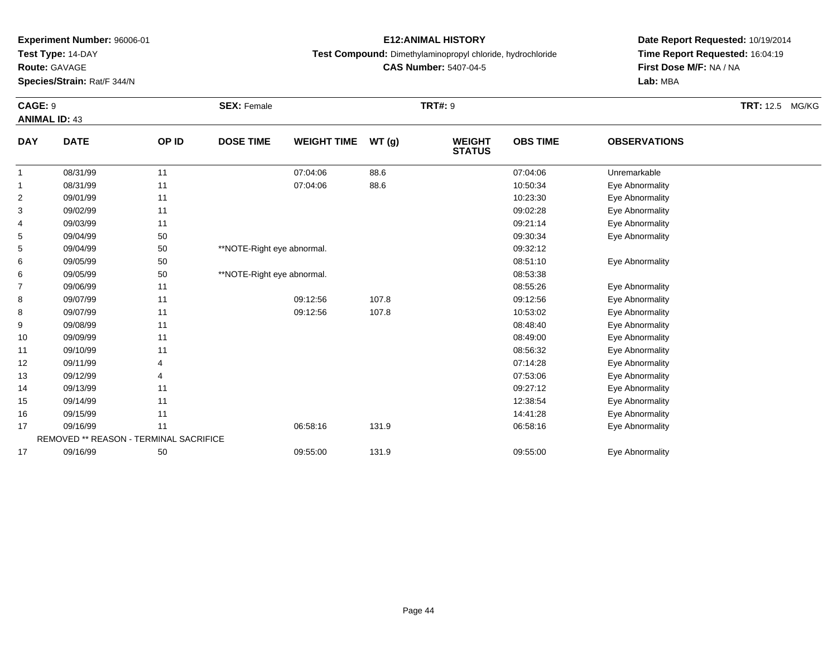**Test Type:** 14-DAY

**Route:** GAVAGE

**Species/Strain:** Rat/F 344/N

## **E12:ANIMAL HISTORY**

**Test Compound:** Dimethylaminopropyl chloride, hydrochloride

**CAS Number:** 5407-04-5

**Date Report Requested:** 10/19/2014**Time Report Requested:** 16:04:19**Lab:** MBA

| CAGE: 9        | <b>ANIMAL ID: 43</b>                   |       | <b>SEX: Female</b>         |                    |       | <b>TRT#: 9</b>                 |                 |                     | <b>TRT: 12.5 MG/KG</b> |
|----------------|----------------------------------------|-------|----------------------------|--------------------|-------|--------------------------------|-----------------|---------------------|------------------------|
| <b>DAY</b>     | <b>DATE</b>                            | OP ID | <b>DOSE TIME</b>           | <b>WEIGHT TIME</b> | WT(g) | <b>WEIGHT</b><br><b>STATUS</b> | <b>OBS TIME</b> | <b>OBSERVATIONS</b> |                        |
| -1             | 08/31/99                               | 11    |                            | 07:04:06           | 88.6  |                                | 07:04:06        | Unremarkable        |                        |
| 1              | 08/31/99                               | 11    |                            | 07:04:06           | 88.6  |                                | 10:50:34        | Eye Abnormality     |                        |
| $\overline{2}$ | 09/01/99                               | 11    |                            |                    |       |                                | 10:23:30        | Eye Abnormality     |                        |
| 3              | 09/02/99                               | 11    |                            |                    |       |                                | 09:02:28        | Eye Abnormality     |                        |
| 4              | 09/03/99                               | 11    |                            |                    |       |                                | 09:21:14        | Eye Abnormality     |                        |
| 5              | 09/04/99                               | 50    |                            |                    |       |                                | 09:30:34        | Eye Abnormality     |                        |
| 5              | 09/04/99                               | 50    | **NOTE-Right eye abnormal. |                    |       |                                | 09:32:12        |                     |                        |
| 6              | 09/05/99                               | 50    |                            |                    |       |                                | 08:51:10        | Eye Abnormality     |                        |
| 6              | 09/05/99                               | 50    | **NOTE-Right eye abnormal. |                    |       |                                | 08:53:38        |                     |                        |
| $\overline{7}$ | 09/06/99                               | 11    |                            |                    |       |                                | 08:55:26        | Eye Abnormality     |                        |
| 8              | 09/07/99                               | 11    |                            | 09:12:56           | 107.8 |                                | 09:12:56        | Eye Abnormality     |                        |
| 8              | 09/07/99                               | 11    |                            | 09:12:56           | 107.8 |                                | 10:53:02        | Eye Abnormality     |                        |
| 9              | 09/08/99                               | 11    |                            |                    |       |                                | 08:48:40        | Eye Abnormality     |                        |
| 10             | 09/09/99                               | 11    |                            |                    |       |                                | 08:49:00        | Eye Abnormality     |                        |
| 11             | 09/10/99                               | 11    |                            |                    |       |                                | 08:56:32        | Eye Abnormality     |                        |
| 12             | 09/11/99                               | 4     |                            |                    |       |                                | 07:14:28        | Eye Abnormality     |                        |
| 13             | 09/12/99                               | 4     |                            |                    |       |                                | 07:53:06        | Eye Abnormality     |                        |
| 14             | 09/13/99                               | 11    |                            |                    |       |                                | 09:27:12        | Eye Abnormality     |                        |
| 15             | 09/14/99                               | 11    |                            |                    |       |                                | 12:38:54        | Eye Abnormality     |                        |
| 16             | 09/15/99                               | 11    |                            |                    |       |                                | 14:41:28        | Eye Abnormality     |                        |
| 17             | 09/16/99                               | 11    |                            | 06:58:16           | 131.9 |                                | 06:58:16        | Eye Abnormality     |                        |
|                | REMOVED ** REASON - TERMINAL SACRIFICE |       |                            |                    |       |                                |                 |                     |                        |
| 17             | 09/16/99                               | 50    |                            | 09:55:00           | 131.9 |                                | 09:55:00        | Eye Abnormality     |                        |

**First Dose M/F:** NA / NA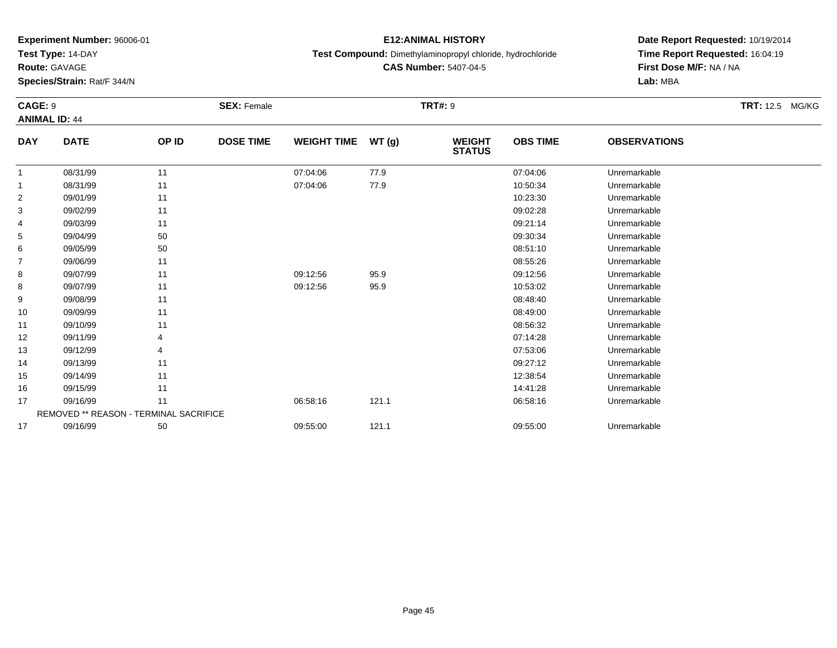**Test Type:** 14-DAY

**Route:** GAVAGE

**Species/Strain:** Rat/F 344/N

## **E12:ANIMAL HISTORY**

**Test Compound:** Dimethylaminopropyl chloride, hydrochloride

**CAS Number:** 5407-04-5

| <b>CAGE: 9</b> |                                               |       | <b>SEX: Female</b> |                    |       | <b>TRT#: 9</b>                 |                 |                     | TRT: 12.5 MG/KG |
|----------------|-----------------------------------------------|-------|--------------------|--------------------|-------|--------------------------------|-----------------|---------------------|-----------------|
|                | <b>ANIMAL ID: 44</b>                          |       |                    |                    |       |                                |                 |                     |                 |
| <b>DAY</b>     | <b>DATE</b>                                   | OP ID | <b>DOSE TIME</b>   | <b>WEIGHT TIME</b> | WT(g) | <b>WEIGHT</b><br><b>STATUS</b> | <b>OBS TIME</b> | <b>OBSERVATIONS</b> |                 |
| $\mathbf{1}$   | 08/31/99                                      | 11    |                    | 07:04:06           | 77.9  |                                | 07:04:06        | Unremarkable        |                 |
| 1              | 08/31/99                                      | 11    |                    | 07:04:06           | 77.9  |                                | 10:50:34        | Unremarkable        |                 |
| 2              | 09/01/99                                      | 11    |                    |                    |       |                                | 10:23:30        | Unremarkable        |                 |
| 3              | 09/02/99                                      | 11    |                    |                    |       |                                | 09:02:28        | Unremarkable        |                 |
| 4              | 09/03/99                                      | 11    |                    |                    |       |                                | 09:21:14        | Unremarkable        |                 |
| 5              | 09/04/99                                      | 50    |                    |                    |       |                                | 09:30:34        | Unremarkable        |                 |
| 6              | 09/05/99                                      | 50    |                    |                    |       |                                | 08:51:10        | Unremarkable        |                 |
| 7              | 09/06/99                                      | 11    |                    |                    |       |                                | 08:55:26        | Unremarkable        |                 |
| 8              | 09/07/99                                      | 11    |                    | 09:12:56           | 95.9  |                                | 09:12:56        | Unremarkable        |                 |
| 8              | 09/07/99                                      | 11    |                    | 09:12:56           | 95.9  |                                | 10:53:02        | Unremarkable        |                 |
| 9              | 09/08/99                                      | 11    |                    |                    |       |                                | 08:48:40        | Unremarkable        |                 |
| 10             | 09/09/99                                      | 11    |                    |                    |       |                                | 08:49:00        | Unremarkable        |                 |
| 11             | 09/10/99                                      | 11    |                    |                    |       |                                | 08:56:32        | Unremarkable        |                 |
| 12             | 09/11/99                                      |       |                    |                    |       |                                | 07:14:28        | Unremarkable        |                 |
| 13             | 09/12/99                                      | 4     |                    |                    |       |                                | 07:53:06        | Unremarkable        |                 |
| 14             | 09/13/99                                      | 11    |                    |                    |       |                                | 09:27:12        | Unremarkable        |                 |
| 15             | 09/14/99                                      | 11    |                    |                    |       |                                | 12:38:54        | Unremarkable        |                 |
| 16             | 09/15/99                                      | 11    |                    |                    |       |                                | 14:41:28        | Unremarkable        |                 |
| 17             | 09/16/99                                      | 11    |                    | 06:58:16           | 121.1 |                                | 06:58:16        | Unremarkable        |                 |
|                | <b>REMOVED ** REASON - TERMINAL SACRIFICE</b> |       |                    |                    |       |                                |                 |                     |                 |
| 17             | 09/16/99                                      | 50    |                    | 09:55:00           | 121.1 |                                | 09:55:00        | Unremarkable        |                 |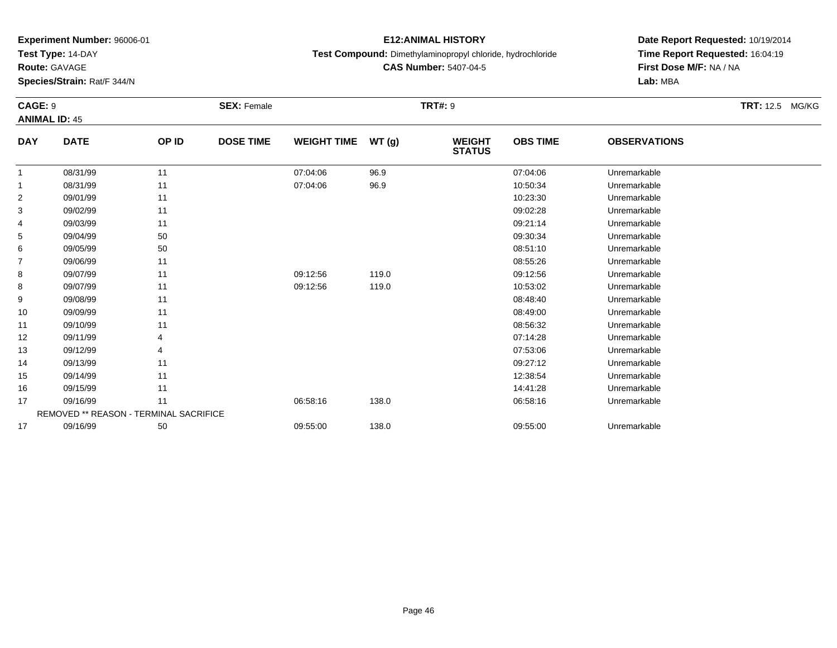**Test Type:** 14-DAY

**Route:** GAVAGE

**Species/Strain:** Rat/F 344/N

## **E12:ANIMAL HISTORY**

**Test Compound:** Dimethylaminopropyl chloride, hydrochloride

**CAS Number:** 5407-04-5

| CAGE: 9        |                                               |       | <b>SEX: Female</b> |                    |        | <b>TRT#: 9</b>                 |                 |                     | <b>TRT:</b> 12.5 MG/KG |
|----------------|-----------------------------------------------|-------|--------------------|--------------------|--------|--------------------------------|-----------------|---------------------|------------------------|
|                | <b>ANIMAL ID: 45</b>                          |       |                    |                    |        |                                |                 |                     |                        |
| <b>DAY</b>     | <b>DATE</b>                                   | OP ID | <b>DOSE TIME</b>   | <b>WEIGHT TIME</b> | WT (g) | <b>WEIGHT</b><br><b>STATUS</b> | <b>OBS TIME</b> | <b>OBSERVATIONS</b> |                        |
| 1              | 08/31/99                                      | 11    |                    | 07:04:06           | 96.9   |                                | 07:04:06        | Unremarkable        |                        |
| 1              | 08/31/99                                      | 11    |                    | 07:04:06           | 96.9   |                                | 10:50:34        | Unremarkable        |                        |
| $\overline{2}$ | 09/01/99                                      | 11    |                    |                    |        |                                | 10:23:30        | Unremarkable        |                        |
| 3              | 09/02/99                                      | 11    |                    |                    |        |                                | 09:02:28        | Unremarkable        |                        |
| 4              | 09/03/99                                      | 11    |                    |                    |        |                                | 09:21:14        | Unremarkable        |                        |
| 5              | 09/04/99                                      | 50    |                    |                    |        |                                | 09:30:34        | Unremarkable        |                        |
| 6              | 09/05/99                                      | 50    |                    |                    |        |                                | 08:51:10        | Unremarkable        |                        |
| $\overline{7}$ | 09/06/99                                      | 11    |                    |                    |        |                                | 08:55:26        | Unremarkable        |                        |
| 8              | 09/07/99                                      | 11    |                    | 09:12:56           | 119.0  |                                | 09:12:56        | Unremarkable        |                        |
| 8              | 09/07/99                                      | 11    |                    | 09:12:56           | 119.0  |                                | 10:53:02        | Unremarkable        |                        |
| 9              | 09/08/99                                      | 11    |                    |                    |        |                                | 08:48:40        | Unremarkable        |                        |
| 10             | 09/09/99                                      | 11    |                    |                    |        |                                | 08:49:00        | Unremarkable        |                        |
| 11             | 09/10/99                                      | 11    |                    |                    |        |                                | 08:56:32        | Unremarkable        |                        |
| 12             | 09/11/99                                      | 4     |                    |                    |        |                                | 07:14:28        | Unremarkable        |                        |
| 13             | 09/12/99                                      | 4     |                    |                    |        |                                | 07:53:06        | Unremarkable        |                        |
| 14             | 09/13/99                                      | 11    |                    |                    |        |                                | 09:27:12        | Unremarkable        |                        |
| 15             | 09/14/99                                      | 11    |                    |                    |        |                                | 12:38:54        | Unremarkable        |                        |
| 16             | 09/15/99                                      | 11    |                    |                    |        |                                | 14:41:28        | Unremarkable        |                        |
| 17             | 09/16/99                                      | 11    |                    | 06:58:16           | 138.0  |                                | 06:58:16        | Unremarkable        |                        |
|                | <b>REMOVED ** REASON - TERMINAL SACRIFICE</b> |       |                    |                    |        |                                |                 |                     |                        |
| 17             | 09/16/99                                      | 50    |                    | 09:55:00           | 138.0  |                                | 09:55:00        | Unremarkable        |                        |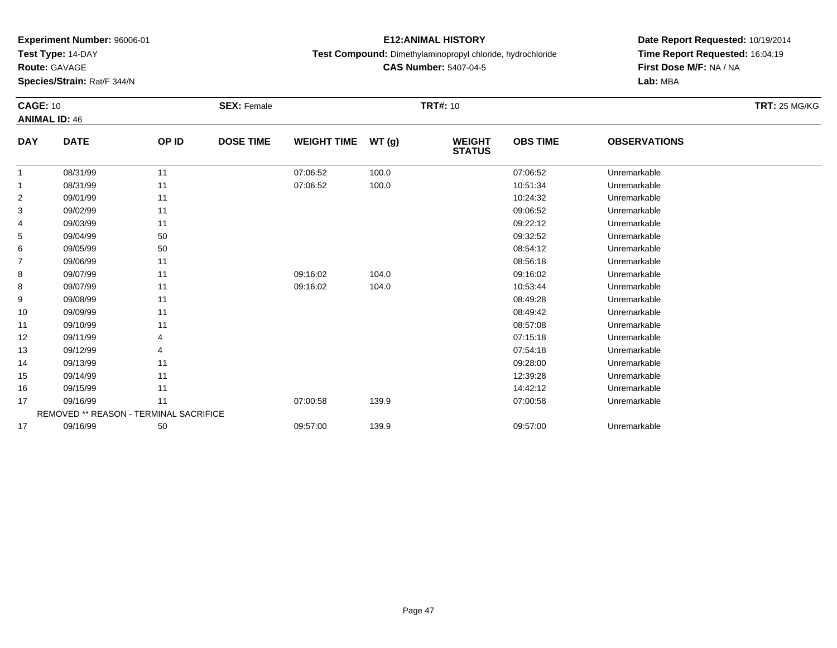**Test Type:** 14-DAY

**Route:** GAVAGE

**Species/Strain:** Rat/F 344/N

## **E12:ANIMAL HISTORY**

**Test Compound:** Dimethylaminopropyl chloride, hydrochloride

**CAS Number:** 5407-04-5

| <b>CAGE: 10</b> | <b>ANIMAL ID: 46</b>                   |       | <b>SEX: Female</b> |                    |       | <b>TRT#: 10</b>                |                 |                     | <b>TRT: 25 MG/KG</b> |
|-----------------|----------------------------------------|-------|--------------------|--------------------|-------|--------------------------------|-----------------|---------------------|----------------------|
| <b>DAY</b>      | <b>DATE</b>                            | OP ID | <b>DOSE TIME</b>   | <b>WEIGHT TIME</b> | WT(g) | <b>WEIGHT</b><br><b>STATUS</b> | <b>OBS TIME</b> | <b>OBSERVATIONS</b> |                      |
| 1               | 08/31/99                               | 11    |                    | 07:06:52           | 100.0 |                                | 07:06:52        | Unremarkable        |                      |
| 1               | 08/31/99                               | 11    |                    | 07:06:52           | 100.0 |                                | 10:51:34        | Unremarkable        |                      |
| $\overline{c}$  | 09/01/99                               | 11    |                    |                    |       |                                | 10:24:32        | Unremarkable        |                      |
| 3               | 09/02/99                               | 11    |                    |                    |       |                                | 09:06:52        | Unremarkable        |                      |
| 4               | 09/03/99                               | 11    |                    |                    |       |                                | 09:22:12        | Unremarkable        |                      |
| 5               | 09/04/99                               | 50    |                    |                    |       |                                | 09:32:52        | Unremarkable        |                      |
| 6               | 09/05/99                               | 50    |                    |                    |       |                                | 08:54:12        | Unremarkable        |                      |
| $\overline{7}$  | 09/06/99                               | 11    |                    |                    |       |                                | 08:56:18        | Unremarkable        |                      |
| 8               | 09/07/99                               | 11    |                    | 09:16:02           | 104.0 |                                | 09:16:02        | Unremarkable        |                      |
| 8               | 09/07/99                               | 11    |                    | 09:16:02           | 104.0 |                                | 10:53:44        | Unremarkable        |                      |
| 9               | 09/08/99                               | 11    |                    |                    |       |                                | 08:49:28        | Unremarkable        |                      |
| 10              | 09/09/99                               | 11    |                    |                    |       |                                | 08:49:42        | Unremarkable        |                      |
| 11              | 09/10/99                               | 11    |                    |                    |       |                                | 08:57:08        | Unremarkable        |                      |
| 12              | 09/11/99                               |       |                    |                    |       |                                | 07:15:18        | Unremarkable        |                      |
| 13              | 09/12/99                               | 4     |                    |                    |       |                                | 07:54:18        | Unremarkable        |                      |
| 14              | 09/13/99                               | 11    |                    |                    |       |                                | 09:28:00        | Unremarkable        |                      |
| 15              | 09/14/99                               | 11    |                    |                    |       |                                | 12:39:28        | Unremarkable        |                      |
| 16              | 09/15/99                               | 11    |                    |                    |       |                                | 14:42:12        | Unremarkable        |                      |
| 17              | 09/16/99                               | 11    |                    | 07:00:58           | 139.9 |                                | 07:00:58        | Unremarkable        |                      |
|                 | REMOVED ** REASON - TERMINAL SACRIFICE |       |                    |                    |       |                                |                 |                     |                      |
| 17              | 09/16/99                               | 50    |                    | 09:57:00           | 139.9 |                                | 09:57:00        | Unremarkable        |                      |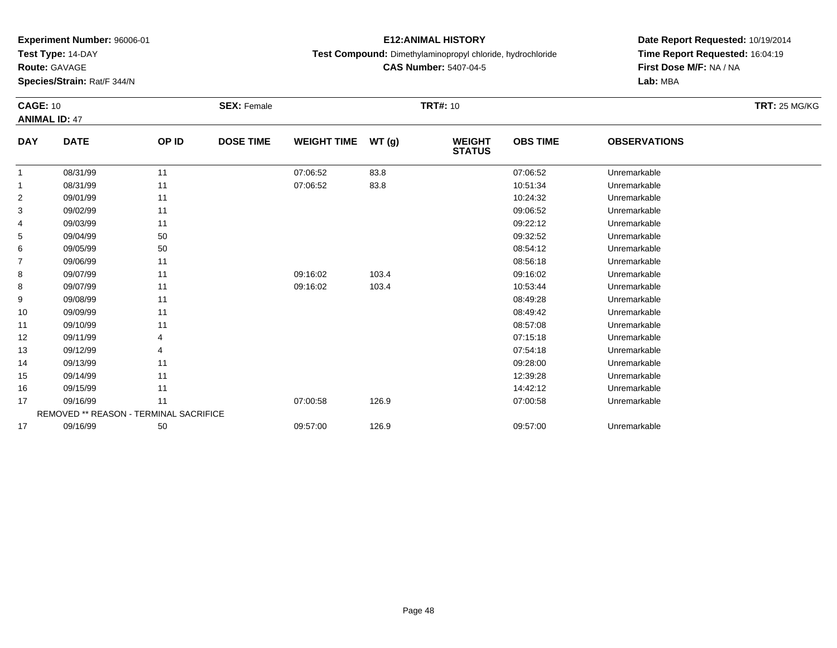**Test Type:** 14-DAY

**Route:** GAVAGE

**Species/Strain:** Rat/F 344/N

## **E12:ANIMAL HISTORY**

**Test Compound:** Dimethylaminopropyl chloride, hydrochloride

**CAS Number:** 5407-04-5

| <b>CAGE: 10</b> | <b>ANIMAL ID: 47</b>                          |       | <b>SEX: Female</b> |                    |       | <b>TRT#: 10</b>                |                 |                     | <b>TRT: 25 MG/KG</b> |
|-----------------|-----------------------------------------------|-------|--------------------|--------------------|-------|--------------------------------|-----------------|---------------------|----------------------|
| <b>DAY</b>      | <b>DATE</b>                                   | OP ID | <b>DOSE TIME</b>   | <b>WEIGHT TIME</b> | WT(g) | <b>WEIGHT</b><br><b>STATUS</b> | <b>OBS TIME</b> | <b>OBSERVATIONS</b> |                      |
| 1               | 08/31/99                                      | 11    |                    | 07:06:52           | 83.8  |                                | 07:06:52        | Unremarkable        |                      |
| 1               | 08/31/99                                      | 11    |                    | 07:06:52           | 83.8  |                                | 10:51:34        | Unremarkable        |                      |
| $\overline{c}$  | 09/01/99                                      | 11    |                    |                    |       |                                | 10:24:32        | Unremarkable        |                      |
| 3               | 09/02/99                                      | 11    |                    |                    |       |                                | 09:06:52        | Unremarkable        |                      |
| 4               | 09/03/99                                      | 11    |                    |                    |       |                                | 09:22:12        | Unremarkable        |                      |
| 5               | 09/04/99                                      | 50    |                    |                    |       |                                | 09:32:52        | Unremarkable        |                      |
| 6               | 09/05/99                                      | 50    |                    |                    |       |                                | 08:54:12        | Unremarkable        |                      |
| $\overline{7}$  | 09/06/99                                      | 11    |                    |                    |       |                                | 08:56:18        | Unremarkable        |                      |
| 8               | 09/07/99                                      | 11    |                    | 09:16:02           | 103.4 |                                | 09:16:02        | Unremarkable        |                      |
| 8               | 09/07/99                                      | 11    |                    | 09:16:02           | 103.4 |                                | 10:53:44        | Unremarkable        |                      |
| 9               | 09/08/99                                      | 11    |                    |                    |       |                                | 08:49:28        | Unremarkable        |                      |
| 10              | 09/09/99                                      | 11    |                    |                    |       |                                | 08:49:42        | Unremarkable        |                      |
| 11              | 09/10/99                                      | 11    |                    |                    |       |                                | 08:57:08        | Unremarkable        |                      |
| 12              | 09/11/99                                      |       |                    |                    |       |                                | 07:15:18        | Unremarkable        |                      |
| 13              | 09/12/99                                      | 4     |                    |                    |       |                                | 07:54:18        | Unremarkable        |                      |
| 14              | 09/13/99                                      | 11    |                    |                    |       |                                | 09:28:00        | Unremarkable        |                      |
| 15              | 09/14/99                                      | 11    |                    |                    |       |                                | 12:39:28        | Unremarkable        |                      |
| 16              | 09/15/99                                      | 11    |                    |                    |       |                                | 14:42:12        | Unremarkable        |                      |
| 17              | 09/16/99                                      | 11    |                    | 07:00:58           | 126.9 |                                | 07:00:58        | Unremarkable        |                      |
|                 | <b>REMOVED ** REASON - TERMINAL SACRIFICE</b> |       |                    |                    |       |                                |                 |                     |                      |
| 17              | 09/16/99                                      | 50    |                    | 09:57:00           | 126.9 |                                | 09:57:00        | Unremarkable        |                      |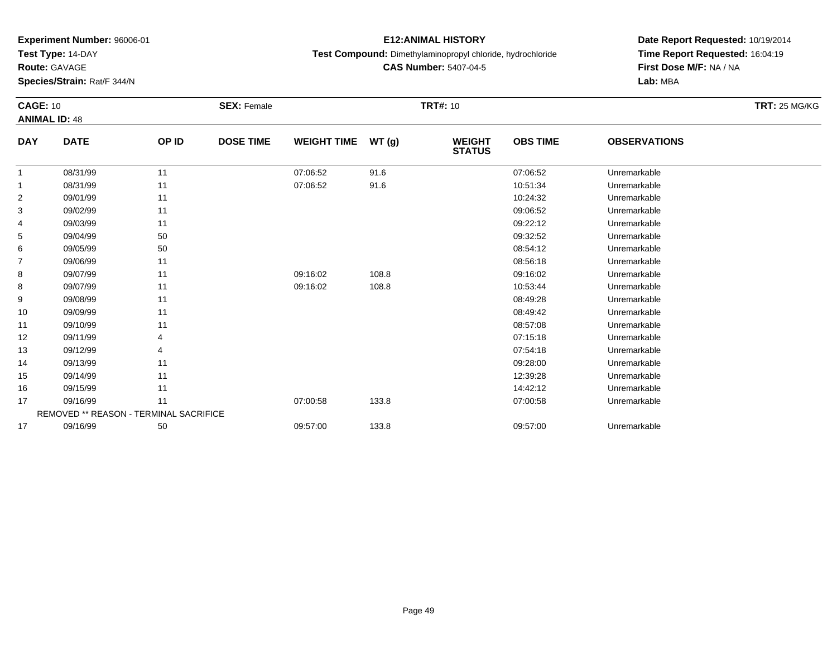**Test Type:** 14-DAY

**Route:** GAVAGE

**Species/Strain:** Rat/F 344/N

## **E12:ANIMAL HISTORY**

**Test Compound:** Dimethylaminopropyl chloride, hydrochloride

**CAS Number:** 5407-04-5

| <b>CAGE: 10</b> |                                               |       | <b>SEX: Female</b> |                    |       | <b>TRT#: 10</b>                |                 |                     | <b>TRT: 25 MG/KG</b> |
|-----------------|-----------------------------------------------|-------|--------------------|--------------------|-------|--------------------------------|-----------------|---------------------|----------------------|
|                 | <b>ANIMAL ID: 48</b>                          |       |                    |                    |       |                                |                 |                     |                      |
| <b>DAY</b>      | <b>DATE</b>                                   | OP ID | <b>DOSE TIME</b>   | <b>WEIGHT TIME</b> | WT(g) | <b>WEIGHT</b><br><b>STATUS</b> | <b>OBS TIME</b> | <b>OBSERVATIONS</b> |                      |
| $\mathbf 1$     | 08/31/99                                      | 11    |                    | 07:06:52           | 91.6  |                                | 07:06:52        | Unremarkable        |                      |
| 1               | 08/31/99                                      | 11    |                    | 07:06:52           | 91.6  |                                | 10:51:34        | Unremarkable        |                      |
| $\overline{2}$  | 09/01/99                                      | 11    |                    |                    |       |                                | 10:24:32        | Unremarkable        |                      |
| 3               | 09/02/99                                      | 11    |                    |                    |       |                                | 09:06:52        | Unremarkable        |                      |
| 4               | 09/03/99                                      | 11    |                    |                    |       |                                | 09:22:12        | Unremarkable        |                      |
| 5               | 09/04/99                                      | 50    |                    |                    |       |                                | 09:32:52        | Unremarkable        |                      |
| 6               | 09/05/99                                      | 50    |                    |                    |       |                                | 08:54:12        | Unremarkable        |                      |
| 7               | 09/06/99                                      | 11    |                    |                    |       |                                | 08:56:18        | Unremarkable        |                      |
| 8               | 09/07/99                                      | 11    |                    | 09:16:02           | 108.8 |                                | 09:16:02        | Unremarkable        |                      |
| 8               | 09/07/99                                      | 11    |                    | 09:16:02           | 108.8 |                                | 10:53:44        | Unremarkable        |                      |
| 9               | 09/08/99                                      | 11    |                    |                    |       |                                | 08:49:28        | Unremarkable        |                      |
| 10              | 09/09/99                                      | 11    |                    |                    |       |                                | 08:49:42        | Unremarkable        |                      |
| 11              | 09/10/99                                      | 11    |                    |                    |       |                                | 08:57:08        | Unremarkable        |                      |
| 12              | 09/11/99                                      |       |                    |                    |       |                                | 07:15:18        | Unremarkable        |                      |
| 13              | 09/12/99                                      |       |                    |                    |       |                                | 07:54:18        | Unremarkable        |                      |
| 14              | 09/13/99                                      | 11    |                    |                    |       |                                | 09:28:00        | Unremarkable        |                      |
| 15              | 09/14/99                                      | 11    |                    |                    |       |                                | 12:39:28        | Unremarkable        |                      |
| 16              | 09/15/99                                      | 11    |                    |                    |       |                                | 14:42:12        | Unremarkable        |                      |
| 17              | 09/16/99                                      | 11    |                    | 07:00:58           | 133.8 |                                | 07:00:58        | Unremarkable        |                      |
|                 | <b>REMOVED ** REASON - TERMINAL SACRIFICE</b> |       |                    |                    |       |                                |                 |                     |                      |
| 17              | 09/16/99                                      | 50    |                    | 09:57:00           | 133.8 |                                | 09:57:00        | Unremarkable        |                      |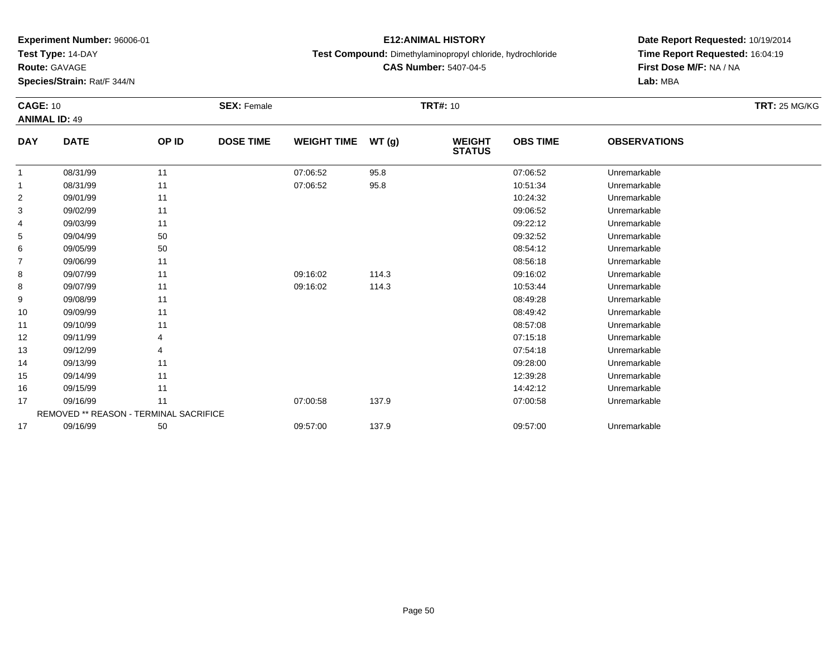**Test Type:** 14-DAY

**Route:** GAVAGE

**Species/Strain:** Rat/F 344/N

## **E12:ANIMAL HISTORY**

**Test Compound:** Dimethylaminopropyl chloride, hydrochloride

**CAS Number:** 5407-04-5

| <b>CAGE: 10</b> | <b>ANIMAL ID: 49</b>                          |       | <b>SEX: Female</b> |                    |       | <b>TRT#: 10</b>                |                 |                     | <b>TRT: 25 MG/KG</b> |
|-----------------|-----------------------------------------------|-------|--------------------|--------------------|-------|--------------------------------|-----------------|---------------------|----------------------|
| <b>DAY</b>      | <b>DATE</b>                                   | OP ID | <b>DOSE TIME</b>   | <b>WEIGHT TIME</b> | WT(g) | <b>WEIGHT</b><br><b>STATUS</b> | <b>OBS TIME</b> | <b>OBSERVATIONS</b> |                      |
| 1               | 08/31/99                                      | 11    |                    | 07:06:52           | 95.8  |                                | 07:06:52        | Unremarkable        |                      |
| 1               | 08/31/99                                      | 11    |                    | 07:06:52           | 95.8  |                                | 10:51:34        | Unremarkable        |                      |
| 2               | 09/01/99                                      | 11    |                    |                    |       |                                | 10:24:32        | Unremarkable        |                      |
| 3               | 09/02/99                                      | 11    |                    |                    |       |                                | 09:06:52        | Unremarkable        |                      |
| 4               | 09/03/99                                      | 11    |                    |                    |       |                                | 09:22:12        | Unremarkable        |                      |
| 5               | 09/04/99                                      | 50    |                    |                    |       |                                | 09:32:52        | Unremarkable        |                      |
| 6               | 09/05/99                                      | 50    |                    |                    |       |                                | 08:54:12        | Unremarkable        |                      |
| 7               | 09/06/99                                      | 11    |                    |                    |       |                                | 08:56:18        | Unremarkable        |                      |
| 8               | 09/07/99                                      | 11    |                    | 09:16:02           | 114.3 |                                | 09:16:02        | Unremarkable        |                      |
| 8               | 09/07/99                                      | 11    |                    | 09:16:02           | 114.3 |                                | 10:53:44        | Unremarkable        |                      |
| 9               | 09/08/99                                      | 11    |                    |                    |       |                                | 08:49:28        | Unremarkable        |                      |
| 10              | 09/09/99                                      | 11    |                    |                    |       |                                | 08:49:42        | Unremarkable        |                      |
| 11              | 09/10/99                                      | 11    |                    |                    |       |                                | 08:57:08        | Unremarkable        |                      |
| 12              | 09/11/99                                      |       |                    |                    |       |                                | 07:15:18        | Unremarkable        |                      |
| 13              | 09/12/99                                      |       |                    |                    |       |                                | 07:54:18        | Unremarkable        |                      |
| 14              | 09/13/99                                      | 11    |                    |                    |       |                                | 09:28:00        | Unremarkable        |                      |
| 15              | 09/14/99                                      | 11    |                    |                    |       |                                | 12:39:28        | Unremarkable        |                      |
| 16              | 09/15/99                                      | 11    |                    |                    |       |                                | 14:42:12        | Unremarkable        |                      |
| 17              | 09/16/99                                      | 11    |                    | 07:00:58           | 137.9 |                                | 07:00:58        | Unremarkable        |                      |
|                 | <b>REMOVED ** REASON - TERMINAL SACRIFICE</b> |       |                    |                    |       |                                |                 |                     |                      |
| 17              | 09/16/99                                      | 50    |                    | 09:57:00           | 137.9 |                                | 09:57:00        | Unremarkable        |                      |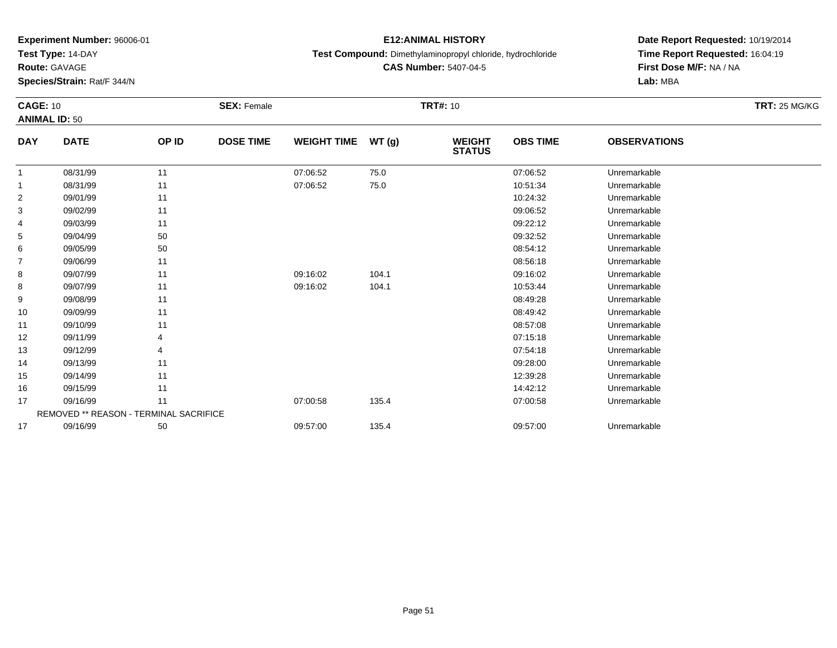**Test Type:** 14-DAY

**Route:** GAVAGE

**Species/Strain:** Rat/F 344/N

## **E12:ANIMAL HISTORY**

**Test Compound:** Dimethylaminopropyl chloride, hydrochloride

**CAS Number:** 5407-04-5

| <b>CAGE: 10</b> |                                               |       | <b>SEX: Female</b> |                    |       | <b>TRT#: 10</b>                |                 |                     | <b>TRT: 25 MG/KG</b> |
|-----------------|-----------------------------------------------|-------|--------------------|--------------------|-------|--------------------------------|-----------------|---------------------|----------------------|
|                 | <b>ANIMAL ID: 50</b>                          |       |                    |                    |       |                                |                 |                     |                      |
| <b>DAY</b>      | <b>DATE</b>                                   | OP ID | <b>DOSE TIME</b>   | <b>WEIGHT TIME</b> | WT(g) | <b>WEIGHT</b><br><b>STATUS</b> | <b>OBS TIME</b> | <b>OBSERVATIONS</b> |                      |
| 1               | 08/31/99                                      | 11    |                    | 07:06:52           | 75.0  |                                | 07:06:52        | Unremarkable        |                      |
| $\mathbf{1}$    | 08/31/99                                      | 11    |                    | 07:06:52           | 75.0  |                                | 10:51:34        | Unremarkable        |                      |
| 2               | 09/01/99                                      | 11    |                    |                    |       |                                | 10:24:32        | Unremarkable        |                      |
| 3               | 09/02/99                                      | 11    |                    |                    |       |                                | 09:06:52        | Unremarkable        |                      |
| 4               | 09/03/99                                      | 11    |                    |                    |       |                                | 09:22:12        | Unremarkable        |                      |
| 5               | 09/04/99                                      | 50    |                    |                    |       |                                | 09:32:52        | Unremarkable        |                      |
| 6               | 09/05/99                                      | 50    |                    |                    |       |                                | 08:54:12        | Unremarkable        |                      |
| $\overline{7}$  | 09/06/99                                      | 11    |                    |                    |       |                                | 08:56:18        | Unremarkable        |                      |
| 8               | 09/07/99                                      | 11    |                    | 09:16:02           | 104.1 |                                | 09:16:02        | Unremarkable        |                      |
| 8               | 09/07/99                                      | 11    |                    | 09:16:02           | 104.1 |                                | 10:53:44        | Unremarkable        |                      |
| 9               | 09/08/99                                      | 11    |                    |                    |       |                                | 08:49:28        | Unremarkable        |                      |
| 10              | 09/09/99                                      | 11    |                    |                    |       |                                | 08:49:42        | Unremarkable        |                      |
| 11              | 09/10/99                                      | 11    |                    |                    |       |                                | 08:57:08        | Unremarkable        |                      |
| 12              | 09/11/99                                      | 4     |                    |                    |       |                                | 07:15:18        | Unremarkable        |                      |
| 13              | 09/12/99                                      | 4     |                    |                    |       |                                | 07:54:18        | Unremarkable        |                      |
| 14              | 09/13/99                                      | 11    |                    |                    |       |                                | 09:28:00        | Unremarkable        |                      |
| 15              | 09/14/99                                      | 11    |                    |                    |       |                                | 12:39:28        | Unremarkable        |                      |
| 16              | 09/15/99                                      | 11    |                    |                    |       |                                | 14:42:12        | Unremarkable        |                      |
| 17              | 09/16/99                                      | 11    |                    | 07:00:58           | 135.4 |                                | 07:00:58        | Unremarkable        |                      |
|                 | <b>REMOVED ** REASON - TERMINAL SACRIFICE</b> |       |                    |                    |       |                                |                 |                     |                      |
| 17              | 09/16/99                                      | 50    |                    | 09:57:00           | 135.4 |                                | 09:57:00        | Unremarkable        |                      |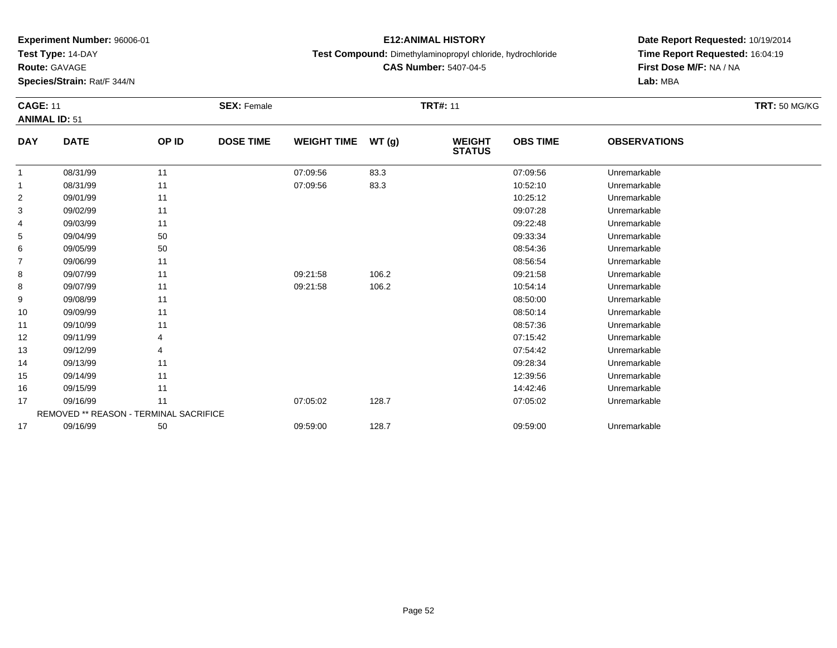**Test Type:** 14-DAY

**Route:** GAVAGE

17

**Species/Strain:** Rat/F 344/N

### **E12:ANIMAL HISTORY**

**Test Compound:** Dimethylaminopropyl chloride, hydrochloride

**CAS Number:** 5407-04-5

**Date Report Requested:** 10/19/2014**Time Report Requested:** 16:04:19**First Dose M/F:** NA / NA**Lab:** MBA

| <b>CAGE: 11</b><br><b>ANIMAL ID: 51</b> |                                        |                | <b>SEX: Female</b> |                    |       | <b>TRT#: 11</b>                |                 |                     | <b>TRT: 50 MG/KG</b> |
|-----------------------------------------|----------------------------------------|----------------|--------------------|--------------------|-------|--------------------------------|-----------------|---------------------|----------------------|
| <b>DAY</b>                              | <b>DATE</b>                            | OP ID          | <b>DOSE TIME</b>   | <b>WEIGHT TIME</b> | WT(g) | <b>WEIGHT</b><br><b>STATUS</b> | <b>OBS TIME</b> | <b>OBSERVATIONS</b> |                      |
| 1                                       | 08/31/99                               | 11             |                    | 07:09:56           | 83.3  |                                | 07:09:56        | Unremarkable        |                      |
|                                         | 08/31/99                               | 11             |                    | 07:09:56           | 83.3  |                                | 10:52:10        | Unremarkable        |                      |
| 2                                       | 09/01/99                               | 11             |                    |                    |       |                                | 10:25:12        | Unremarkable        |                      |
| 3                                       | 09/02/99                               | 11             |                    |                    |       |                                | 09:07:28        | Unremarkable        |                      |
| 4                                       | 09/03/99                               | 11             |                    |                    |       |                                | 09:22:48        | Unremarkable        |                      |
| 5                                       | 09/04/99                               | 50             |                    |                    |       |                                | 09:33:34        | Unremarkable        |                      |
| 6                                       | 09/05/99                               | 50             |                    |                    |       |                                | 08:54:36        | Unremarkable        |                      |
| 7                                       | 09/06/99                               | 11             |                    |                    |       |                                | 08:56:54        | Unremarkable        |                      |
| 8                                       | 09/07/99                               | 11             |                    | 09:21:58           | 106.2 |                                | 09:21:58        | Unremarkable        |                      |
| 8                                       | 09/07/99                               | 11             |                    | 09:21:58           | 106.2 |                                | 10:54:14        | Unremarkable        |                      |
| 9                                       | 09/08/99                               | 11             |                    |                    |       |                                | 08:50:00        | Unremarkable        |                      |
| 10                                      | 09/09/99                               | 11             |                    |                    |       |                                | 08:50:14        | Unremarkable        |                      |
| 11                                      | 09/10/99                               | 11             |                    |                    |       |                                | 08:57:36        | Unremarkable        |                      |
| 12                                      | 09/11/99                               | 4              |                    |                    |       |                                | 07:15:42        | Unremarkable        |                      |
| 13                                      | 09/12/99                               | $\overline{4}$ |                    |                    |       |                                | 07:54:42        | Unremarkable        |                      |
| 14                                      | 09/13/99                               | 11             |                    |                    |       |                                | 09:28:34        | Unremarkable        |                      |
| 15                                      | 09/14/99                               | 11             |                    |                    |       |                                | 12:39:56        | Unremarkable        |                      |
| 16                                      | 09/15/99                               | 11             |                    |                    |       |                                | 14:42:46        | Unremarkable        |                      |
| 17                                      | 09/16/99                               | 11             |                    | 07:05:02           | 128.7 |                                | 07:05:02        | Unremarkable        |                      |
|                                         | REMOVED ** REASON - TERMINAL SACRIFICE |                |                    |                    |       |                                |                 |                     |                      |

09/16/99 <sup>50</sup> 09:59:00 128.7 09:59:00 Unremarkable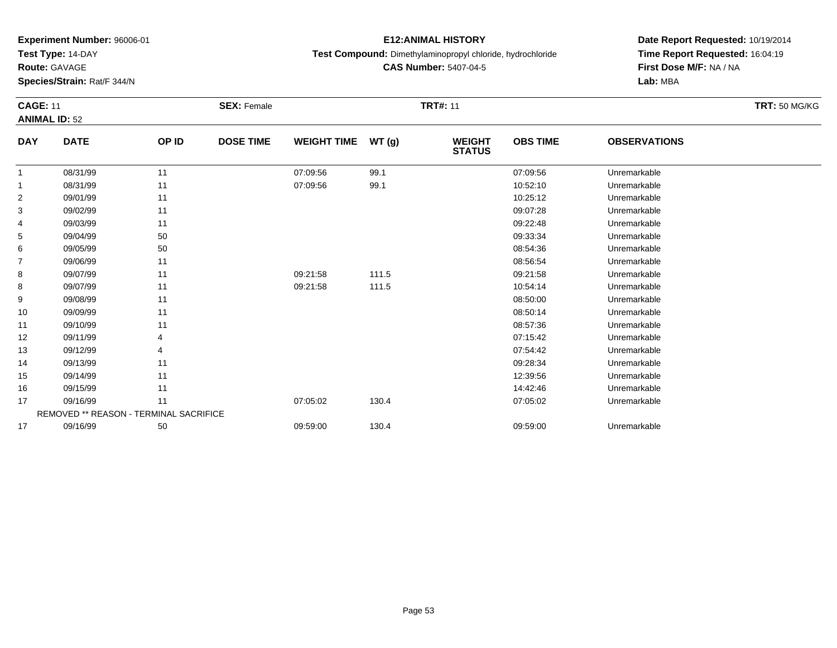**Test Type:** 14-DAY

**Route:** GAVAGE

17

**Species/Strain:** Rat/F 344/N

REMOVED \*\* REASON - TERMINAL SACRIFICE

## **E12:ANIMAL HISTORY**

**Test Compound:** Dimethylaminopropyl chloride, hydrochloride

**CAS Number:** 5407-04-5

**Date Report Requested:** 10/19/2014**Time Report Requested:** 16:04:19**First Dose M/F:** NA / NA**Lab:** MBA

| <b>CAGE: 11</b><br><b>ANIMAL ID: 52</b> |             |       | <b>SEX: Female</b> |                    |       | <b>TRT#: 11</b>                |                 |                     | <b>TRT: 50 MG/KG</b> |
|-----------------------------------------|-------------|-------|--------------------|--------------------|-------|--------------------------------|-----------------|---------------------|----------------------|
| <b>DAY</b>                              | <b>DATE</b> | OP ID | <b>DOSE TIME</b>   | <b>WEIGHT TIME</b> | WT(g) | <b>WEIGHT</b><br><b>STATUS</b> | <b>OBS TIME</b> | <b>OBSERVATIONS</b> |                      |
| 1                                       | 08/31/99    | 11    |                    | 07:09:56           | 99.1  |                                | 07:09:56        | Unremarkable        |                      |
|                                         | 08/31/99    | 11    |                    | 07:09:56           | 99.1  |                                | 10:52:10        | Unremarkable        |                      |
| 2                                       | 09/01/99    | 11    |                    |                    |       |                                | 10:25:12        | Unremarkable        |                      |
| 3                                       | 09/02/99    | 11    |                    |                    |       |                                | 09:07:28        | Unremarkable        |                      |
| 4                                       | 09/03/99    | 11    |                    |                    |       |                                | 09:22:48        | Unremarkable        |                      |
| 5                                       | 09/04/99    | 50    |                    |                    |       |                                | 09:33:34        | Unremarkable        |                      |
| 6                                       | 09/05/99    | 50    |                    |                    |       |                                | 08:54:36        | Unremarkable        |                      |
| $\overline{7}$                          | 09/06/99    | 11    |                    |                    |       |                                | 08:56:54        | Unremarkable        |                      |
| 8                                       | 09/07/99    | 11    |                    | 09:21:58           | 111.5 |                                | 09:21:58        | Unremarkable        |                      |
| 8                                       | 09/07/99    | 11    |                    | 09:21:58           | 111.5 |                                | 10:54:14        | Unremarkable        |                      |
| 9                                       | 09/08/99    | 11    |                    |                    |       |                                | 08:50:00        | Unremarkable        |                      |
| 10                                      | 09/09/99    | 11    |                    |                    |       |                                | 08:50:14        | Unremarkable        |                      |
| 11                                      | 09/10/99    | 11    |                    |                    |       |                                | 08:57:36        | Unremarkable        |                      |
| 12                                      | 09/11/99    | 4     |                    |                    |       |                                | 07:15:42        | Unremarkable        |                      |
| 13                                      | 09/12/99    | 4     |                    |                    |       |                                | 07:54:42        | Unremarkable        |                      |
| 14                                      | 09/13/99    | 11    |                    |                    |       |                                | 09:28:34        | Unremarkable        |                      |
| 15                                      | 09/14/99    | 11    |                    |                    |       |                                | 12:39:56        | Unremarkable        |                      |
| 16                                      | 09/15/99    | 11    |                    |                    |       |                                | 14:42:46        | Unremarkable        |                      |
| 17                                      | 09/16/99    | 11    |                    | 07:05:02           | 130.4 |                                | 07:05:02        | Unremarkable        |                      |

09/16/99 <sup>50</sup> 09:59:00 130.4 09:59:00 Unremarkable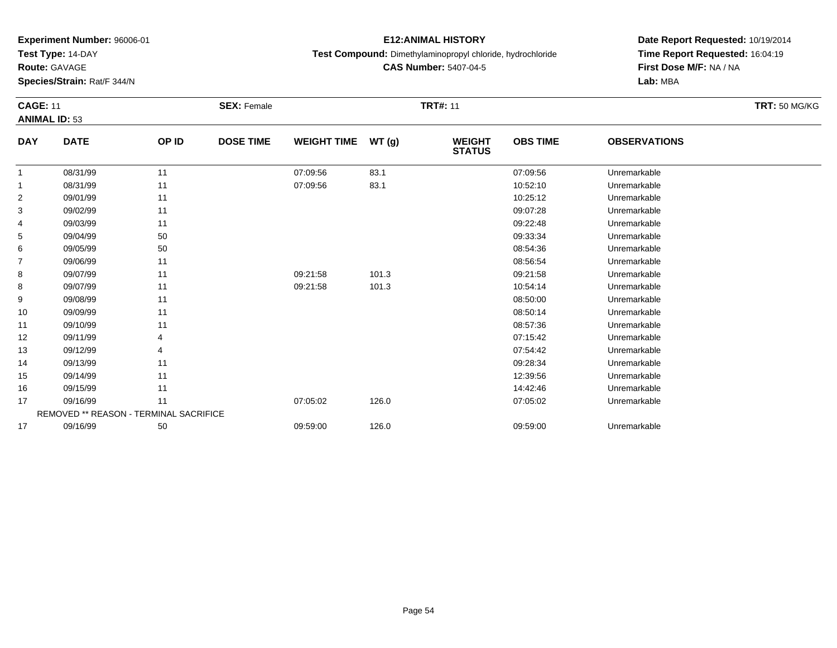**Test Type:** 14-DAY

**Route:** GAVAGE

17

**Species/Strain:** Rat/F 344/N

### **E12:ANIMAL HISTORY**

**Test Compound:** Dimethylaminopropyl chloride, hydrochloride

**CAS Number:** 5407-04-5

**Date Report Requested:** 10/19/2014**Time Report Requested:** 16:04:19**First Dose M/F:** NA / NA**Lab:** MBA

| <b>CAGE: 11</b> |                                        |       | <b>SEX: Female</b> |                    |       | <b>TRT#: 11</b>                |                 |                     | <b>TRT: 50 MG/KG</b> |
|-----------------|----------------------------------------|-------|--------------------|--------------------|-------|--------------------------------|-----------------|---------------------|----------------------|
|                 | <b>ANIMAL ID: 53</b>                   |       |                    |                    |       |                                |                 |                     |                      |
| <b>DAY</b>      | <b>DATE</b>                            | OP ID | <b>DOSE TIME</b>   | <b>WEIGHT TIME</b> | WT(g) | <b>WEIGHT</b><br><b>STATUS</b> | <b>OBS TIME</b> | <b>OBSERVATIONS</b> |                      |
| 1               | 08/31/99                               | 11    |                    | 07:09:56           | 83.1  |                                | 07:09:56        | Unremarkable        |                      |
| 1               | 08/31/99                               | 11    |                    | 07:09:56           | 83.1  |                                | 10:52:10        | Unremarkable        |                      |
| 2               | 09/01/99                               | 11    |                    |                    |       |                                | 10:25:12        | Unremarkable        |                      |
| 3               | 09/02/99                               | 11    |                    |                    |       |                                | 09:07:28        | Unremarkable        |                      |
| 4               | 09/03/99                               | 11    |                    |                    |       |                                | 09:22:48        | Unremarkable        |                      |
| 5               | 09/04/99                               | 50    |                    |                    |       |                                | 09:33:34        | Unremarkable        |                      |
| 6               | 09/05/99                               | 50    |                    |                    |       |                                | 08:54:36        | Unremarkable        |                      |
| 7               | 09/06/99                               | 11    |                    |                    |       |                                | 08:56:54        | Unremarkable        |                      |
| 8               | 09/07/99                               | 11    |                    | 09:21:58           | 101.3 |                                | 09:21:58        | Unremarkable        |                      |
| 8               | 09/07/99                               | 11    |                    | 09:21:58           | 101.3 |                                | 10:54:14        | Unremarkable        |                      |
| 9               | 09/08/99                               | 11    |                    |                    |       |                                | 08:50:00        | Unremarkable        |                      |
| 10              | 09/09/99                               | 11    |                    |                    |       |                                | 08:50:14        | Unremarkable        |                      |
| 11              | 09/10/99                               | 11    |                    |                    |       |                                | 08:57:36        | Unremarkable        |                      |
| 12              | 09/11/99                               |       |                    |                    |       |                                | 07:15:42        | Unremarkable        |                      |
| 13              | 09/12/99                               |       |                    |                    |       |                                | 07:54:42        | Unremarkable        |                      |
| 14              | 09/13/99                               | 11    |                    |                    |       |                                | 09:28:34        | Unremarkable        |                      |
| 15              | 09/14/99                               | 11    |                    |                    |       |                                | 12:39:56        | Unremarkable        |                      |
| 16              | 09/15/99                               | 11    |                    |                    |       |                                | 14:42:46        | Unremarkable        |                      |
| 17              | 09/16/99                               | 11    |                    | 07:05:02           | 126.0 |                                | 07:05:02        | Unremarkable        |                      |
|                 | REMOVED ** REASON - TERMINAL SACRIFICE |       |                    |                    |       |                                |                 |                     |                      |

09/16/99 <sup>50</sup> 09:59:00 126.0 09:59:00 Unremarkable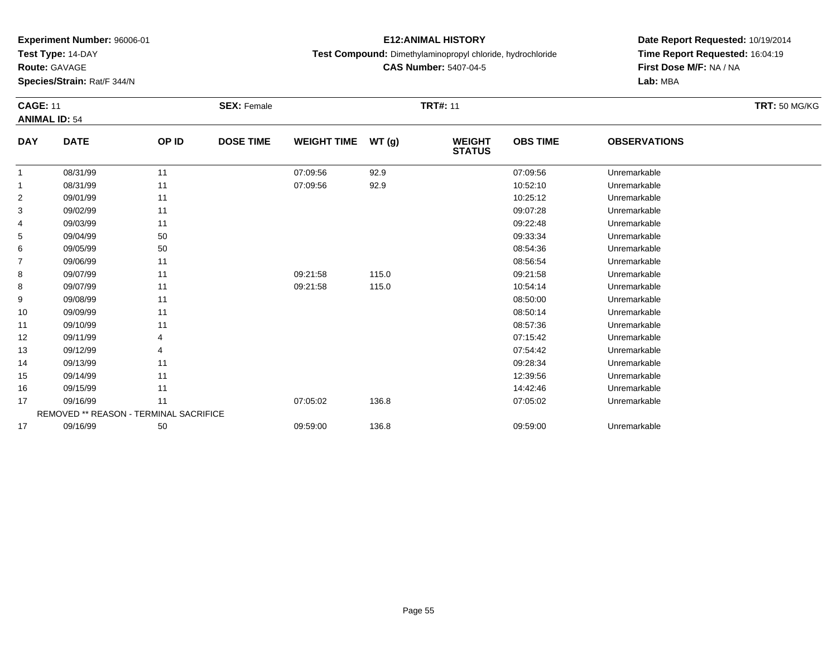**Test Type:** 14-DAY

**Route:** GAVAGE

17

**Species/Strain:** Rat/F 344/N

### **E12:ANIMAL HISTORY**

**Test Compound:** Dimethylaminopropyl chloride, hydrochloride

**CAS Number:** 5407-04-5

**Date Report Requested:** 10/19/2014**Time Report Requested:** 16:04:19**First Dose M/F:** NA / NA**Lab:** MBA

| <b>CAGE: 11</b> | <b>ANIMAL ID: 54</b>                   |       | <b>SEX: Female</b> |                    |       | <b>TRT#: 11</b>                |                 |                     | <b>TRT: 50 MG/KG</b> |
|-----------------|----------------------------------------|-------|--------------------|--------------------|-------|--------------------------------|-----------------|---------------------|----------------------|
| <b>DAY</b>      | <b>DATE</b>                            | OP ID | <b>DOSE TIME</b>   | <b>WEIGHT TIME</b> | WT(g) | <b>WEIGHT</b><br><b>STATUS</b> | <b>OBS TIME</b> | <b>OBSERVATIONS</b> |                      |
| $\mathbf{1}$    | 08/31/99                               | 11    |                    | 07:09:56           | 92.9  |                                | 07:09:56        | Unremarkable        |                      |
| 1               | 08/31/99                               | 11    |                    | 07:09:56           | 92.9  |                                | 10:52:10        | Unremarkable        |                      |
| $\overline{c}$  | 09/01/99                               | 11    |                    |                    |       |                                | 10:25:12        | Unremarkable        |                      |
| 3               | 09/02/99                               | 11    |                    |                    |       |                                | 09:07:28        | Unremarkable        |                      |
| 4               | 09/03/99                               | 11    |                    |                    |       |                                | 09:22:48        | Unremarkable        |                      |
| 5               | 09/04/99                               | 50    |                    |                    |       |                                | 09:33:34        | Unremarkable        |                      |
| 6               | 09/05/99                               | 50    |                    |                    |       |                                | 08:54:36        | Unremarkable        |                      |
| 7               | 09/06/99                               | 11    |                    |                    |       |                                | 08:56:54        | Unremarkable        |                      |
| 8               | 09/07/99                               | 11    |                    | 09:21:58           | 115.0 |                                | 09:21:58        | Unremarkable        |                      |
| 8               | 09/07/99                               | 11    |                    | 09:21:58           | 115.0 |                                | 10:54:14        | Unremarkable        |                      |
| 9               | 09/08/99                               | 11    |                    |                    |       |                                | 08:50:00        | Unremarkable        |                      |
| 10              | 09/09/99                               | 11    |                    |                    |       |                                | 08:50:14        | Unremarkable        |                      |
| 11              | 09/10/99                               | 11    |                    |                    |       |                                | 08:57:36        | Unremarkable        |                      |
| 12              | 09/11/99                               | 4     |                    |                    |       |                                | 07:15:42        | Unremarkable        |                      |
| 13              | 09/12/99                               |       |                    |                    |       |                                | 07:54:42        | Unremarkable        |                      |
| 14              | 09/13/99                               | 11    |                    |                    |       |                                | 09:28:34        | Unremarkable        |                      |
| 15              | 09/14/99                               | 11    |                    |                    |       |                                | 12:39:56        | Unremarkable        |                      |
| 16              | 09/15/99                               | 11    |                    |                    |       |                                | 14:42:46        | Unremarkable        |                      |
| 17              | 09/16/99                               | 11    |                    | 07:05:02           | 136.8 |                                | 07:05:02        | Unremarkable        |                      |
|                 | REMOVED ** REASON - TERMINAL SACRIFICE |       |                    |                    |       |                                |                 |                     |                      |

09/16/99 <sup>50</sup> 09:59:00 136.8 09:59:00 Unremarkable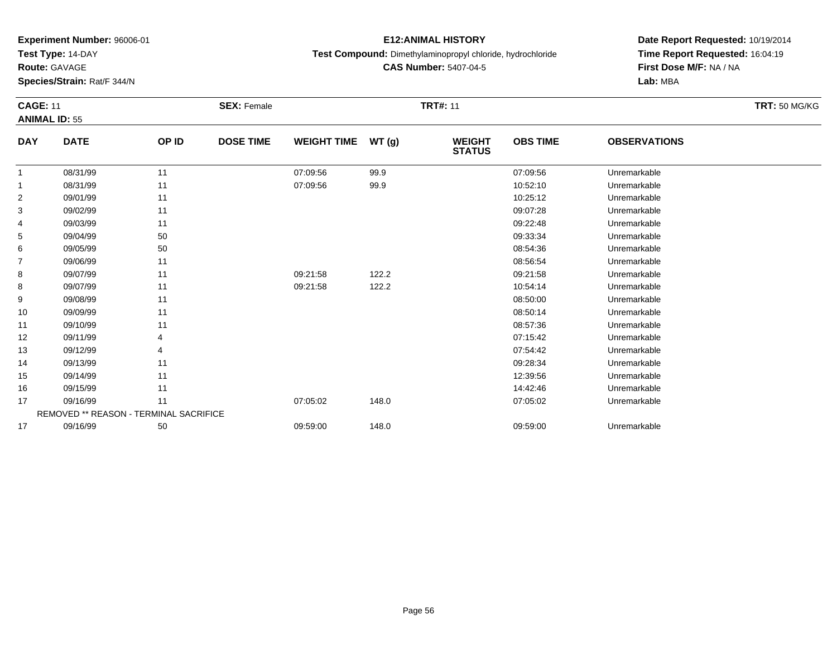**Test Type:** 14-DAY

**Route:** GAVAGE

**Species/Strain:** Rat/F 344/N

### **E12:ANIMAL HISTORY**

**Test Compound:** Dimethylaminopropyl chloride, hydrochloride

**CAS Number:** 5407-04-5

**Date Report Requested:** 10/19/2014**Time Report Requested:** 16:04:19**First Dose M/F:** NA / NA**Lab:** MBA

| <b>CAGE: 11</b> | <b>ANIMAL ID: 55</b>                          |       | <b>SEX: Female</b> |                    |       | <b>TRT#: 11</b>                |                 |                     | <b>TRT: 50 MG/KG</b> |
|-----------------|-----------------------------------------------|-------|--------------------|--------------------|-------|--------------------------------|-----------------|---------------------|----------------------|
| <b>DAY</b>      | <b>DATE</b>                                   | OP ID | <b>DOSE TIME</b>   | <b>WEIGHT TIME</b> | WT(g) | <b>WEIGHT</b><br><b>STATUS</b> | <b>OBS TIME</b> | <b>OBSERVATIONS</b> |                      |
| $\mathbf{1}$    | 08/31/99                                      | 11    |                    | 07:09:56           | 99.9  |                                | 07:09:56        | Unremarkable        |                      |
| 1               | 08/31/99                                      | 11    |                    | 07:09:56           | 99.9  |                                | 10:52:10        | Unremarkable        |                      |
| $\overline{c}$  | 09/01/99                                      | 11    |                    |                    |       |                                | 10:25:12        | Unremarkable        |                      |
| 3               | 09/02/99                                      | 11    |                    |                    |       |                                | 09:07:28        | Unremarkable        |                      |
| 4               | 09/03/99                                      | 11    |                    |                    |       |                                | 09:22:48        | Unremarkable        |                      |
| 5               | 09/04/99                                      | 50    |                    |                    |       |                                | 09:33:34        | Unremarkable        |                      |
| 6               | 09/05/99                                      | 50    |                    |                    |       |                                | 08:54:36        | Unremarkable        |                      |
| 7               | 09/06/99                                      | 11    |                    |                    |       |                                | 08:56:54        | Unremarkable        |                      |
| 8               | 09/07/99                                      | 11    |                    | 09:21:58           | 122.2 |                                | 09:21:58        | Unremarkable        |                      |
| 8               | 09/07/99                                      | 11    |                    | 09:21:58           | 122.2 |                                | 10:54:14        | Unremarkable        |                      |
| 9               | 09/08/99                                      | 11    |                    |                    |       |                                | 08:50:00        | Unremarkable        |                      |
| 10              | 09/09/99                                      | 11    |                    |                    |       |                                | 08:50:14        | Unremarkable        |                      |
| 11              | 09/10/99                                      | 11    |                    |                    |       |                                | 08:57:36        | Unremarkable        |                      |
| 12              | 09/11/99                                      | 4     |                    |                    |       |                                | 07:15:42        | Unremarkable        |                      |
| 13              | 09/12/99                                      |       |                    |                    |       |                                | 07:54:42        | Unremarkable        |                      |
| 14              | 09/13/99                                      | 11    |                    |                    |       |                                | 09:28:34        | Unremarkable        |                      |
| 15              | 09/14/99                                      | 11    |                    |                    |       |                                | 12:39:56        | Unremarkable        |                      |
| 16              | 09/15/99                                      | 11    |                    |                    |       |                                | 14:42:46        | Unremarkable        |                      |
| 17              | 09/16/99                                      | 11    |                    | 07:05:02           | 148.0 |                                | 07:05:02        | Unremarkable        |                      |
|                 | <b>REMOVED ** REASON - TERMINAL SACRIFICE</b> |       |                    |                    |       |                                |                 |                     |                      |
| 17              | 09/16/99                                      | 50    |                    | 09:59:00           | 148.0 |                                | 09:59:00        | Unremarkable        |                      |

09/16/99 <sup>50</sup> 09:59:00 148.0 09:59:00 Unremarkable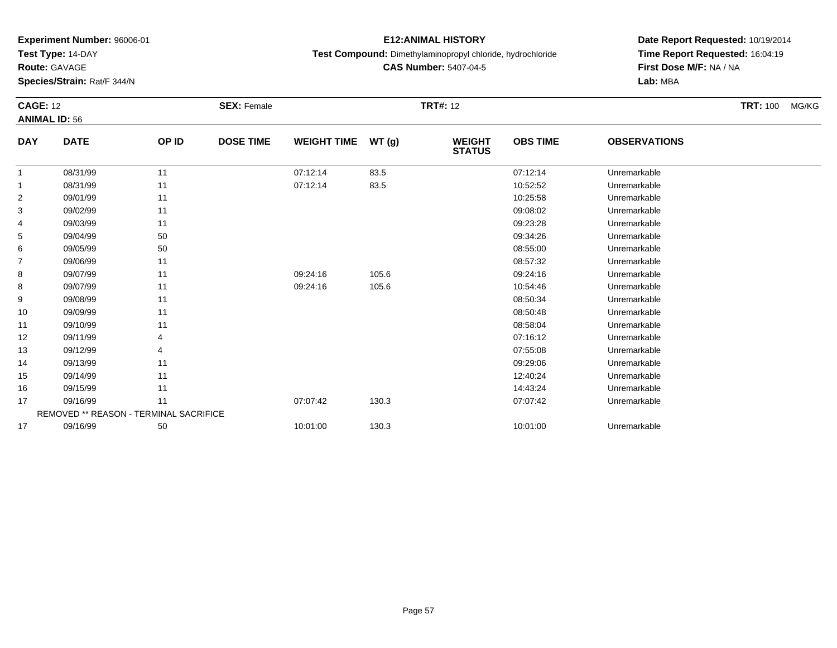**Test Type:** 14-DAY

**Route:** GAVAGE

**Species/Strain:** Rat/F 344/N

## **E12:ANIMAL HISTORY**

**Test Compound:** Dimethylaminopropyl chloride, hydrochloride

**CAS Number:** 5407-04-5

| <b>CAGE: 12</b><br><b>ANIMAL ID: 56</b> |                                        | <b>SEX: Female</b> |                  |                    | <b>TRT#: 12</b> | <b>TRT: 100</b>                | MG/KG           |                     |  |  |
|-----------------------------------------|----------------------------------------|--------------------|------------------|--------------------|-----------------|--------------------------------|-----------------|---------------------|--|--|
| <b>DAY</b>                              | <b>DATE</b>                            | OP ID              | <b>DOSE TIME</b> | <b>WEIGHT TIME</b> | WT(g)           | <b>WEIGHT</b><br><b>STATUS</b> | <b>OBS TIME</b> | <b>OBSERVATIONS</b> |  |  |
| 1                                       | 08/31/99                               | 11                 |                  | 07:12:14           | 83.5            |                                | 07:12:14        | Unremarkable        |  |  |
| 1                                       | 08/31/99                               | 11                 |                  | 07:12:14           | 83.5            |                                | 10:52:52        | Unremarkable        |  |  |
| 2                                       | 09/01/99                               | 11                 |                  |                    |                 |                                | 10:25:58        | Unremarkable        |  |  |
| 3                                       | 09/02/99                               | 11                 |                  |                    |                 |                                | 09:08:02        | Unremarkable        |  |  |
| 4                                       | 09/03/99                               | 11                 |                  |                    |                 |                                | 09:23:28        | Unremarkable        |  |  |
| 5                                       | 09/04/99                               | 50                 |                  |                    |                 |                                | 09:34:26        | Unremarkable        |  |  |
| 6                                       | 09/05/99                               | 50                 |                  |                    |                 |                                | 08:55:00        | Unremarkable        |  |  |
| 7                                       | 09/06/99                               | 11                 |                  |                    |                 |                                | 08:57:32        | Unremarkable        |  |  |
| 8                                       | 09/07/99                               | 11                 |                  | 09:24:16           | 105.6           |                                | 09:24:16        | Unremarkable        |  |  |
| 8                                       | 09/07/99                               | 11                 |                  | 09:24:16           | 105.6           |                                | 10:54:46        | Unremarkable        |  |  |
| 9                                       | 09/08/99                               | 11                 |                  |                    |                 |                                | 08:50:34        | Unremarkable        |  |  |
| 10                                      | 09/09/99                               | 11                 |                  |                    |                 |                                | 08:50:48        | Unremarkable        |  |  |
| 11                                      | 09/10/99                               | 11                 |                  |                    |                 |                                | 08:58:04        | Unremarkable        |  |  |
| 12                                      | 09/11/99                               | 4                  |                  |                    |                 |                                | 07:16:12        | Unremarkable        |  |  |
| 13                                      | 09/12/99                               | 4                  |                  |                    |                 |                                | 07:55:08        | Unremarkable        |  |  |
| 14                                      | 09/13/99                               | 11                 |                  |                    |                 |                                | 09:29:06        | Unremarkable        |  |  |
| 15                                      | 09/14/99                               | 11                 |                  |                    |                 |                                | 12:40:24        | Unremarkable        |  |  |
| 16                                      | 09/15/99                               | 11                 |                  |                    |                 |                                | 14:43:24        | Unremarkable        |  |  |
| 17                                      | 09/16/99                               | 11                 |                  | 07:07:42           | 130.3           |                                | 07:07:42        | Unremarkable        |  |  |
|                                         | REMOVED ** REASON - TERMINAL SACRIFICE |                    |                  |                    |                 |                                |                 |                     |  |  |
| 17                                      | 09/16/99                               | 50                 |                  | 10:01:00           | 130.3           |                                | 10:01:00        | Unremarkable        |  |  |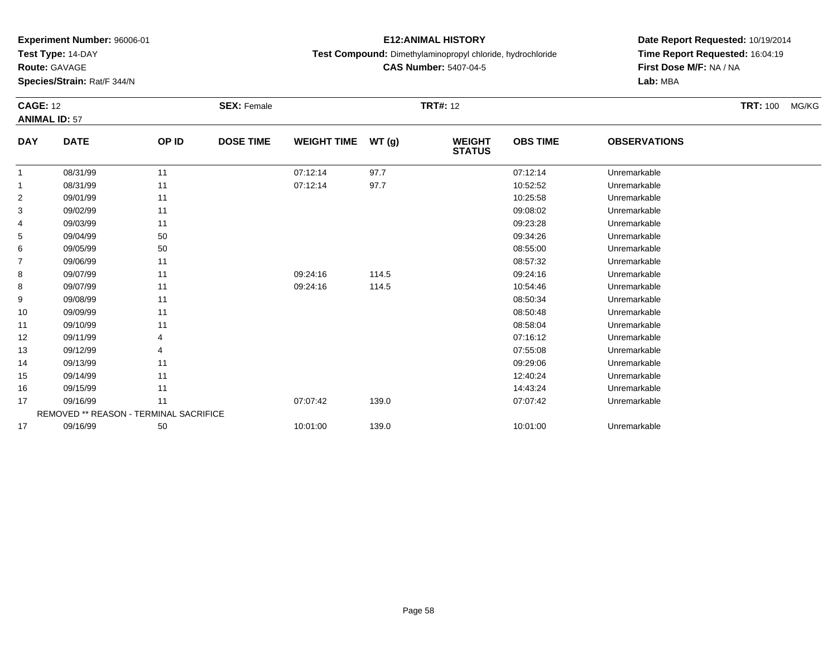**Test Type:** 14-DAY

**Route:** GAVAGE

**Species/Strain:** Rat/F 344/N

## **E12:ANIMAL HISTORY**

**Test Compound:** Dimethylaminopropyl chloride, hydrochloride

**CAS Number:** 5407-04-5

|                | <b>CAGE: 12</b><br><b>ANIMAL ID: 57</b> |       | <b>SEX: Female</b> |                    | <b>TRT#: 12</b> |                                |                 |                     | <b>TRT: 100</b> | MG/KG |
|----------------|-----------------------------------------|-------|--------------------|--------------------|-----------------|--------------------------------|-----------------|---------------------|-----------------|-------|
| <b>DAY</b>     | <b>DATE</b>                             | OP ID | <b>DOSE TIME</b>   | <b>WEIGHT TIME</b> | WT(g)           | <b>WEIGHT</b><br><b>STATUS</b> | <b>OBS TIME</b> | <b>OBSERVATIONS</b> |                 |       |
| $\mathbf{1}$   | 08/31/99                                | 11    |                    | 07:12:14           | 97.7            |                                | 07:12:14        | Unremarkable        |                 |       |
| $\mathbf{1}$   | 08/31/99                                | 11    |                    | 07:12:14           | 97.7            |                                | 10:52:52        | Unremarkable        |                 |       |
| $\overline{2}$ | 09/01/99                                | 11    |                    |                    |                 |                                | 10:25:58        | Unremarkable        |                 |       |
| 3              | 09/02/99                                | 11    |                    |                    |                 |                                | 09:08:02        | Unremarkable        |                 |       |
| 4              | 09/03/99                                | 11    |                    |                    |                 |                                | 09:23:28        | Unremarkable        |                 |       |
| 5              | 09/04/99                                | 50    |                    |                    |                 |                                | 09:34:26        | Unremarkable        |                 |       |
| 6              | 09/05/99                                | 50    |                    |                    |                 |                                | 08:55:00        | Unremarkable        |                 |       |
| 7              | 09/06/99                                | 11    |                    |                    |                 |                                | 08:57:32        | Unremarkable        |                 |       |
| 8              | 09/07/99                                | 11    |                    | 09:24:16           | 114.5           |                                | 09:24:16        | Unremarkable        |                 |       |
| 8              | 09/07/99                                | 11    |                    | 09:24:16           | 114.5           |                                | 10:54:46        | Unremarkable        |                 |       |
| 9              | 09/08/99                                | 11    |                    |                    |                 |                                | 08:50:34        | Unremarkable        |                 |       |
| 10             | 09/09/99                                | 11    |                    |                    |                 |                                | 08:50:48        | Unremarkable        |                 |       |
| 11             | 09/10/99                                | 11    |                    |                    |                 |                                | 08:58:04        | Unremarkable        |                 |       |
| 12             | 09/11/99                                |       |                    |                    |                 |                                | 07:16:12        | Unremarkable        |                 |       |
| 13             | 09/12/99                                | 4     |                    |                    |                 |                                | 07:55:08        | Unremarkable        |                 |       |
| 14             | 09/13/99                                | 11    |                    |                    |                 |                                | 09:29:06        | Unremarkable        |                 |       |
| 15             | 09/14/99                                | 11    |                    |                    |                 |                                | 12:40:24        | Unremarkable        |                 |       |
| 16             | 09/15/99                                | 11    |                    |                    |                 |                                | 14:43:24        | Unremarkable        |                 |       |
| 17             | 09/16/99                                | 11    |                    | 07:07:42           | 139.0           |                                | 07:07:42        | Unremarkable        |                 |       |
|                | REMOVED ** REASON - TERMINAL SACRIFICE  |       |                    |                    |                 |                                |                 |                     |                 |       |
| 17             | 09/16/99                                | 50    |                    | 10:01:00           | 139.0           |                                | 10:01:00        | Unremarkable        |                 |       |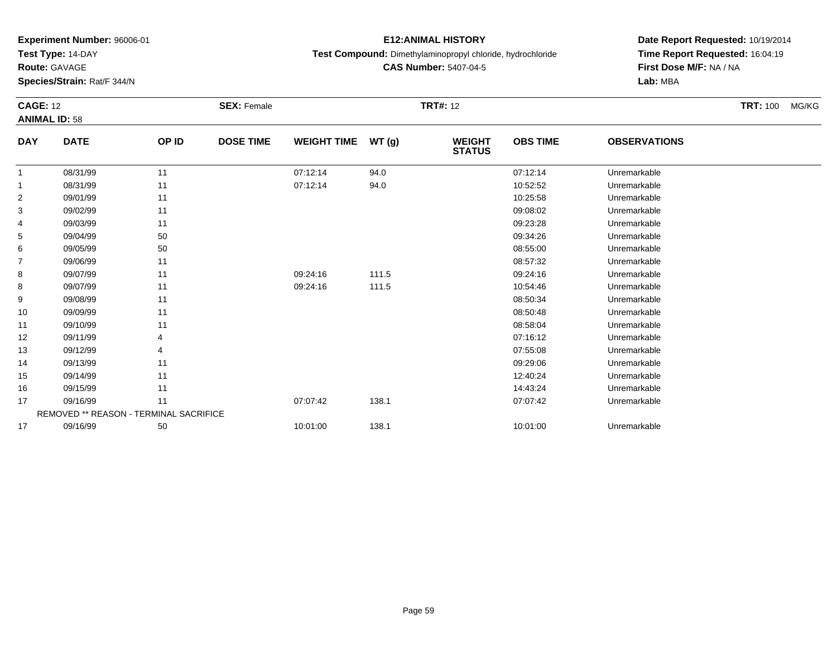**Test Type:** 14-DAY

**Route:** GAVAGE

**Species/Strain:** Rat/F 344/N

## **E12:ANIMAL HISTORY**

**Test Compound:** Dimethylaminopropyl chloride, hydrochloride

**CAS Number:** 5407-04-5

| <b>CAGE: 12</b><br><b>ANIMAL ID: 58</b> |                                        | <b>SEX: Female</b> |                  |                    | <b>TRT#: 12</b> | <b>TRT: 100</b>                | MG/KG           |                     |  |  |
|-----------------------------------------|----------------------------------------|--------------------|------------------|--------------------|-----------------|--------------------------------|-----------------|---------------------|--|--|
| <b>DAY</b>                              | <b>DATE</b>                            | OP ID              | <b>DOSE TIME</b> | <b>WEIGHT TIME</b> | WT(g)           | <b>WEIGHT</b><br><b>STATUS</b> | <b>OBS TIME</b> | <b>OBSERVATIONS</b> |  |  |
| 1                                       | 08/31/99                               | 11                 |                  | 07:12:14           | 94.0            |                                | 07:12:14        | Unremarkable        |  |  |
|                                         | 08/31/99                               | 11                 |                  | 07:12:14           | 94.0            |                                | 10:52:52        | Unremarkable        |  |  |
| 2                                       | 09/01/99                               | 11                 |                  |                    |                 |                                | 10:25:58        | Unremarkable        |  |  |
| 3                                       | 09/02/99                               | 11                 |                  |                    |                 |                                | 09:08:02        | Unremarkable        |  |  |
| 4                                       | 09/03/99                               | 11                 |                  |                    |                 |                                | 09:23:28        | Unremarkable        |  |  |
| 5                                       | 09/04/99                               | 50                 |                  |                    |                 |                                | 09:34:26        | Unremarkable        |  |  |
| 6                                       | 09/05/99                               | 50                 |                  |                    |                 |                                | 08:55:00        | Unremarkable        |  |  |
| $\overline{7}$                          | 09/06/99                               | 11                 |                  |                    |                 |                                | 08:57:32        | Unremarkable        |  |  |
| 8                                       | 09/07/99                               | 11                 |                  | 09:24:16           | 111.5           |                                | 09:24:16        | Unremarkable        |  |  |
| 8                                       | 09/07/99                               | 11                 |                  | 09:24:16           | 111.5           |                                | 10:54:46        | Unremarkable        |  |  |
| 9                                       | 09/08/99                               | 11                 |                  |                    |                 |                                | 08:50:34        | Unremarkable        |  |  |
| 10                                      | 09/09/99                               | 11                 |                  |                    |                 |                                | 08:50:48        | Unremarkable        |  |  |
| 11                                      | 09/10/99                               | 11                 |                  |                    |                 |                                | 08:58:04        | Unremarkable        |  |  |
| 12                                      | 09/11/99                               |                    |                  |                    |                 |                                | 07:16:12        | Unremarkable        |  |  |
| 13                                      | 09/12/99                               |                    |                  |                    |                 |                                | 07:55:08        | Unremarkable        |  |  |
| 14                                      | 09/13/99                               | 11                 |                  |                    |                 |                                | 09:29:06        | Unremarkable        |  |  |
| 15                                      | 09/14/99                               | 11                 |                  |                    |                 |                                | 12:40:24        | Unremarkable        |  |  |
| 16                                      | 09/15/99                               | 11                 |                  |                    |                 |                                | 14:43:24        | Unremarkable        |  |  |
| 17                                      | 09/16/99                               | 11                 |                  | 07:07:42           | 138.1           |                                | 07:07:42        | Unremarkable        |  |  |
|                                         | REMOVED ** REASON - TERMINAL SACRIFICE |                    |                  |                    |                 |                                |                 |                     |  |  |
| 17                                      | 09/16/99                               | 50                 |                  | 10:01:00           | 138.1           |                                | 10:01:00        | Unremarkable        |  |  |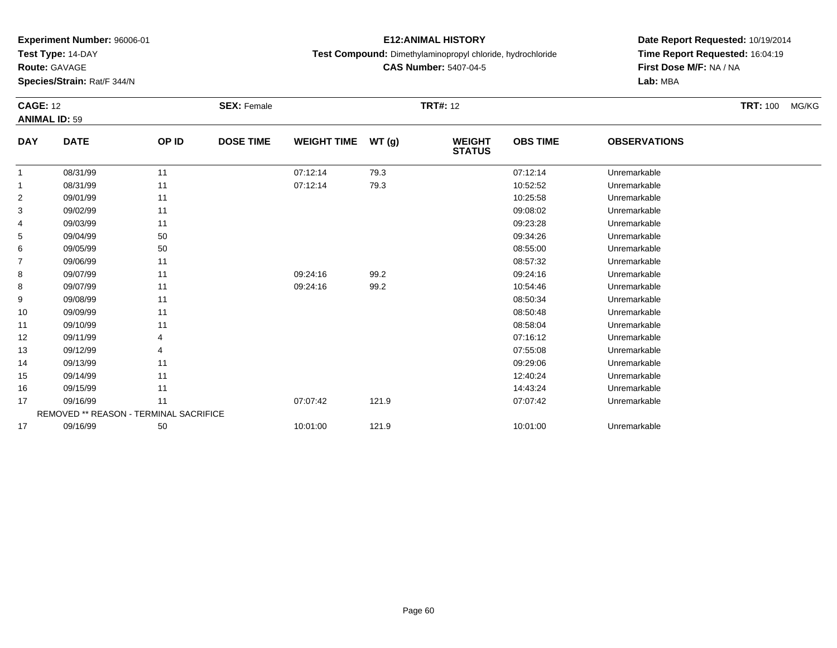**Test Type:** 14-DAY

**Route:** GAVAGE

**Species/Strain:** Rat/F 344/N

## **E12:ANIMAL HISTORY**

**Test Compound:** Dimethylaminopropyl chloride, hydrochloride

**CAS Number:** 5407-04-5

| <b>CAGE: 12</b><br><b>ANIMAL ID: 59</b> |                                        |       | <b>SEX: Female</b> |                    | <b>TRT#: 12</b> |                                |                 |                     |  | <b>TRT: 100</b><br>MG/KG |
|-----------------------------------------|----------------------------------------|-------|--------------------|--------------------|-----------------|--------------------------------|-----------------|---------------------|--|--------------------------|
| <b>DAY</b>                              | <b>DATE</b>                            | OP ID | <b>DOSE TIME</b>   | <b>WEIGHT TIME</b> | WT (g)          | <b>WEIGHT</b><br><b>STATUS</b> | <b>OBS TIME</b> | <b>OBSERVATIONS</b> |  |                          |
|                                         | 08/31/99                               | 11    |                    | 07:12:14           | 79.3            |                                | 07:12:14        | Unremarkable        |  |                          |
|                                         | 08/31/99                               | 11    |                    | 07:12:14           | 79.3            |                                | 10:52:52        | Unremarkable        |  |                          |
| 2                                       | 09/01/99                               | 11    |                    |                    |                 |                                | 10:25:58        | Unremarkable        |  |                          |
| 3                                       | 09/02/99                               | 11    |                    |                    |                 |                                | 09:08:02        | Unremarkable        |  |                          |
| 4                                       | 09/03/99                               | 11    |                    |                    |                 |                                | 09:23:28        | Unremarkable        |  |                          |
| 5                                       | 09/04/99                               | 50    |                    |                    |                 |                                | 09:34:26        | Unremarkable        |  |                          |
| 6                                       | 09/05/99                               | 50    |                    |                    |                 |                                | 08:55:00        | Unremarkable        |  |                          |
| $\overline{7}$                          | 09/06/99                               | 11    |                    |                    |                 |                                | 08:57:32        | Unremarkable        |  |                          |
| 8                                       | 09/07/99                               | 11    |                    | 09:24:16           | 99.2            |                                | 09:24:16        | Unremarkable        |  |                          |
| 8                                       | 09/07/99                               | 11    |                    | 09:24:16           | 99.2            |                                | 10:54:46        | Unremarkable        |  |                          |
| 9                                       | 09/08/99                               | 11    |                    |                    |                 |                                | 08:50:34        | Unremarkable        |  |                          |
| 10                                      | 09/09/99                               | 11    |                    |                    |                 |                                | 08:50:48        | Unremarkable        |  |                          |
| 11                                      | 09/10/99                               | 11    |                    |                    |                 |                                | 08:58:04        | Unremarkable        |  |                          |
| 12                                      | 09/11/99                               |       |                    |                    |                 |                                | 07:16:12        | Unremarkable        |  |                          |
| 13                                      | 09/12/99                               | 4     |                    |                    |                 |                                | 07:55:08        | Unremarkable        |  |                          |
| 14                                      | 09/13/99                               | 11    |                    |                    |                 |                                | 09:29:06        | Unremarkable        |  |                          |
| 15                                      | 09/14/99                               | 11    |                    |                    |                 |                                | 12:40:24        | Unremarkable        |  |                          |
| 16                                      | 09/15/99                               | 11    |                    |                    |                 |                                | 14:43:24        | Unremarkable        |  |                          |
| 17                                      | 09/16/99                               | 11    |                    | 07:07:42           | 121.9           |                                | 07:07:42        | Unremarkable        |  |                          |
|                                         | REMOVED ** REASON - TERMINAL SACRIFICE |       |                    |                    |                 |                                |                 |                     |  |                          |
| 17                                      | 09/16/99                               | 50    |                    | 10:01:00           | 121.9           |                                | 10:01:00        | Unremarkable        |  |                          |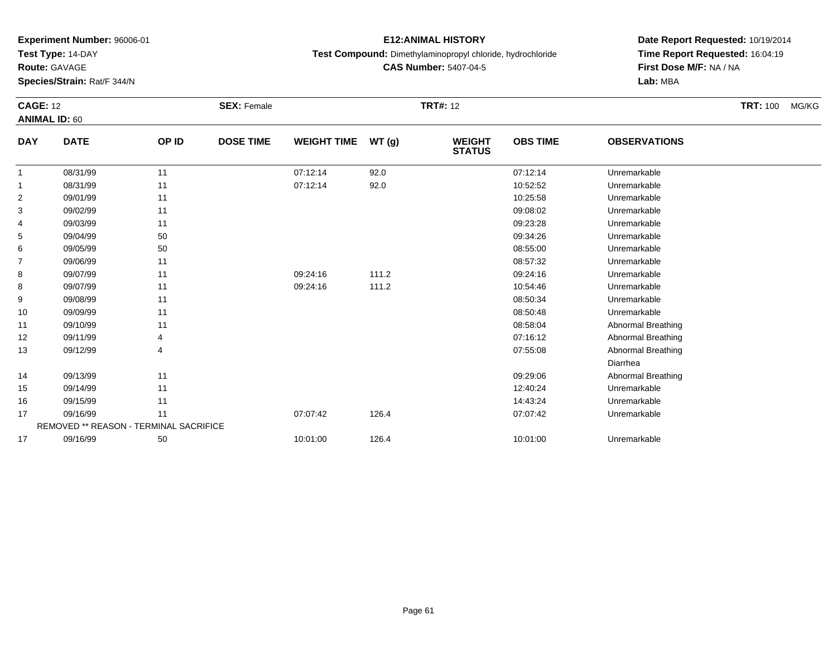**Test Type:** 14-DAY

**Route:** GAVAGE

**Species/Strain:** Rat/F 344/N

## **E12:ANIMAL HISTORY**

**Test Compound:** Dimethylaminopropyl chloride, hydrochloride

**CAS Number:** 5407-04-5

| <b>CAGE: 12</b><br><b>ANIMAL ID: 60</b> |                                        |       | <b>SEX: Female</b> | <b>TRT#: 12</b>    |       |                                |                 |                           | <b>TRT: 100</b> | MG/KG |
|-----------------------------------------|----------------------------------------|-------|--------------------|--------------------|-------|--------------------------------|-----------------|---------------------------|-----------------|-------|
| <b>DAY</b>                              | <b>DATE</b>                            | OP ID | <b>DOSE TIME</b>   | <b>WEIGHT TIME</b> | WT(g) | <b>WEIGHT</b><br><b>STATUS</b> | <b>OBS TIME</b> | <b>OBSERVATIONS</b>       |                 |       |
| $\mathbf{1}$                            | 08/31/99                               | 11    |                    | 07:12:14           | 92.0  |                                | 07:12:14        | Unremarkable              |                 |       |
| 1                                       | 08/31/99                               | 11    |                    | 07:12:14           | 92.0  |                                | 10:52:52        | Unremarkable              |                 |       |
| $\overline{2}$                          | 09/01/99                               | 11    |                    |                    |       |                                | 10:25:58        | Unremarkable              |                 |       |
| 3                                       | 09/02/99                               | 11    |                    |                    |       |                                | 09:08:02        | Unremarkable              |                 |       |
| 4                                       | 09/03/99                               | 11    |                    |                    |       |                                | 09:23:28        | Unremarkable              |                 |       |
| 5                                       | 09/04/99                               | 50    |                    |                    |       |                                | 09:34:26        | Unremarkable              |                 |       |
| 6                                       | 09/05/99                               | 50    |                    |                    |       |                                | 08:55:00        | Unremarkable              |                 |       |
| $\overline{7}$                          | 09/06/99                               | 11    |                    |                    |       |                                | 08:57:32        | Unremarkable              |                 |       |
| 8                                       | 09/07/99                               | 11    |                    | 09:24:16           | 111.2 |                                | 09:24:16        | Unremarkable              |                 |       |
| 8                                       | 09/07/99                               | 11    |                    | 09:24:16           | 111.2 |                                | 10:54:46        | Unremarkable              |                 |       |
| 9                                       | 09/08/99                               | 11    |                    |                    |       |                                | 08:50:34        | Unremarkable              |                 |       |
| 10                                      | 09/09/99                               | 11    |                    |                    |       |                                | 08:50:48        | Unremarkable              |                 |       |
| 11                                      | 09/10/99                               | 11    |                    |                    |       |                                | 08:58:04        | Abnormal Breathing        |                 |       |
| 12                                      | 09/11/99                               |       |                    |                    |       |                                | 07:16:12        | Abnormal Breathing        |                 |       |
| 13                                      | 09/12/99                               |       |                    |                    |       |                                | 07:55:08        | <b>Abnormal Breathing</b> |                 |       |
|                                         |                                        |       |                    |                    |       |                                |                 | Diarrhea                  |                 |       |
| 14                                      | 09/13/99                               | 11    |                    |                    |       |                                | 09:29:06        | <b>Abnormal Breathing</b> |                 |       |
| 15                                      | 09/14/99                               | 11    |                    |                    |       |                                | 12:40:24        | Unremarkable              |                 |       |
| 16                                      | 09/15/99                               | 11    |                    |                    |       |                                | 14:43:24        | Unremarkable              |                 |       |
| 17                                      | 09/16/99                               | 11    |                    | 07:07:42           | 126.4 |                                | 07:07:42        | Unremarkable              |                 |       |
|                                         | REMOVED ** REASON - TERMINAL SACRIFICE |       |                    |                    |       |                                |                 |                           |                 |       |
| 17                                      | 09/16/99                               | 50    |                    | 10:01:00           | 126.4 |                                | 10:01:00        | Unremarkable              |                 |       |